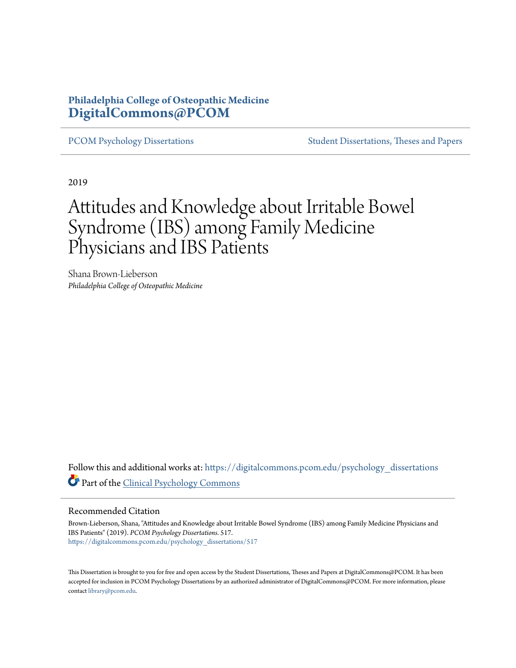## **Philadelphia College of Osteopathic Medicine [DigitalCommons@PCOM](https://digitalcommons.pcom.edu/?utm_source=digitalcommons.pcom.edu%2Fpsychology_dissertations%2F517&utm_medium=PDF&utm_campaign=PDFCoverPages)**

[PCOM Psychology Dissertations](https://digitalcommons.pcom.edu/psychology_dissertations?utm_source=digitalcommons.pcom.edu%2Fpsychology_dissertations%2F517&utm_medium=PDF&utm_campaign=PDFCoverPages) [Student Dissertations, Theses and Papers](https://digitalcommons.pcom.edu/etds?utm_source=digitalcommons.pcom.edu%2Fpsychology_dissertations%2F517&utm_medium=PDF&utm_campaign=PDFCoverPages)

2019

# Attitudes and Knowledge about Irritable Bowel Syndrome (IBS) among Family Medicine Physicians and IBS Patients

Shana Brown-Lieberson *Philadelphia College of Osteopathic Medicine*

Follow this and additional works at: [https://digitalcommons.pcom.edu/psychology\\_dissertations](https://digitalcommons.pcom.edu/psychology_dissertations?utm_source=digitalcommons.pcom.edu%2Fpsychology_dissertations%2F517&utm_medium=PDF&utm_campaign=PDFCoverPages) Part of the [Clinical Psychology Commons](http://network.bepress.com/hgg/discipline/406?utm_source=digitalcommons.pcom.edu%2Fpsychology_dissertations%2F517&utm_medium=PDF&utm_campaign=PDFCoverPages)

#### Recommended Citation

Brown-Lieberson, Shana, "Attitudes and Knowledge about Irritable Bowel Syndrome (IBS) among Family Medicine Physicians and IBS Patients" (2019). *PCOM Psychology Dissertations*. 517. [https://digitalcommons.pcom.edu/psychology\\_dissertations/517](https://digitalcommons.pcom.edu/psychology_dissertations/517?utm_source=digitalcommons.pcom.edu%2Fpsychology_dissertations%2F517&utm_medium=PDF&utm_campaign=PDFCoverPages)

This Dissertation is brought to you for free and open access by the Student Dissertations, Theses and Papers at DigitalCommons@PCOM. It has been accepted for inclusion in PCOM Psychology Dissertations by an authorized administrator of DigitalCommons@PCOM. For more information, please contact [library@pcom.edu.](mailto:library@pcom.edu)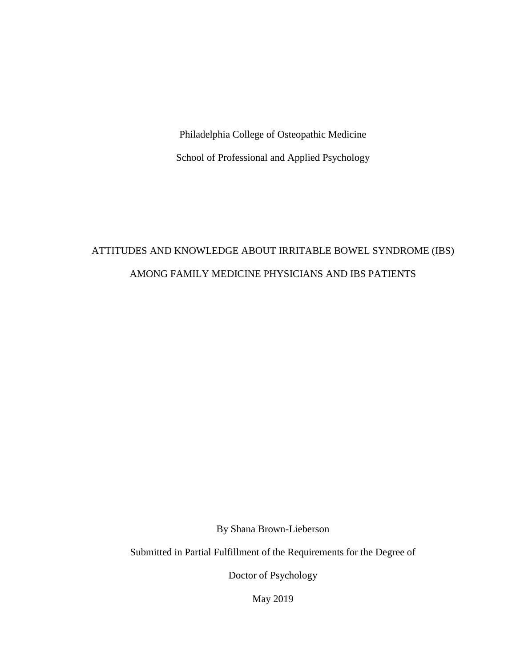Philadelphia College of Osteopathic Medicine School of Professional and Applied Psychology

## ATTITUDES AND KNOWLEDGE ABOUT IRRITABLE BOWEL SYNDROME (IBS) AMONG FAMILY MEDICINE PHYSICIANS AND IBS PATIENTS

By Shana Brown-Lieberson

Submitted in Partial Fulfillment of the Requirements for the Degree of

Doctor of Psychology

May 2019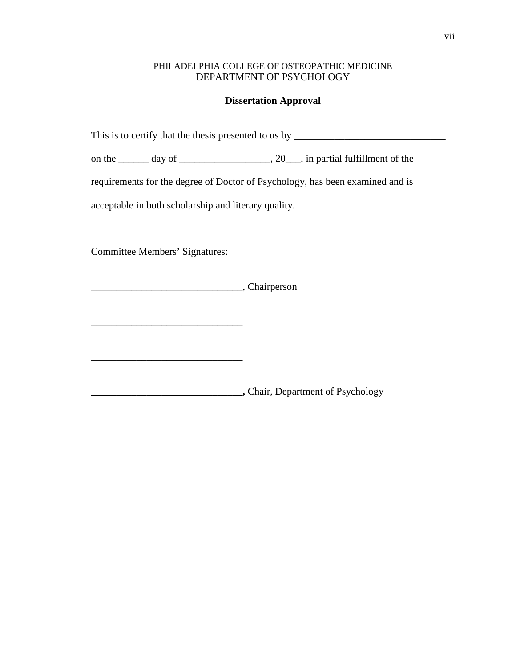#### PHILADELPHIA COLLEGE OF OSTEOPATHIC MEDICINE DEPARTMENT OF PSYCHOLOGY

#### **Dissertation Approval**

This is to certify that the thesis presented to us by \_\_\_\_\_\_\_\_\_\_\_\_\_\_\_\_\_\_\_\_\_\_\_\_\_\_\_\_\_\_

on the \_\_\_\_\_\_ day of \_\_\_\_\_\_\_\_\_\_\_\_\_\_\_\_\_\_, 20\_\_\_, in partial fulfillment of the

requirements for the degree of Doctor of Psychology, has been examined and is

acceptable in both scholarship and literary quality.

Committee Members' Signatures:

\_\_\_\_\_\_\_\_\_\_\_\_\_\_\_\_\_\_\_\_\_\_\_\_\_\_\_\_\_\_

\_\_\_\_\_\_\_\_\_\_\_\_\_\_\_\_\_\_\_\_\_\_\_\_\_\_\_\_\_\_, Chairperson

**\_\_\_\_\_\_\_\_\_\_\_\_\_\_\_\_\_\_\_\_\_\_\_\_\_\_\_\_\_\_,** Chair, Department of Psychology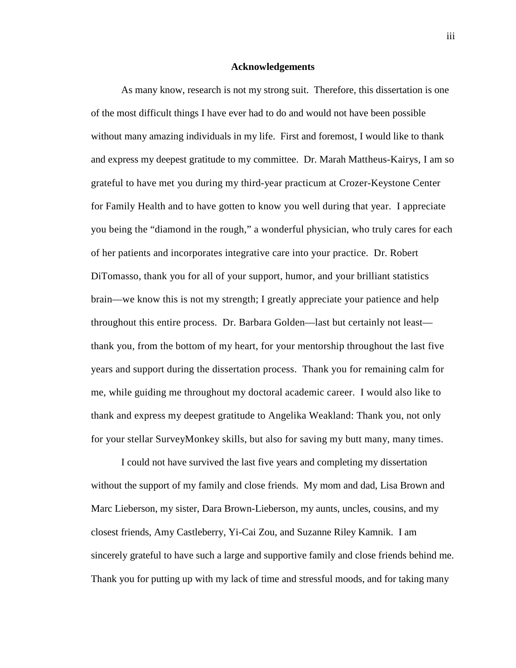#### **Acknowledgements**

As many know, research is not my strong suit. Therefore, this dissertation is one of the most difficult things I have ever had to do and would not have been possible without many amazing individuals in my life. First and foremost, I would like to thank and express my deepest gratitude to my committee. Dr. Marah Mattheus-Kairys, I am so grateful to have met you during my third-year practicum at Crozer-Keystone Center for Family Health and to have gotten to know you well during that year. I appreciate you being the "diamond in the rough," a wonderful physician, who truly cares for each of her patients and incorporates integrative care into your practice. Dr. Robert DiTomasso, thank you for all of your support, humor, and your brilliant statistics brain—we know this is not my strength; I greatly appreciate your patience and help throughout this entire process. Dr. Barbara Golden—last but certainly not least thank you, from the bottom of my heart, for your mentorship throughout the last five years and support during the dissertation process. Thank you for remaining calm for me, while guiding me throughout my doctoral academic career. I would also like to thank and express my deepest gratitude to Angelika Weakland: Thank you, not only for your stellar SurveyMonkey skills, but also for saving my butt many, many times.

I could not have survived the last five years and completing my dissertation without the support of my family and close friends. My mom and dad, Lisa Brown and Marc Lieberson, my sister, Dara Brown-Lieberson, my aunts, uncles, cousins, and my closest friends, Amy Castleberry, Yi-Cai Zou, and Suzanne Riley Kamnik. I am sincerely grateful to have such a large and supportive family and close friends behind me. Thank you for putting up with my lack of time and stressful moods, and for taking many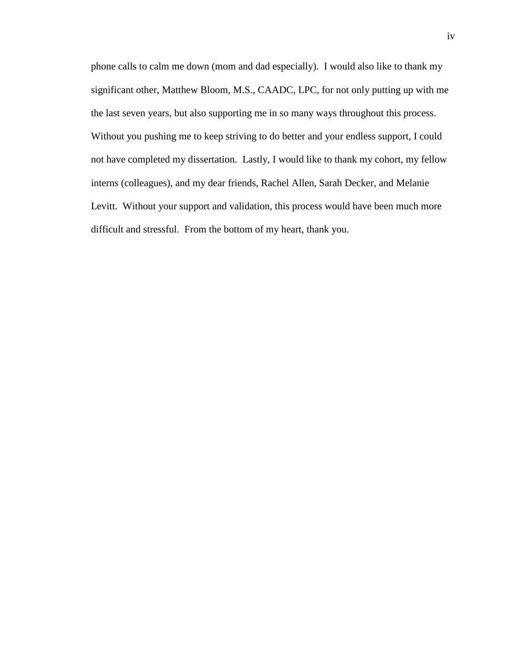phone calls to calm me down (mom and dad especially). I would also like to thank my significant other, Matthew Bloom, M.S., CAADC, LPC, for not only putting up with me the last seven years, but also supporting me in so many ways throughout this process. Without you pushing me to keep striving to do better and your endless support, I could not have completed my dissertation. Lastly, I would like to thank my cohort, my fellow interns (colleagues), and my dear friends, Rachel Allen, Sarah Decker, and Melanie Levitt. Without your support and validation, this process would have been much more difficult and stressful. From the bottom of my heart, thank you.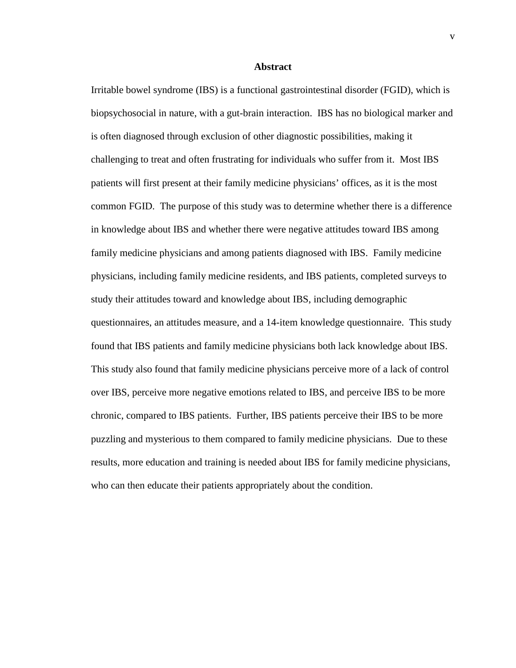#### **Abstract**

Irritable bowel syndrome (IBS) is a functional gastrointestinal disorder (FGID), which is biopsychosocial in nature, with a gut-brain interaction. IBS has no biological marker and is often diagnosed through exclusion of other diagnostic possibilities, making it challenging to treat and often frustrating for individuals who suffer from it. Most IBS patients will first present at their family medicine physicians' offices, as it is the most common FGID. The purpose of this study was to determine whether there is a difference in knowledge about IBS and whether there were negative attitudes toward IBS among family medicine physicians and among patients diagnosed with IBS. Family medicine physicians, including family medicine residents, and IBS patients, completed surveys to study their attitudes toward and knowledge about IBS, including demographic questionnaires, an attitudes measure, and a 14-item knowledge questionnaire. This study found that IBS patients and family medicine physicians both lack knowledge about IBS. This study also found that family medicine physicians perceive more of a lack of control over IBS, perceive more negative emotions related to IBS, and perceive IBS to be more chronic, compared to IBS patients. Further, IBS patients perceive their IBS to be more puzzling and mysterious to them compared to family medicine physicians. Due to these results, more education and training is needed about IBS for family medicine physicians, who can then educate their patients appropriately about the condition.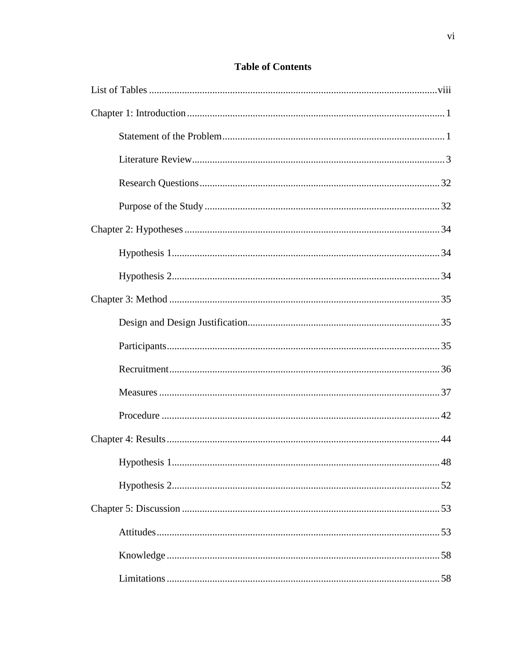## **Table of Contents**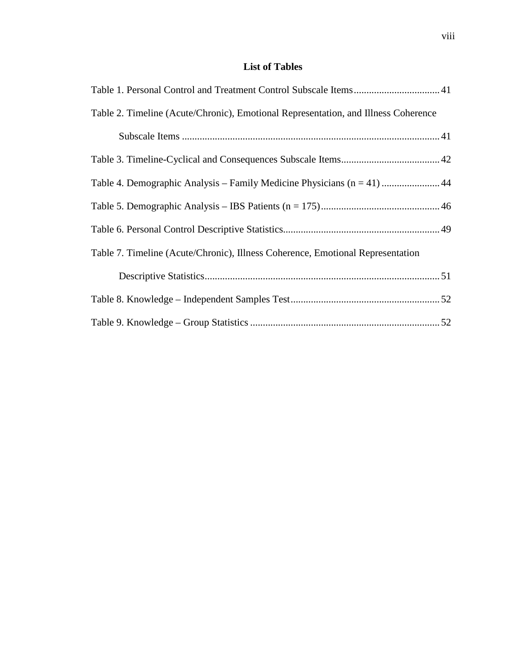## **List of Tables**

| Table 2. Timeline (Acute/Chronic), Emotional Representation, and Illness Coherence |
|------------------------------------------------------------------------------------|
|                                                                                    |
|                                                                                    |
| Table 4. Demographic Analysis – Family Medicine Physicians (n = 41)  44            |
|                                                                                    |
|                                                                                    |
| Table 7. Timeline (Acute/Chronic), Illness Coherence, Emotional Representation     |
|                                                                                    |
|                                                                                    |
|                                                                                    |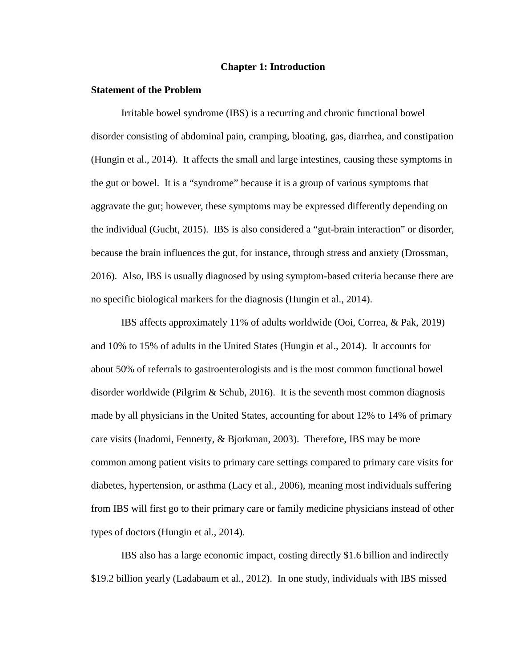#### **Chapter 1: Introduction**

#### **Statement of the Problem**

Irritable bowel syndrome (IBS) is a recurring and chronic functional bowel disorder consisting of abdominal pain, cramping, bloating, gas, diarrhea, and constipation (Hungin et al., 2014). It affects the small and large intestines, causing these symptoms in the gut or bowel. It is a "syndrome" because it is a group of various symptoms that aggravate the gut; however, these symptoms may be expressed differently depending on the individual (Gucht, 2015). IBS is also considered a "gut-brain interaction" or disorder, because the brain influences the gut, for instance, through stress and anxiety (Drossman, 2016). Also, IBS is usually diagnosed by using symptom-based criteria because there are no specific biological markers for the diagnosis (Hungin et al., 2014).

IBS affects approximately 11% of adults worldwide (Ooi, Correa, & Pak, 2019) and 10% to 15% of adults in the United States (Hungin et al., 2014). It accounts for about 50% of referrals to gastroenterologists and is the most common functional bowel disorder worldwide (Pilgrim  $\&$  Schub, 2016). It is the seventh most common diagnosis made by all physicians in the United States, accounting for about 12% to 14% of primary care visits (Inadomi, Fennerty, & Bjorkman, 2003). Therefore, IBS may be more common among patient visits to primary care settings compared to primary care visits for diabetes, hypertension, or asthma (Lacy et al., 2006), meaning most individuals suffering from IBS will first go to their primary care or family medicine physicians instead of other types of doctors (Hungin et al., 2014).

IBS also has a large economic impact, costing directly \$1.6 billion and indirectly \$19.2 billion yearly (Ladabaum et al., 2012). In one study, individuals with IBS missed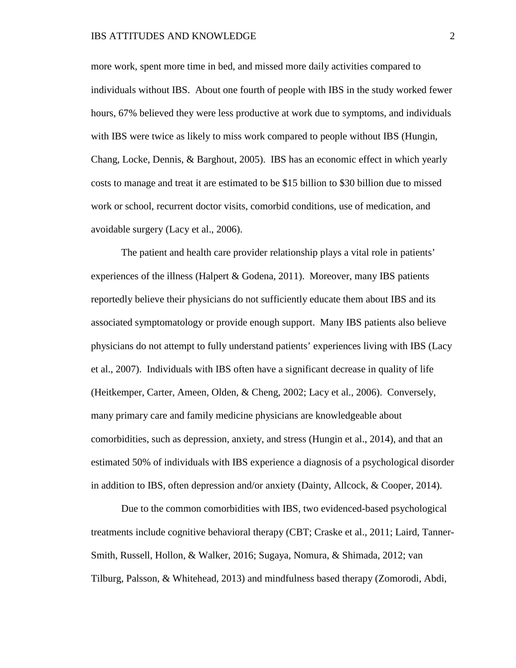more work, spent more time in bed, and missed more daily activities compared to individuals without IBS. About one fourth of people with IBS in the study worked fewer hours, 67% believed they were less productive at work due to symptoms, and individuals with IBS were twice as likely to miss work compared to people without IBS (Hungin, Chang, Locke, Dennis, & Barghout, 2005). IBS has an economic effect in which yearly costs to manage and treat it are estimated to be \$15 billion to \$30 billion due to missed work or school, recurrent doctor visits, comorbid conditions, use of medication, and avoidable surgery (Lacy et al., 2006).

The patient and health care provider relationship plays a vital role in patients' experiences of the illness (Halpert & Godena, 2011). Moreover, many IBS patients reportedly believe their physicians do not sufficiently educate them about IBS and its associated symptomatology or provide enough support. Many IBS patients also believe physicians do not attempt to fully understand patients' experiences living with IBS (Lacy et al., 2007). Individuals with IBS often have a significant decrease in quality of life (Heitkemper, Carter, Ameen, Olden, & Cheng, 2002; Lacy et al., 2006). Conversely, many primary care and family medicine physicians are knowledgeable about comorbidities, such as depression, anxiety, and stress (Hungin et al., 2014), and that an estimated 50% of individuals with IBS experience a diagnosis of a psychological disorder in addition to IBS, often depression and/or anxiety (Dainty, Allcock, & Cooper, 2014).

Due to the common comorbidities with IBS, two evidenced-based psychological treatments include cognitive behavioral therapy (CBT; Craske et al., 2011; Laird, Tanner-Smith, Russell, Hollon, & Walker, 2016; Sugaya, Nomura, & Shimada, 2012; van Tilburg, Palsson, & Whitehead, 2013) and mindfulness based therapy (Zomorodi, Abdi,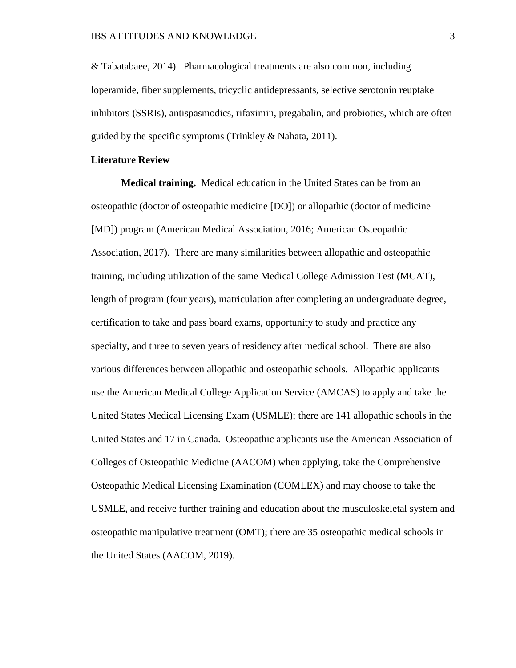& Tabatabaee, 2014). Pharmacological treatments are also common, including loperamide, fiber supplements, tricyclic antidepressants, selective serotonin reuptake inhibitors (SSRIs), antispasmodics, rifaximin, pregabalin, and probiotics, which are often guided by the specific symptoms (Trinkley & Nahata, 2011).

#### **Literature Review**

**Medical training.** Medical education in the United States can be from an osteopathic (doctor of osteopathic medicine [DO]) or allopathic (doctor of medicine [MD]) program (American Medical Association, 2016; American Osteopathic Association, 2017). There are many similarities between allopathic and osteopathic training, including utilization of the same Medical College Admission Test (MCAT), length of program (four years), matriculation after completing an undergraduate degree, certification to take and pass board exams, opportunity to study and practice any specialty, and three to seven years of residency after medical school. There are also various differences between allopathic and osteopathic schools. Allopathic applicants use the American Medical College Application Service (AMCAS) to apply and take the United States Medical Licensing Exam (USMLE); there are 141 allopathic schools in the United States and 17 in Canada. Osteopathic applicants use the American Association of Colleges of Osteopathic Medicine (AACOM) when applying, take the Comprehensive Osteopathic Medical Licensing Examination (COMLEX) and may choose to take the USMLE, and receive further training and education about the musculoskeletal system and osteopathic manipulative treatment (OMT); there are 35 osteopathic medical schools in the United States (AACOM, 2019).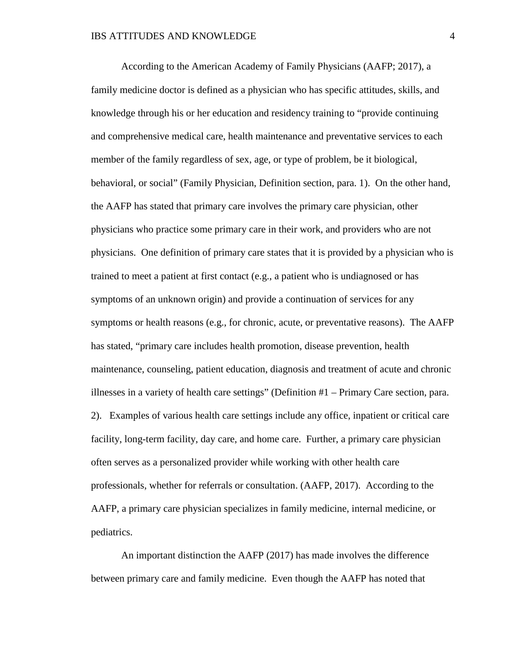According to the American Academy of Family Physicians (AAFP; 2017), a family medicine doctor is defined as a physician who has specific attitudes, skills, and knowledge through his or her education and residency training to "provide continuing and comprehensive medical care, health maintenance and preventative services to each member of the family regardless of sex, age, or type of problem, be it biological, behavioral, or social" (Family Physician, Definition section, para. 1). On the other hand, the AAFP has stated that primary care involves the primary care physician, other physicians who practice some primary care in their work, and providers who are not physicians. One definition of primary care states that it is provided by a physician who is trained to meet a patient at first contact (e.g., a patient who is undiagnosed or has symptoms of an unknown origin) and provide a continuation of services for any symptoms or health reasons (e.g., for chronic, acute, or preventative reasons). The AAFP has stated, "primary care includes health promotion, disease prevention, health maintenance, counseling, patient education, diagnosis and treatment of acute and chronic illnesses in a variety of health care settings" (Definition #1 – Primary Care section, para. 2). Examples of various health care settings include any office, inpatient or critical care facility, long-term facility, day care, and home care. Further, a primary care physician often serves as a personalized provider while working with other health care professionals, whether for referrals or consultation. (AAFP, 2017). According to the AAFP, a primary care physician specializes in family medicine, internal medicine, or pediatrics.

An important distinction the AAFP (2017) has made involves the difference between primary care and family medicine. Even though the AAFP has noted that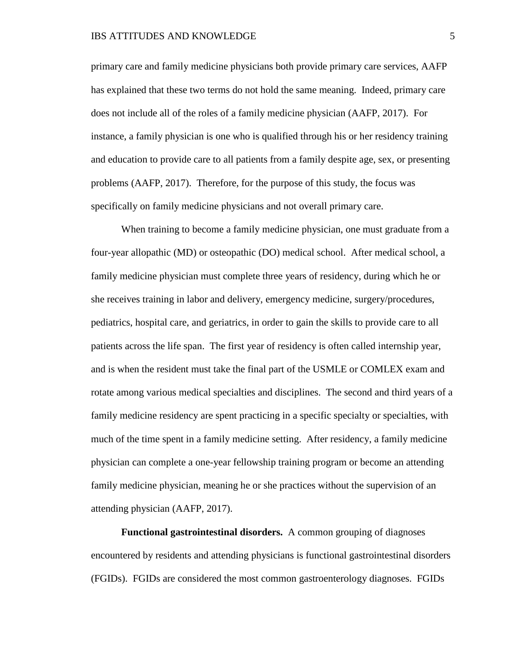primary care and family medicine physicians both provide primary care services, AAFP has explained that these two terms do not hold the same meaning. Indeed, primary care does not include all of the roles of a family medicine physician (AAFP, 2017). For instance, a family physician is one who is qualified through his or her residency training and education to provide care to all patients from a family despite age, sex, or presenting problems (AAFP, 2017). Therefore, for the purpose of this study, the focus was specifically on family medicine physicians and not overall primary care.

When training to become a family medicine physician, one must graduate from a four-year allopathic (MD) or osteopathic (DO) medical school. After medical school, a family medicine physician must complete three years of residency, during which he or she receives training in labor and delivery, emergency medicine, surgery/procedures, pediatrics, hospital care, and geriatrics, in order to gain the skills to provide care to all patients across the life span. The first year of residency is often called internship year, and is when the resident must take the final part of the USMLE or COMLEX exam and rotate among various medical specialties and disciplines. The second and third years of a family medicine residency are spent practicing in a specific specialty or specialties, with much of the time spent in a family medicine setting. After residency, a family medicine physician can complete a one-year fellowship training program or become an attending family medicine physician, meaning he or she practices without the supervision of an attending physician (AAFP, 2017).

**Functional gastrointestinal disorders.** A common grouping of diagnoses encountered by residents and attending physicians is functional gastrointestinal disorders (FGIDs). FGIDs are considered the most common gastroenterology diagnoses. FGIDs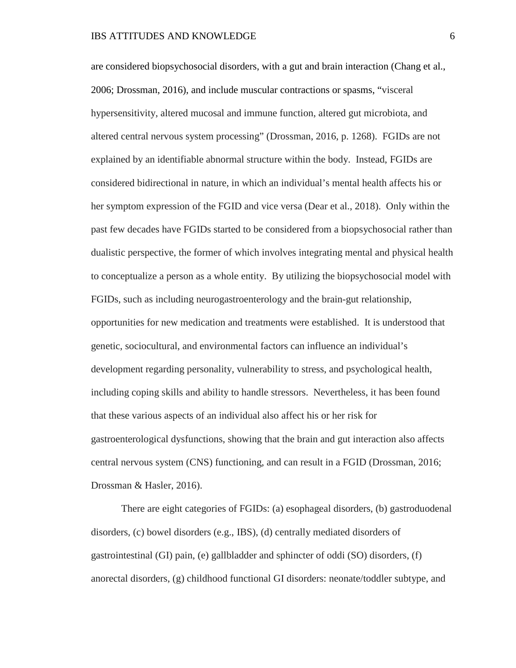are considered biopsychosocial disorders, with a gut and brain interaction (Chang et al., 2006; Drossman, 2016), and include muscular contractions or spasms, "visceral hypersensitivity, altered mucosal and immune function, altered gut microbiota, and altered central nervous system processing" (Drossman, 2016, p. 1268). FGIDs are not explained by an identifiable abnormal structure within the body. Instead, FGIDs are considered bidirectional in nature, in which an individual's mental health affects his or her symptom expression of the FGID and vice versa (Dear et al., 2018). Only within the past few decades have FGIDs started to be considered from a biopsychosocial rather than dualistic perspective, the former of which involves integrating mental and physical health to conceptualize a person as a whole entity. By utilizing the biopsychosocial model with FGIDs, such as including neurogastroenterology and the brain-gut relationship, opportunities for new medication and treatments were established. It is understood that genetic, sociocultural, and environmental factors can influence an individual's development regarding personality, vulnerability to stress, and psychological health, including coping skills and ability to handle stressors. Nevertheless, it has been found that these various aspects of an individual also affect his or her risk for gastroenterological dysfunctions, showing that the brain and gut interaction also affects central nervous system (CNS) functioning, and can result in a FGID (Drossman, 2016; Drossman & Hasler, 2016).

There are eight categories of FGIDs: (a) esophageal disorders, (b) gastroduodenal disorders, (c) bowel disorders (e.g., IBS), (d) centrally mediated disorders of gastrointestinal (GI) pain, (e) gallbladder and sphincter of oddi (SO) disorders, (f) anorectal disorders, (g) childhood functional GI disorders: neonate/toddler subtype, and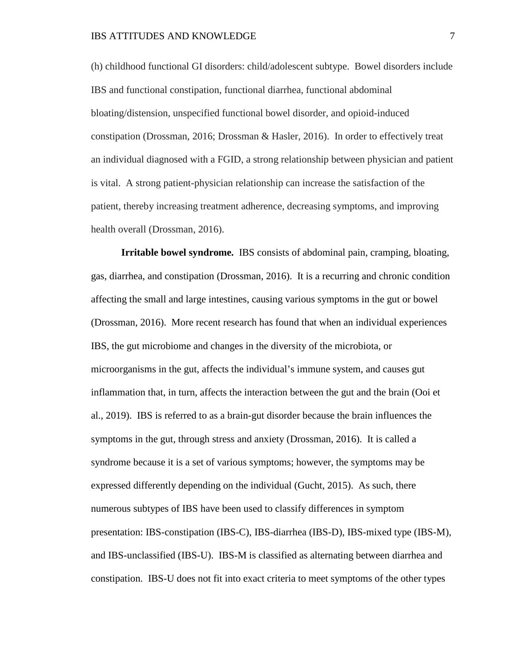(h) childhood functional GI disorders: child/adolescent subtype. Bowel disorders include IBS and functional constipation, functional diarrhea, functional abdominal bloating/distension, unspecified functional bowel disorder, and opioid-induced constipation (Drossman, 2016; Drossman & Hasler, 2016). In order to effectively treat an individual diagnosed with a FGID, a strong relationship between physician and patient is vital. A strong patient-physician relationship can increase the satisfaction of the patient, thereby increasing treatment adherence, decreasing symptoms, and improving health overall (Drossman, 2016).

**Irritable bowel syndrome.** IBS consists of abdominal pain, cramping, bloating, gas, diarrhea, and constipation (Drossman, 2016). It is a recurring and chronic condition affecting the small and large intestines, causing various symptoms in the gut or bowel (Drossman, 2016). More recent research has found that when an individual experiences IBS, the gut microbiome and changes in the diversity of the microbiota, or microorganisms in the gut, affects the individual's immune system, and causes gut inflammation that, in turn, affects the interaction between the gut and the brain (Ooi et al., 2019). IBS is referred to as a brain-gut disorder because the brain influences the symptoms in the gut, through stress and anxiety (Drossman, 2016). It is called a syndrome because it is a set of various symptoms; however, the symptoms may be expressed differently depending on the individual (Gucht, 2015). As such, there numerous subtypes of IBS have been used to classify differences in symptom presentation: IBS-constipation (IBS-C), IBS-diarrhea (IBS-D), IBS-mixed type (IBS-M), and IBS-unclassified (IBS-U). IBS-M is classified as alternating between diarrhea and constipation. IBS-U does not fit into exact criteria to meet symptoms of the other types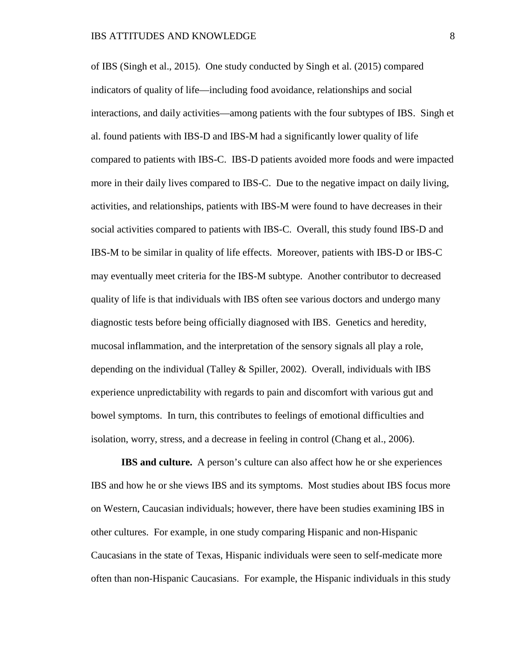of IBS (Singh et al., 2015). One study conducted by Singh et al. (2015) compared indicators of quality of life—including food avoidance, relationships and social interactions, and daily activities—among patients with the four subtypes of IBS. Singh et al. found patients with IBS-D and IBS-M had a significantly lower quality of life compared to patients with IBS-C. IBS-D patients avoided more foods and were impacted more in their daily lives compared to IBS-C. Due to the negative impact on daily living, activities, and relationships, patients with IBS-M were found to have decreases in their social activities compared to patients with IBS-C. Overall, this study found IBS-D and IBS-M to be similar in quality of life effects. Moreover, patients with IBS-D or IBS-C may eventually meet criteria for the IBS-M subtype. Another contributor to decreased quality of life is that individuals with IBS often see various doctors and undergo many diagnostic tests before being officially diagnosed with IBS. Genetics and heredity, mucosal inflammation, and the interpretation of the sensory signals all play a role, depending on the individual (Talley  $&$  Spiller, 2002). Overall, individuals with IBS experience unpredictability with regards to pain and discomfort with various gut and bowel symptoms. In turn, this contributes to feelings of emotional difficulties and isolation, worry, stress, and a decrease in feeling in control (Chang et al., 2006).

**IBS and culture.** A person's culture can also affect how he or she experiences IBS and how he or she views IBS and its symptoms. Most studies about IBS focus more on Western, Caucasian individuals; however, there have been studies examining IBS in other cultures. For example, in one study comparing Hispanic and non-Hispanic Caucasians in the state of Texas, Hispanic individuals were seen to self-medicate more often than non-Hispanic Caucasians. For example, the Hispanic individuals in this study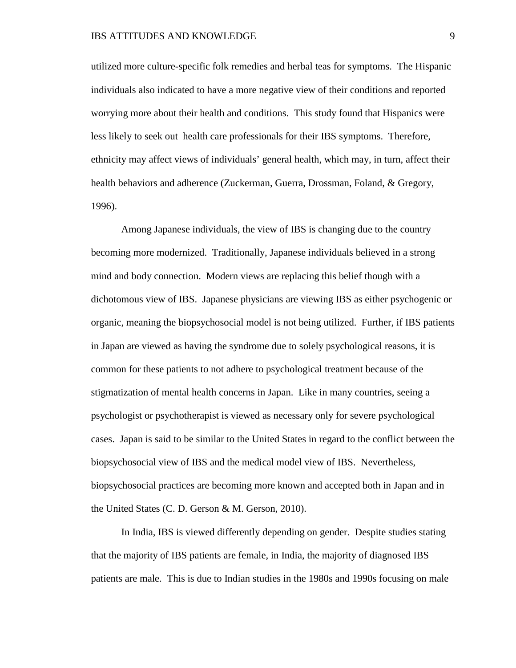utilized more culture-specific folk remedies and herbal teas for symptoms. The Hispanic individuals also indicated to have a more negative view of their conditions and reported worrying more about their health and conditions. This study found that Hispanics were less likely to seek out health care professionals for their IBS symptoms. Therefore, ethnicity may affect views of individuals' general health, which may, in turn, affect their health behaviors and adherence (Zuckerman, Guerra, Drossman, Foland, & Gregory, 1996).

Among Japanese individuals, the view of IBS is changing due to the country becoming more modernized. Traditionally, Japanese individuals believed in a strong mind and body connection. Modern views are replacing this belief though with a dichotomous view of IBS. Japanese physicians are viewing IBS as either psychogenic or organic, meaning the biopsychosocial model is not being utilized. Further, if IBS patients in Japan are viewed as having the syndrome due to solely psychological reasons, it is common for these patients to not adhere to psychological treatment because of the stigmatization of mental health concerns in Japan. Like in many countries, seeing a psychologist or psychotherapist is viewed as necessary only for severe psychological cases. Japan is said to be similar to the United States in regard to the conflict between the biopsychosocial view of IBS and the medical model view of IBS. Nevertheless, biopsychosocial practices are becoming more known and accepted both in Japan and in the United States (C. D. Gerson & M. Gerson, 2010).

 In India, IBS is viewed differently depending on gender. Despite studies stating that the majority of IBS patients are female, in India, the majority of diagnosed IBS patients are male. This is due to Indian studies in the 1980s and 1990s focusing on male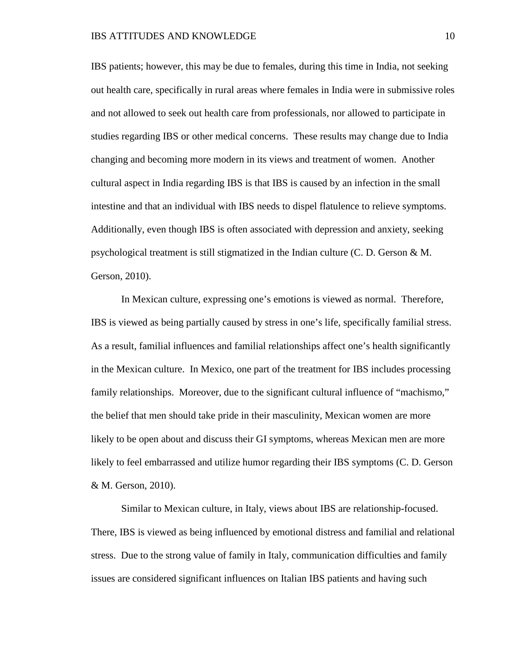IBS patients; however, this may be due to females, during this time in India, not seeking out health care, specifically in rural areas where females in India were in submissive roles and not allowed to seek out health care from professionals, nor allowed to participate in studies regarding IBS or other medical concerns. These results may change due to India changing and becoming more modern in its views and treatment of women. Another cultural aspect in India regarding IBS is that IBS is caused by an infection in the small intestine and that an individual with IBS needs to dispel flatulence to relieve symptoms. Additionally, even though IBS is often associated with depression and anxiety, seeking psychological treatment is still stigmatized in the Indian culture (C. D. Gerson & M. Gerson, 2010).

In Mexican culture, expressing one's emotions is viewed as normal. Therefore, IBS is viewed as being partially caused by stress in one's life, specifically familial stress. As a result, familial influences and familial relationships affect one's health significantly in the Mexican culture. In Mexico, one part of the treatment for IBS includes processing family relationships. Moreover, due to the significant cultural influence of "machismo," the belief that men should take pride in their masculinity, Mexican women are more likely to be open about and discuss their GI symptoms, whereas Mexican men are more likely to feel embarrassed and utilize humor regarding their IBS symptoms (C. D. Gerson & M. Gerson, 2010).

Similar to Mexican culture, in Italy, views about IBS are relationship-focused. There, IBS is viewed as being influenced by emotional distress and familial and relational stress. Due to the strong value of family in Italy, communication difficulties and family issues are considered significant influences on Italian IBS patients and having such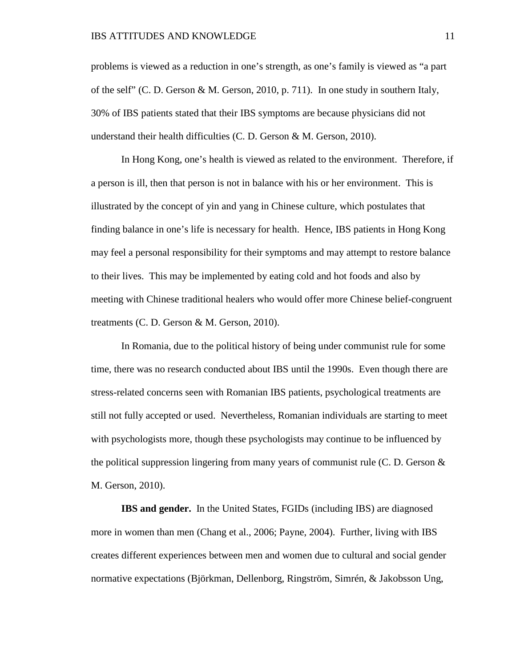problems is viewed as a reduction in one's strength, as one's family is viewed as "a part of the self" (C. D. Gerson & M. Gerson, 2010, p. 711). In one study in southern Italy, 30% of IBS patients stated that their IBS symptoms are because physicians did not understand their health difficulties (C. D. Gerson & M. Gerson, 2010).

In Hong Kong, one's health is viewed as related to the environment. Therefore, if a person is ill, then that person is not in balance with his or her environment. This is illustrated by the concept of yin and yang in Chinese culture, which postulates that finding balance in one's life is necessary for health. Hence, IBS patients in Hong Kong may feel a personal responsibility for their symptoms and may attempt to restore balance to their lives. This may be implemented by eating cold and hot foods and also by meeting with Chinese traditional healers who would offer more Chinese belief-congruent treatments (C. D. Gerson & M. Gerson, 2010).

In Romania, due to the political history of being under communist rule for some time, there was no research conducted about IBS until the 1990s. Even though there are stress-related concerns seen with Romanian IBS patients, psychological treatments are still not fully accepted or used. Nevertheless, Romanian individuals are starting to meet with psychologists more, though these psychologists may continue to be influenced by the political suppression lingering from many years of communist rule (C. D. Gerson  $\&$ M. Gerson, 2010).

**IBS and gender.** In the United States, FGIDs (including IBS) are diagnosed more in women than men (Chang et al., 2006; Payne, 2004). Further, living with IBS creates different experiences between men and women due to cultural and social gender normative expectations (Björkman, Dellenborg, Ringström, Simrén, & Jakobsson Ung,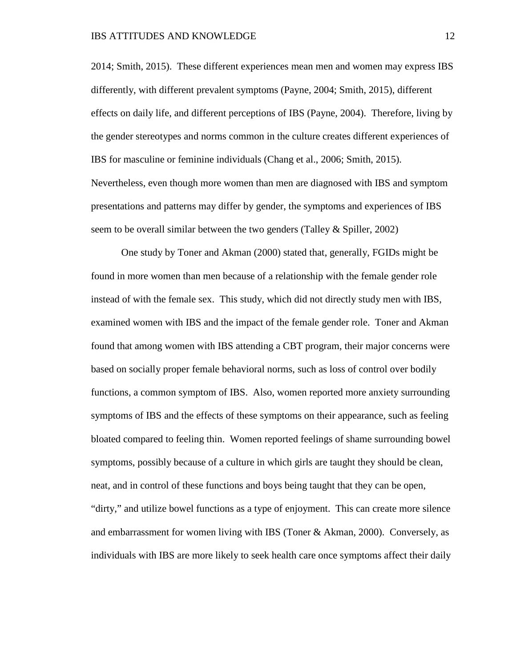2014; Smith, 2015). These different experiences mean men and women may express IBS differently, with different prevalent symptoms (Payne, 2004; Smith, 2015), different effects on daily life, and different perceptions of IBS (Payne, 2004). Therefore, living by the gender stereotypes and norms common in the culture creates different experiences of IBS for masculine or feminine individuals (Chang et al., 2006; Smith, 2015). Nevertheless, even though more women than men are diagnosed with IBS and symptom presentations and patterns may differ by gender, the symptoms and experiences of IBS seem to be overall similar between the two genders (Talley & Spiller, 2002)

One study by Toner and Akman (2000) stated that, generally, FGIDs might be found in more women than men because of a relationship with the female gender role instead of with the female sex. This study, which did not directly study men with IBS, examined women with IBS and the impact of the female gender role. Toner and Akman found that among women with IBS attending a CBT program, their major concerns were based on socially proper female behavioral norms, such as loss of control over bodily functions, a common symptom of IBS. Also, women reported more anxiety surrounding symptoms of IBS and the effects of these symptoms on their appearance, such as feeling bloated compared to feeling thin. Women reported feelings of shame surrounding bowel symptoms, possibly because of a culture in which girls are taught they should be clean, neat, and in control of these functions and boys being taught that they can be open, "dirty," and utilize bowel functions as a type of enjoyment. This can create more silence and embarrassment for women living with IBS (Toner & Akman, 2000). Conversely, as individuals with IBS are more likely to seek health care once symptoms affect their daily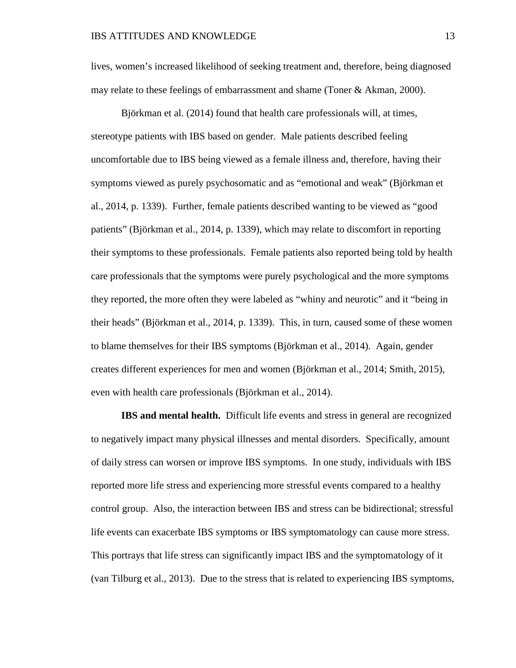lives, women's increased likelihood of seeking treatment and, therefore, being diagnosed may relate to these feelings of embarrassment and shame (Toner & Akman, 2000).

Björkman et al. (2014) found that health care professionals will, at times, stereotype patients with IBS based on gender. Male patients described feeling uncomfortable due to IBS being viewed as a female illness and, therefore, having their symptoms viewed as purely psychosomatic and as "emotional and weak" (Björkman et al., 2014, p. 1339). Further, female patients described wanting to be viewed as "good patients" (Björkman et al., 2014, p. 1339), which may relate to discomfort in reporting their symptoms to these professionals. Female patients also reported being told by health care professionals that the symptoms were purely psychological and the more symptoms they reported, the more often they were labeled as "whiny and neurotic" and it "being in their heads" (Björkman et al., 2014, p. 1339). This, in turn, caused some of these women to blame themselves for their IBS symptoms (Björkman et al., 2014). Again, gender creates different experiences for men and women (Björkman et al., 2014; Smith, 2015), even with health care professionals (Björkman et al., 2014).

**IBS and mental health.** Difficult life events and stress in general are recognized to negatively impact many physical illnesses and mental disorders. Specifically, amount of daily stress can worsen or improve IBS symptoms. In one study, individuals with IBS reported more life stress and experiencing more stressful events compared to a healthy control group. Also, the interaction between IBS and stress can be bidirectional; stressful life events can exacerbate IBS symptoms or IBS symptomatology can cause more stress. This portrays that life stress can significantly impact IBS and the symptomatology of it (van Tilburg et al., 2013). Due to the stress that is related to experiencing IBS symptoms,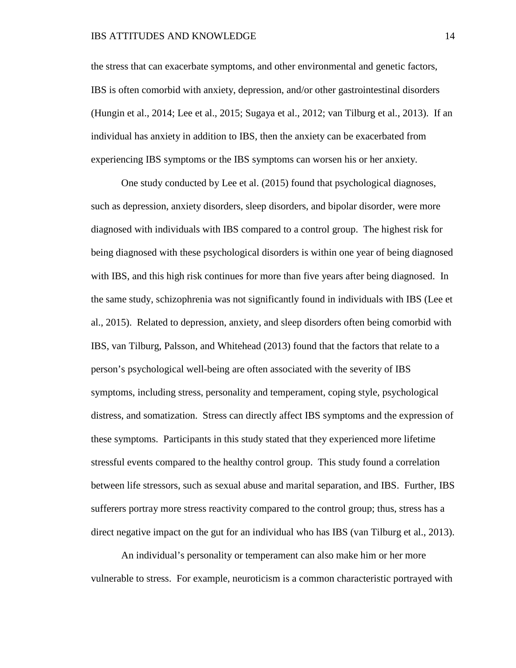the stress that can exacerbate symptoms, and other environmental and genetic factors, IBS is often comorbid with anxiety, depression, and/or other gastrointestinal disorders (Hungin et al., 2014; Lee et al., 2015; Sugaya et al., 2012; van Tilburg et al., 2013). If an individual has anxiety in addition to IBS, then the anxiety can be exacerbated from experiencing IBS symptoms or the IBS symptoms can worsen his or her anxiety.

One study conducted by Lee et al. (2015) found that psychological diagnoses, such as depression, anxiety disorders, sleep disorders, and bipolar disorder, were more diagnosed with individuals with IBS compared to a control group. The highest risk for being diagnosed with these psychological disorders is within one year of being diagnosed with IBS, and this high risk continues for more than five years after being diagnosed. In the same study, schizophrenia was not significantly found in individuals with IBS (Lee et al., 2015). Related to depression, anxiety, and sleep disorders often being comorbid with IBS, van Tilburg, Palsson, and Whitehead (2013) found that the factors that relate to a person's psychological well-being are often associated with the severity of IBS symptoms, including stress, personality and temperament, coping style, psychological distress, and somatization. Stress can directly affect IBS symptoms and the expression of these symptoms. Participants in this study stated that they experienced more lifetime stressful events compared to the healthy control group. This study found a correlation between life stressors, such as sexual abuse and marital separation, and IBS. Further, IBS sufferers portray more stress reactivity compared to the control group; thus, stress has a direct negative impact on the gut for an individual who has IBS (van Tilburg et al., 2013).

An individual's personality or temperament can also make him or her more vulnerable to stress. For example, neuroticism is a common characteristic portrayed with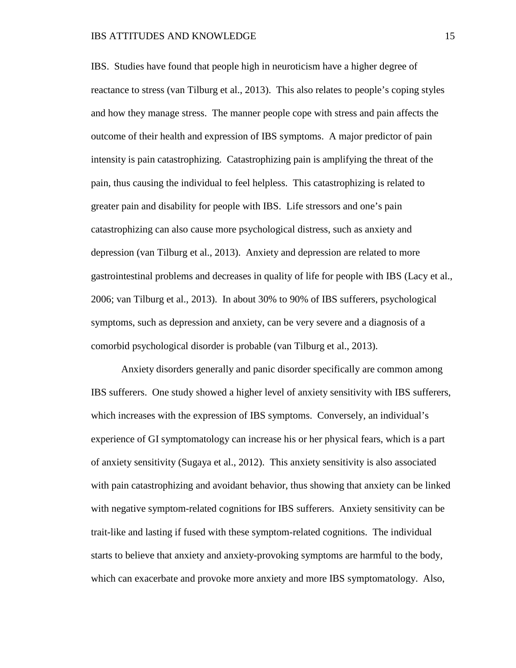IBS. Studies have found that people high in neuroticism have a higher degree of reactance to stress (van Tilburg et al., 2013). This also relates to people's coping styles and how they manage stress. The manner people cope with stress and pain affects the outcome of their health and expression of IBS symptoms. A major predictor of pain intensity is pain catastrophizing. Catastrophizing pain is amplifying the threat of the pain, thus causing the individual to feel helpless. This catastrophizing is related to greater pain and disability for people with IBS. Life stressors and one's pain catastrophizing can also cause more psychological distress, such as anxiety and depression (van Tilburg et al., 2013). Anxiety and depression are related to more gastrointestinal problems and decreases in quality of life for people with IBS (Lacy et al., 2006; van Tilburg et al., 2013). In about 30% to 90% of IBS sufferers, psychological symptoms, such as depression and anxiety, can be very severe and a diagnosis of a comorbid psychological disorder is probable (van Tilburg et al., 2013).

Anxiety disorders generally and panic disorder specifically are common among IBS sufferers. One study showed a higher level of anxiety sensitivity with IBS sufferers, which increases with the expression of IBS symptoms. Conversely, an individual's experience of GI symptomatology can increase his or her physical fears, which is a part of anxiety sensitivity (Sugaya et al., 2012). This anxiety sensitivity is also associated with pain catastrophizing and avoidant behavior, thus showing that anxiety can be linked with negative symptom-related cognitions for IBS sufferers. Anxiety sensitivity can be trait-like and lasting if fused with these symptom-related cognitions. The individual starts to believe that anxiety and anxiety-provoking symptoms are harmful to the body, which can exacerbate and provoke more anxiety and more IBS symptomatology. Also,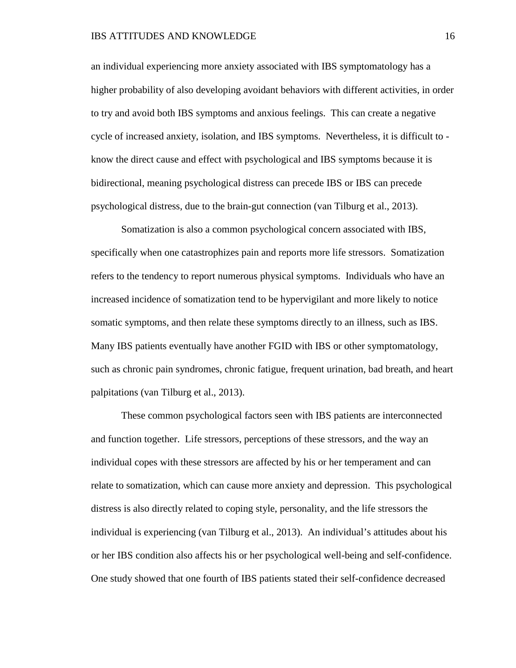an individual experiencing more anxiety associated with IBS symptomatology has a higher probability of also developing avoidant behaviors with different activities, in order to try and avoid both IBS symptoms and anxious feelings. This can create a negative cycle of increased anxiety, isolation, and IBS symptoms. Nevertheless, it is difficult to know the direct cause and effect with psychological and IBS symptoms because it is bidirectional, meaning psychological distress can precede IBS or IBS can precede psychological distress, due to the brain-gut connection (van Tilburg et al., 2013).

Somatization is also a common psychological concern associated with IBS, specifically when one catastrophizes pain and reports more life stressors. Somatization refers to the tendency to report numerous physical symptoms. Individuals who have an increased incidence of somatization tend to be hypervigilant and more likely to notice somatic symptoms, and then relate these symptoms directly to an illness, such as IBS. Many IBS patients eventually have another FGID with IBS or other symptomatology, such as chronic pain syndromes, chronic fatigue, frequent urination, bad breath, and heart palpitations (van Tilburg et al., 2013).

These common psychological factors seen with IBS patients are interconnected and function together. Life stressors, perceptions of these stressors, and the way an individual copes with these stressors are affected by his or her temperament and can relate to somatization, which can cause more anxiety and depression. This psychological distress is also directly related to coping style, personality, and the life stressors the individual is experiencing (van Tilburg et al., 2013). An individual's attitudes about his or her IBS condition also affects his or her psychological well-being and self-confidence. One study showed that one fourth of IBS patients stated their self-confidence decreased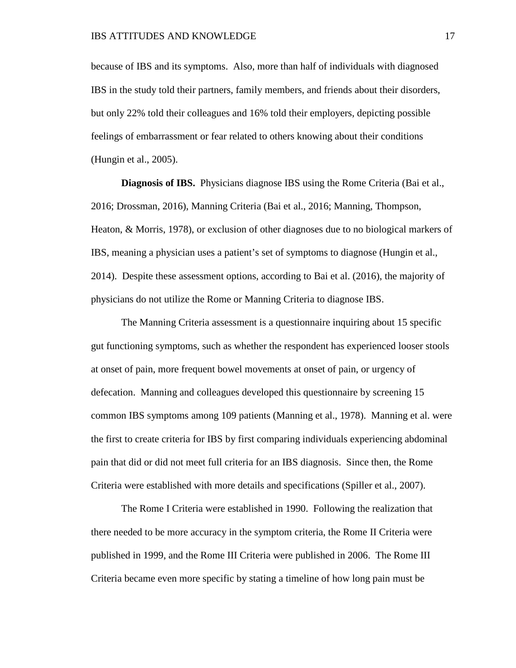because of IBS and its symptoms. Also, more than half of individuals with diagnosed IBS in the study told their partners, family members, and friends about their disorders, but only 22% told their colleagues and 16% told their employers, depicting possible feelings of embarrassment or fear related to others knowing about their conditions (Hungin et al., 2005).

**Diagnosis of IBS.** Physicians diagnose IBS using the Rome Criteria (Bai et al., 2016; Drossman, 2016), Manning Criteria (Bai et al., 2016; Manning, Thompson, Heaton, & Morris, 1978), or exclusion of other diagnoses due to no biological markers of IBS, meaning a physician uses a patient's set of symptoms to diagnose (Hungin et al., 2014). Despite these assessment options, according to Bai et al. (2016), the majority of physicians do not utilize the Rome or Manning Criteria to diagnose IBS.

The Manning Criteria assessment is a questionnaire inquiring about 15 specific gut functioning symptoms, such as whether the respondent has experienced looser stools at onset of pain, more frequent bowel movements at onset of pain, or urgency of defecation. Manning and colleagues developed this questionnaire by screening 15 common IBS symptoms among 109 patients (Manning et al., 1978). Manning et al. were the first to create criteria for IBS by first comparing individuals experiencing abdominal pain that did or did not meet full criteria for an IBS diagnosis. Since then, the Rome Criteria were established with more details and specifications (Spiller et al., 2007).

The Rome I Criteria were established in 1990. Following the realization that there needed to be more accuracy in the symptom criteria, the Rome II Criteria were published in 1999, and the Rome III Criteria were published in 2006. The Rome III Criteria became even more specific by stating a timeline of how long pain must be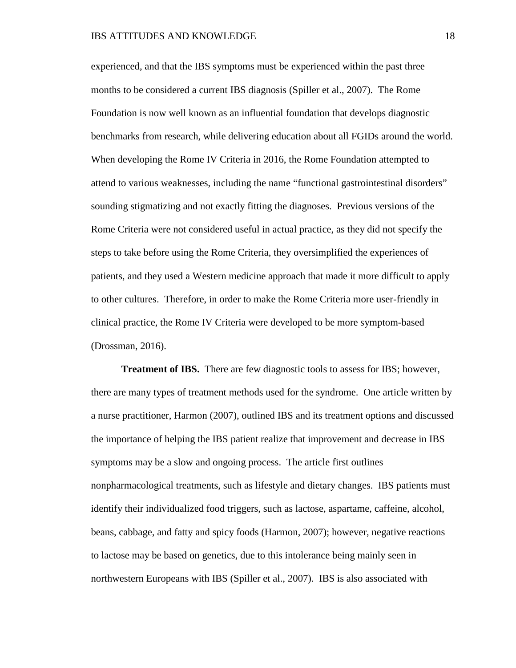experienced, and that the IBS symptoms must be experienced within the past three months to be considered a current IBS diagnosis (Spiller et al., 2007). The Rome Foundation is now well known as an influential foundation that develops diagnostic benchmarks from research, while delivering education about all FGIDs around the world. When developing the Rome IV Criteria in 2016, the Rome Foundation attempted to attend to various weaknesses, including the name "functional gastrointestinal disorders" sounding stigmatizing and not exactly fitting the diagnoses. Previous versions of the Rome Criteria were not considered useful in actual practice, as they did not specify the steps to take before using the Rome Criteria, they oversimplified the experiences of patients, and they used a Western medicine approach that made it more difficult to apply to other cultures. Therefore, in order to make the Rome Criteria more user-friendly in clinical practice, the Rome IV Criteria were developed to be more symptom-based (Drossman, 2016).

**Treatment of IBS.** There are few diagnostic tools to assess for IBS; however, there are many types of treatment methods used for the syndrome. One article written by a nurse practitioner, Harmon (2007), outlined IBS and its treatment options and discussed the importance of helping the IBS patient realize that improvement and decrease in IBS symptoms may be a slow and ongoing process. The article first outlines nonpharmacological treatments, such as lifestyle and dietary changes. IBS patients must identify their individualized food triggers, such as lactose, aspartame, caffeine, alcohol, beans, cabbage, and fatty and spicy foods (Harmon, 2007); however, negative reactions to lactose may be based on genetics, due to this intolerance being mainly seen in northwestern Europeans with IBS (Spiller et al., 2007). IBS is also associated with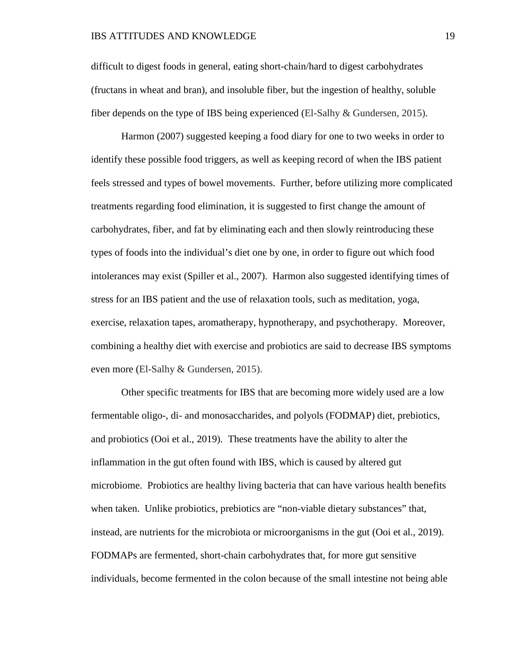difficult to digest foods in general, eating short-chain/hard to digest carbohydrates (fructans in wheat and bran), and insoluble fiber, but the ingestion of healthy, soluble fiber depends on the type of IBS being experienced (El-Salhy & Gundersen, 2015).

Harmon (2007) suggested keeping a food diary for one to two weeks in order to identify these possible food triggers, as well as keeping record of when the IBS patient feels stressed and types of bowel movements. Further, before utilizing more complicated treatments regarding food elimination, it is suggested to first change the amount of carbohydrates, fiber, and fat by eliminating each and then slowly reintroducing these types of foods into the individual's diet one by one, in order to figure out which food intolerances may exist (Spiller et al., 2007). Harmon also suggested identifying times of stress for an IBS patient and the use of relaxation tools, such as meditation, yoga, exercise, relaxation tapes, aromatherapy, hypnotherapy, and psychotherapy. Moreover, combining a healthy diet with exercise and probiotics are said to decrease IBS symptoms even more (El-Salhy & Gundersen, 2015).

Other specific treatments for IBS that are becoming more widely used are a low fermentable oligo-, di- and monosaccharides, and polyols (FODMAP) diet, prebiotics, and probiotics (Ooi et al., 2019). These treatments have the ability to alter the inflammation in the gut often found with IBS, which is caused by altered gut microbiome. Probiotics are healthy living bacteria that can have various health benefits when taken. Unlike probiotics, prebiotics are "non-viable dietary substances" that, instead, are nutrients for the microbiota or microorganisms in the gut (Ooi et al., 2019). FODMAPs are fermented, short-chain carbohydrates that, for more gut sensitive individuals, become fermented in the colon because of the small intestine not being able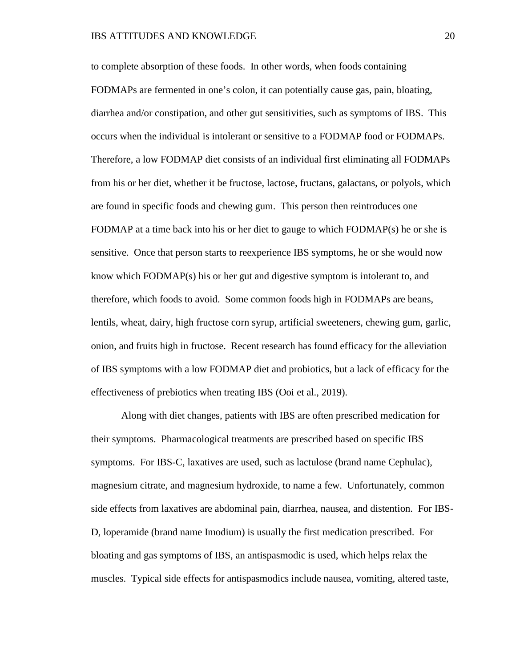to complete absorption of these foods. In other words, when foods containing FODMAPs are fermented in one's colon, it can potentially cause gas, pain, bloating, diarrhea and/or constipation, and other gut sensitivities, such as symptoms of IBS. This occurs when the individual is intolerant or sensitive to a FODMAP food or FODMAPs. Therefore, a low FODMAP diet consists of an individual first eliminating all FODMAPs from his or her diet, whether it be fructose, lactose, fructans, galactans, or polyols, which are found in specific foods and chewing gum. This person then reintroduces one FODMAP at a time back into his or her diet to gauge to which FODMAP(s) he or she is sensitive. Once that person starts to reexperience IBS symptoms, he or she would now know which FODMAP(s) his or her gut and digestive symptom is intolerant to, and therefore, which foods to avoid. Some common foods high in FODMAPs are beans, lentils, wheat, dairy, high fructose corn syrup, artificial sweeteners, chewing gum, garlic, onion, and fruits high in fructose. Recent research has found efficacy for the alleviation of IBS symptoms with a low FODMAP diet and probiotics, but a lack of efficacy for the effectiveness of prebiotics when treating IBS (Ooi et al., 2019).

Along with diet changes, patients with IBS are often prescribed medication for their symptoms. Pharmacological treatments are prescribed based on specific IBS symptoms. For IBS-C, laxatives are used, such as lactulose (brand name Cephulac), magnesium citrate, and magnesium hydroxide, to name a few. Unfortunately, common side effects from laxatives are abdominal pain, diarrhea, nausea, and distention. For IBS-D, loperamide (brand name Imodium) is usually the first medication prescribed. For bloating and gas symptoms of IBS, an antispasmodic is used, which helps relax the muscles. Typical side effects for antispasmodics include nausea, vomiting, altered taste,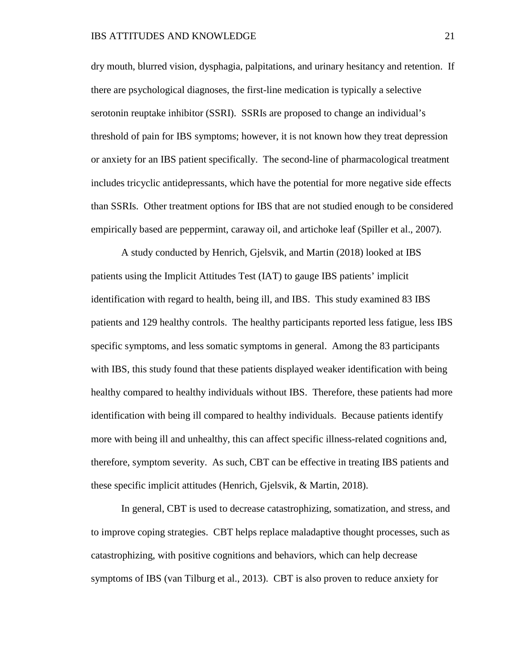dry mouth, blurred vision, dysphagia, palpitations, and urinary hesitancy and retention. If there are psychological diagnoses, the first-line medication is typically a selective serotonin reuptake inhibitor (SSRI). SSRIs are proposed to change an individual's threshold of pain for IBS symptoms; however, it is not known how they treat depression or anxiety for an IBS patient specifically. The second-line of pharmacological treatment includes tricyclic antidepressants, which have the potential for more negative side effects than SSRIs. Other treatment options for IBS that are not studied enough to be considered empirically based are peppermint, caraway oil, and artichoke leaf (Spiller et al., 2007).

A study conducted by Henrich, Gjelsvik, and Martin (2018) looked at IBS patients using the Implicit Attitudes Test (IAT) to gauge IBS patients' implicit identification with regard to health, being ill, and IBS. This study examined 83 IBS patients and 129 healthy controls. The healthy participants reported less fatigue, less IBS specific symptoms, and less somatic symptoms in general. Among the 83 participants with IBS, this study found that these patients displayed weaker identification with being healthy compared to healthy individuals without IBS. Therefore, these patients had more identification with being ill compared to healthy individuals. Because patients identify more with being ill and unhealthy, this can affect specific illness-related cognitions and, therefore, symptom severity. As such, CBT can be effective in treating IBS patients and these specific implicit attitudes (Henrich, Gjelsvik, & Martin, 2018).

In general, CBT is used to decrease catastrophizing, somatization, and stress, and to improve coping strategies. CBT helps replace maladaptive thought processes, such as catastrophizing, with positive cognitions and behaviors, which can help decrease symptoms of IBS (van Tilburg et al., 2013). CBT is also proven to reduce anxiety for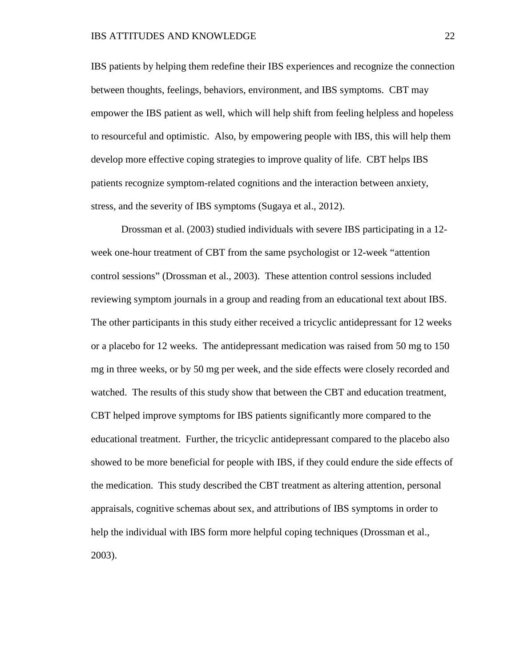IBS patients by helping them redefine their IBS experiences and recognize the connection between thoughts, feelings, behaviors, environment, and IBS symptoms. CBT may empower the IBS patient as well, which will help shift from feeling helpless and hopeless to resourceful and optimistic. Also, by empowering people with IBS, this will help them develop more effective coping strategies to improve quality of life. CBT helps IBS patients recognize symptom-related cognitions and the interaction between anxiety, stress, and the severity of IBS symptoms (Sugaya et al., 2012).

Drossman et al. (2003) studied individuals with severe IBS participating in a 12 week one-hour treatment of CBT from the same psychologist or 12-week "attention control sessions" (Drossman et al., 2003). These attention control sessions included reviewing symptom journals in a group and reading from an educational text about IBS. The other participants in this study either received a tricyclic antidepressant for 12 weeks or a placebo for 12 weeks. The antidepressant medication was raised from 50 mg to 150 mg in three weeks, or by 50 mg per week, and the side effects were closely recorded and watched. The results of this study show that between the CBT and education treatment, CBT helped improve symptoms for IBS patients significantly more compared to the educational treatment. Further, the tricyclic antidepressant compared to the placebo also showed to be more beneficial for people with IBS, if they could endure the side effects of the medication. This study described the CBT treatment as altering attention, personal appraisals, cognitive schemas about sex, and attributions of IBS symptoms in order to help the individual with IBS form more helpful coping techniques (Drossman et al., 2003).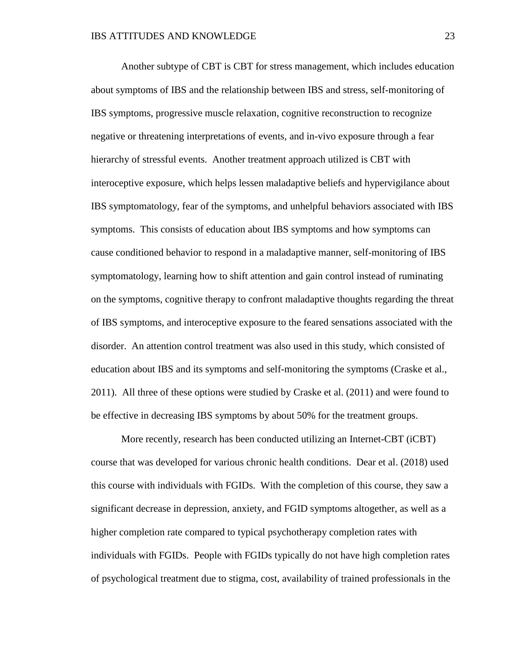Another subtype of CBT is CBT for stress management, which includes education about symptoms of IBS and the relationship between IBS and stress, self-monitoring of IBS symptoms, progressive muscle relaxation, cognitive reconstruction to recognize negative or threatening interpretations of events, and in-vivo exposure through a fear hierarchy of stressful events. Another treatment approach utilized is CBT with interoceptive exposure, which helps lessen maladaptive beliefs and hypervigilance about IBS symptomatology, fear of the symptoms, and unhelpful behaviors associated with IBS symptoms. This consists of education about IBS symptoms and how symptoms can cause conditioned behavior to respond in a maladaptive manner, self-monitoring of IBS symptomatology, learning how to shift attention and gain control instead of ruminating on the symptoms, cognitive therapy to confront maladaptive thoughts regarding the threat of IBS symptoms, and interoceptive exposure to the feared sensations associated with the disorder. An attention control treatment was also used in this study, which consisted of education about IBS and its symptoms and self-monitoring the symptoms (Craske et al., 2011). All three of these options were studied by Craske et al. (2011) and were found to be effective in decreasing IBS symptoms by about 50% for the treatment groups.

More recently, research has been conducted utilizing an Internet-CBT (iCBT) course that was developed for various chronic health conditions. Dear et al. (2018) used this course with individuals with FGIDs. With the completion of this course, they saw a significant decrease in depression, anxiety, and FGID symptoms altogether, as well as a higher completion rate compared to typical psychotherapy completion rates with individuals with FGIDs. People with FGIDs typically do not have high completion rates of psychological treatment due to stigma, cost, availability of trained professionals in the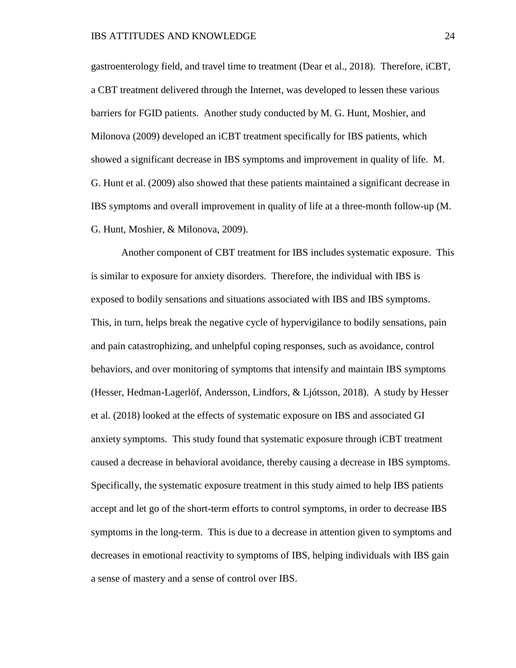gastroenterology field, and travel time to treatment (Dear et al., 2018). Therefore, iCBT, a CBT treatment delivered through the Internet, was developed to lessen these various barriers for FGID patients. Another study conducted by M. G. Hunt, Moshier, and Milonova (2009) developed an iCBT treatment specifically for IBS patients, which showed a significant decrease in IBS symptoms and improvement in quality of life. M. G. Hunt et al. (2009) also showed that these patients maintained a significant decrease in IBS symptoms and overall improvement in quality of life at a three-month follow-up (M. G. Hunt, Moshier, & Milonova, 2009).

Another component of CBT treatment for IBS includes systematic exposure. This is similar to exposure for anxiety disorders. Therefore, the individual with IBS is exposed to bodily sensations and situations associated with IBS and IBS symptoms. This, in turn, helps break the negative cycle of hypervigilance to bodily sensations, pain and pain catastrophizing, and unhelpful coping responses, such as avoidance, control behaviors, and over monitoring of symptoms that intensify and maintain IBS symptoms (Hesser, Hedman-Lagerlöf, Andersson, Lindfors, & Ljótsson, 2018). A study by Hesser et al. (2018) looked at the effects of systematic exposure on IBS and associated GI anxiety symptoms. This study found that systematic exposure through iCBT treatment caused a decrease in behavioral avoidance, thereby causing a decrease in IBS symptoms. Specifically, the systematic exposure treatment in this study aimed to help IBS patients accept and let go of the short-term efforts to control symptoms, in order to decrease IBS symptoms in the long-term. This is due to a decrease in attention given to symptoms and decreases in emotional reactivity to symptoms of IBS, helping individuals with IBS gain a sense of mastery and a sense of control over IBS.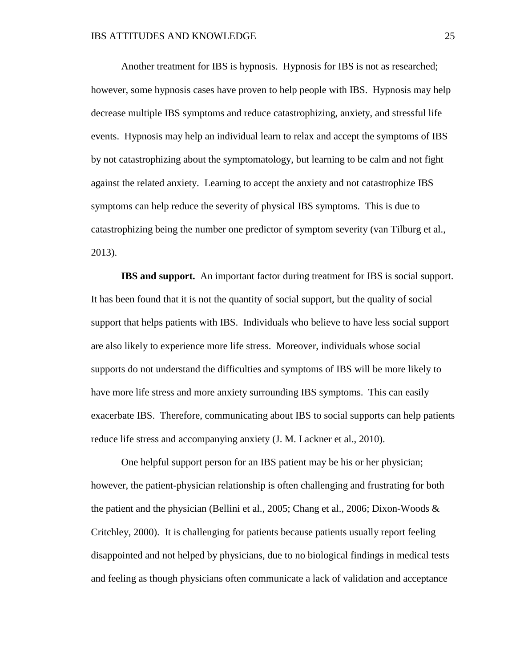Another treatment for IBS is hypnosis. Hypnosis for IBS is not as researched; however, some hypnosis cases have proven to help people with IBS. Hypnosis may help decrease multiple IBS symptoms and reduce catastrophizing, anxiety, and stressful life events. Hypnosis may help an individual learn to relax and accept the symptoms of IBS by not catastrophizing about the symptomatology, but learning to be calm and not fight against the related anxiety. Learning to accept the anxiety and not catastrophize IBS symptoms can help reduce the severity of physical IBS symptoms. This is due to catastrophizing being the number one predictor of symptom severity (van Tilburg et al., 2013).

**IBS and support.** An important factor during treatment for IBS is social support. It has been found that it is not the quantity of social support, but the quality of social support that helps patients with IBS. Individuals who believe to have less social support are also likely to experience more life stress. Moreover, individuals whose social supports do not understand the difficulties and symptoms of IBS will be more likely to have more life stress and more anxiety surrounding IBS symptoms. This can easily exacerbate IBS. Therefore, communicating about IBS to social supports can help patients reduce life stress and accompanying anxiety (J. M. Lackner et al., 2010).

One helpful support person for an IBS patient may be his or her physician; however, the patient-physician relationship is often challenging and frustrating for both the patient and the physician (Bellini et al., 2005; Chang et al., 2006; Dixon-Woods  $\&$ Critchley, 2000). It is challenging for patients because patients usually report feeling disappointed and not helped by physicians, due to no biological findings in medical tests and feeling as though physicians often communicate a lack of validation and acceptance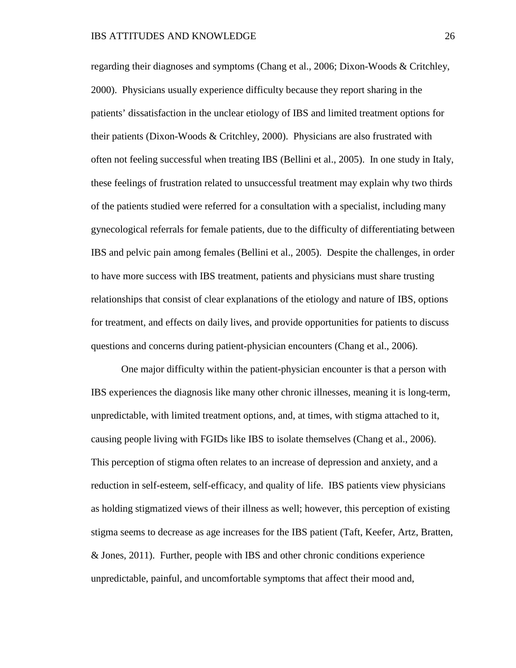regarding their diagnoses and symptoms (Chang et al., 2006; Dixon-Woods & Critchley, 2000). Physicians usually experience difficulty because they report sharing in the patients' dissatisfaction in the unclear etiology of IBS and limited treatment options for their patients (Dixon-Woods & Critchley, 2000). Physicians are also frustrated with often not feeling successful when treating IBS (Bellini et al., 2005). In one study in Italy, these feelings of frustration related to unsuccessful treatment may explain why two thirds of the patients studied were referred for a consultation with a specialist, including many gynecological referrals for female patients, due to the difficulty of differentiating between IBS and pelvic pain among females (Bellini et al., 2005). Despite the challenges, in order to have more success with IBS treatment, patients and physicians must share trusting relationships that consist of clear explanations of the etiology and nature of IBS, options for treatment, and effects on daily lives, and provide opportunities for patients to discuss questions and concerns during patient-physician encounters (Chang et al., 2006).

One major difficulty within the patient-physician encounter is that a person with IBS experiences the diagnosis like many other chronic illnesses, meaning it is long-term, unpredictable, with limited treatment options, and, at times, with stigma attached to it, causing people living with FGIDs like IBS to isolate themselves (Chang et al., 2006). This perception of stigma often relates to an increase of depression and anxiety, and a reduction in self-esteem, self-efficacy, and quality of life. IBS patients view physicians as holding stigmatized views of their illness as well; however, this perception of existing stigma seems to decrease as age increases for the IBS patient (Taft, Keefer, Artz, Bratten, & Jones, 2011). Further, people with IBS and other chronic conditions experience unpredictable, painful, and uncomfortable symptoms that affect their mood and,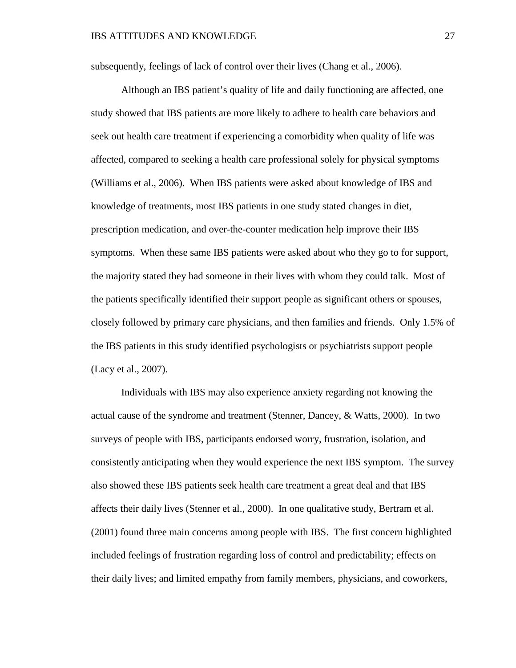subsequently, feelings of lack of control over their lives (Chang et al., 2006).

Although an IBS patient's quality of life and daily functioning are affected, one study showed that IBS patients are more likely to adhere to health care behaviors and seek out health care treatment if experiencing a comorbidity when quality of life was affected, compared to seeking a health care professional solely for physical symptoms (Williams et al., 2006). When IBS patients were asked about knowledge of IBS and knowledge of treatments, most IBS patients in one study stated changes in diet, prescription medication, and over-the-counter medication help improve their IBS symptoms. When these same IBS patients were asked about who they go to for support, the majority stated they had someone in their lives with whom they could talk. Most of the patients specifically identified their support people as significant others or spouses, closely followed by primary care physicians, and then families and friends. Only 1.5% of the IBS patients in this study identified psychologists or psychiatrists support people (Lacy et al., 2007).

Individuals with IBS may also experience anxiety regarding not knowing the actual cause of the syndrome and treatment (Stenner, Dancey, & Watts, 2000). In two surveys of people with IBS, participants endorsed worry, frustration, isolation, and consistently anticipating when they would experience the next IBS symptom. The survey also showed these IBS patients seek health care treatment a great deal and that IBS affects their daily lives (Stenner et al., 2000). In one qualitative study, Bertram et al. (2001) found three main concerns among people with IBS. The first concern highlighted included feelings of frustration regarding loss of control and predictability; effects on their daily lives; and limited empathy from family members, physicians, and coworkers,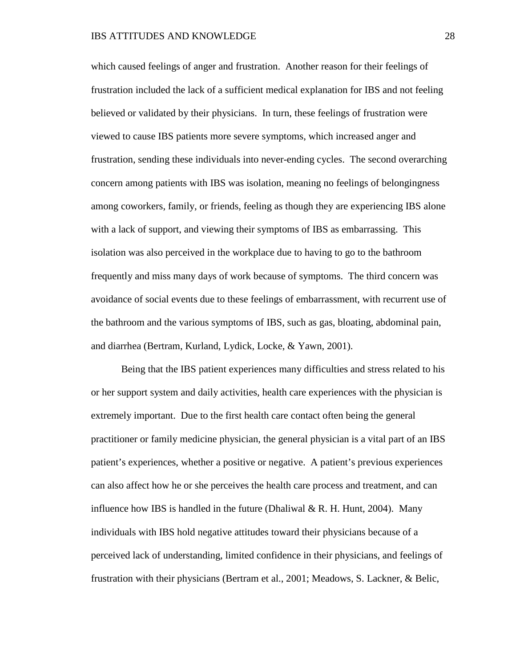which caused feelings of anger and frustration. Another reason for their feelings of frustration included the lack of a sufficient medical explanation for IBS and not feeling believed or validated by their physicians. In turn, these feelings of frustration were viewed to cause IBS patients more severe symptoms, which increased anger and frustration, sending these individuals into never-ending cycles. The second overarching concern among patients with IBS was isolation, meaning no feelings of belongingness among coworkers, family, or friends, feeling as though they are experiencing IBS alone with a lack of support, and viewing their symptoms of IBS as embarrassing. This isolation was also perceived in the workplace due to having to go to the bathroom frequently and miss many days of work because of symptoms. The third concern was avoidance of social events due to these feelings of embarrassment, with recurrent use of the bathroom and the various symptoms of IBS, such as gas, bloating, abdominal pain, and diarrhea (Bertram, Kurland, Lydick, Locke, & Yawn, 2001).

Being that the IBS patient experiences many difficulties and stress related to his or her support system and daily activities, health care experiences with the physician is extremely important. Due to the first health care contact often being the general practitioner or family medicine physician, the general physician is a vital part of an IBS patient's experiences, whether a positive or negative. A patient's previous experiences can also affect how he or she perceives the health care process and treatment, and can influence how IBS is handled in the future (Dhaliwal  $\&$  R. H. Hunt, 2004). Many individuals with IBS hold negative attitudes toward their physicians because of a perceived lack of understanding, limited confidence in their physicians, and feelings of frustration with their physicians (Bertram et al., 2001; Meadows, S. Lackner, & Belic,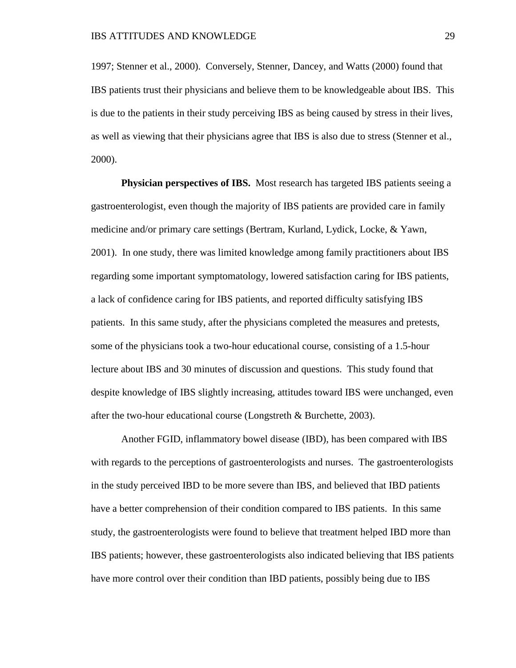1997; Stenner et al., 2000). Conversely, Stenner, Dancey, and Watts (2000) found that IBS patients trust their physicians and believe them to be knowledgeable about IBS. This is due to the patients in their study perceiving IBS as being caused by stress in their lives, as well as viewing that their physicians agree that IBS is also due to stress (Stenner et al., 2000).

**Physician perspectives of IBS.** Most research has targeted IBS patients seeing a gastroenterologist, even though the majority of IBS patients are provided care in family medicine and/or primary care settings (Bertram, Kurland, Lydick, Locke, & Yawn, 2001). In one study, there was limited knowledge among family practitioners about IBS regarding some important symptomatology, lowered satisfaction caring for IBS patients, a lack of confidence caring for IBS patients, and reported difficulty satisfying IBS patients. In this same study, after the physicians completed the measures and pretests, some of the physicians took a two-hour educational course, consisting of a 1.5-hour lecture about IBS and 30 minutes of discussion and questions. This study found that despite knowledge of IBS slightly increasing, attitudes toward IBS were unchanged, even after the two-hour educational course (Longstreth & Burchette, 2003).

Another FGID, inflammatory bowel disease (IBD), has been compared with IBS with regards to the perceptions of gastroenterologists and nurses. The gastroenterologists in the study perceived IBD to be more severe than IBS, and believed that IBD patients have a better comprehension of their condition compared to IBS patients. In this same study, the gastroenterologists were found to believe that treatment helped IBD more than IBS patients; however, these gastroenterologists also indicated believing that IBS patients have more control over their condition than IBD patients, possibly being due to IBS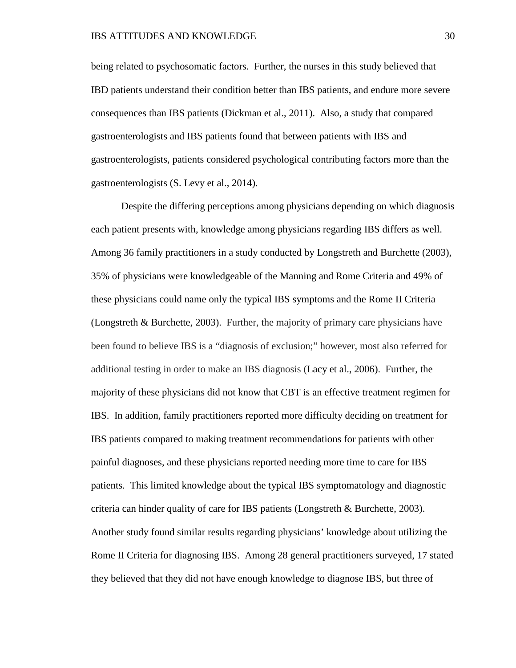being related to psychosomatic factors. Further, the nurses in this study believed that IBD patients understand their condition better than IBS patients, and endure more severe consequences than IBS patients (Dickman et al., 2011). Also, a study that compared gastroenterologists and IBS patients found that between patients with IBS and gastroenterologists, patients considered psychological contributing factors more than the gastroenterologists (S. Levy et al., 2014).

Despite the differing perceptions among physicians depending on which diagnosis each patient presents with, knowledge among physicians regarding IBS differs as well. Among 36 family practitioners in a study conducted by Longstreth and Burchette (2003), 35% of physicians were knowledgeable of the Manning and Rome Criteria and 49% of these physicians could name only the typical IBS symptoms and the Rome II Criteria (Longstreth & Burchette, 2003). Further, the majority of primary care physicians have been found to believe IBS is a "diagnosis of exclusion;" however, most also referred for additional testing in order to make an IBS diagnosis (Lacy et al., 2006). Further, the majority of these physicians did not know that CBT is an effective treatment regimen for IBS. In addition, family practitioners reported more difficulty deciding on treatment for IBS patients compared to making treatment recommendations for patients with other painful diagnoses, and these physicians reported needing more time to care for IBS patients. This limited knowledge about the typical IBS symptomatology and diagnostic criteria can hinder quality of care for IBS patients (Longstreth & Burchette, 2003). Another study found similar results regarding physicians' knowledge about utilizing the Rome II Criteria for diagnosing IBS. Among 28 general practitioners surveyed, 17 stated they believed that they did not have enough knowledge to diagnose IBS, but three of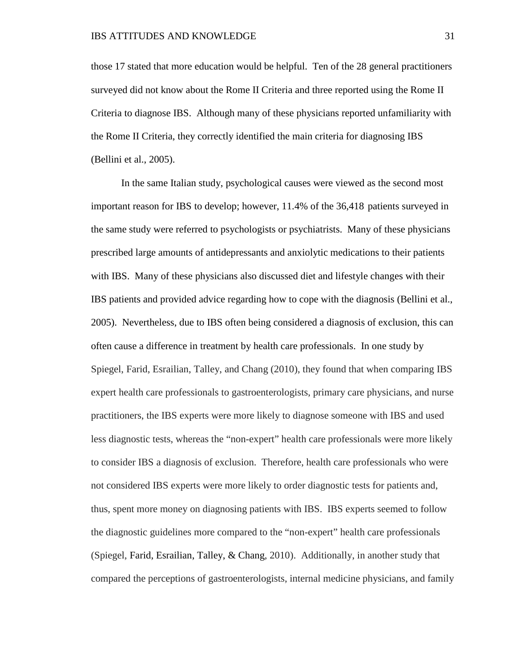those 17 stated that more education would be helpful. Ten of the 28 general practitioners surveyed did not know about the Rome II Criteria and three reported using the Rome II Criteria to diagnose IBS. Although many of these physicians reported unfamiliarity with the Rome II Criteria, they correctly identified the main criteria for diagnosing IBS (Bellini et al., 2005).

In the same Italian study, psychological causes were viewed as the second most important reason for IBS to develop; however, 11.4% of the 36,418 patients surveyed in the same study were referred to psychologists or psychiatrists. Many of these physicians prescribed large amounts of antidepressants and anxiolytic medications to their patients with IBS. Many of these physicians also discussed diet and lifestyle changes with their IBS patients and provided advice regarding how to cope with the diagnosis (Bellini et al., 2005). Nevertheless, due to IBS often being considered a diagnosis of exclusion, this can often cause a difference in treatment by health care professionals. In one study by Spiegel, Farid, Esrailian, Talley, and Chang (2010), they found that when comparing IBS expert health care professionals to gastroenterologists, primary care physicians, and nurse practitioners, the IBS experts were more likely to diagnose someone with IBS and used less diagnostic tests, whereas the "non-expert" health care professionals were more likely to consider IBS a diagnosis of exclusion. Therefore, health care professionals who were not considered IBS experts were more likely to order diagnostic tests for patients and, thus, spent more money on diagnosing patients with IBS. IBS experts seemed to follow the diagnostic guidelines more compared to the "non-expert" health care professionals (Spiegel, Farid, Esrailian, Talley, & Chang, 2010). Additionally, in another study that compared the perceptions of gastroenterologists, internal medicine physicians, and family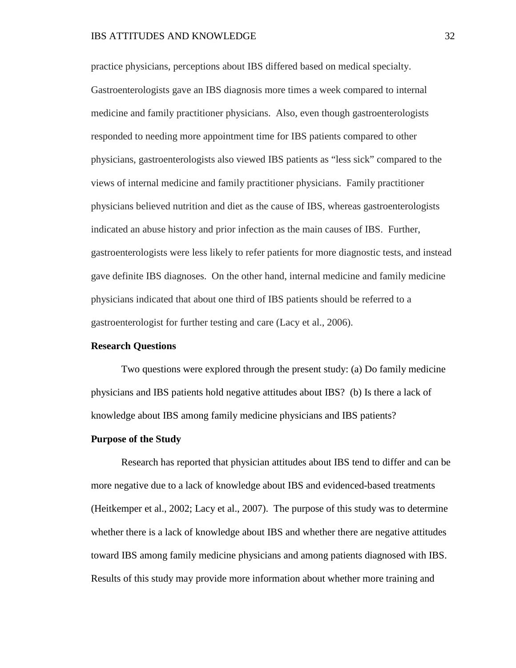## IBS ATTITUDES AND KNOWLEDGE 32

practice physicians, perceptions about IBS differed based on medical specialty. Gastroenterologists gave an IBS diagnosis more times a week compared to internal medicine and family practitioner physicians. Also, even though gastroenterologists responded to needing more appointment time for IBS patients compared to other physicians, gastroenterologists also viewed IBS patients as "less sick" compared to the views of internal medicine and family practitioner physicians. Family practitioner physicians believed nutrition and diet as the cause of IBS, whereas gastroenterologists indicated an abuse history and prior infection as the main causes of IBS. Further, gastroenterologists were less likely to refer patients for more diagnostic tests, and instead gave definite IBS diagnoses. On the other hand, internal medicine and family medicine physicians indicated that about one third of IBS patients should be referred to a gastroenterologist for further testing and care (Lacy et al., 2006).

## **Research Questions**

Two questions were explored through the present study: (a) Do family medicine physicians and IBS patients hold negative attitudes about IBS? (b) Is there a lack of knowledge about IBS among family medicine physicians and IBS patients?

#### **Purpose of the Study**

Research has reported that physician attitudes about IBS tend to differ and can be more negative due to a lack of knowledge about IBS and evidenced-based treatments (Heitkemper et al., 2002; Lacy et al., 2007). The purpose of this study was to determine whether there is a lack of knowledge about IBS and whether there are negative attitudes toward IBS among family medicine physicians and among patients diagnosed with IBS. Results of this study may provide more information about whether more training and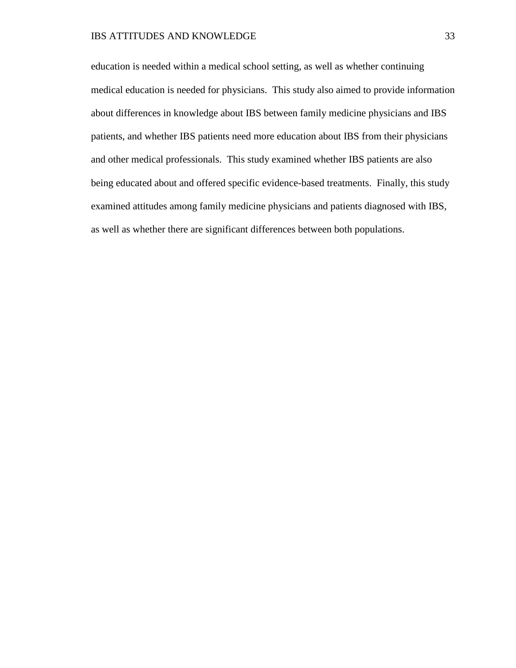education is needed within a medical school setting, as well as whether continuing medical education is needed for physicians. This study also aimed to provide information about differences in knowledge about IBS between family medicine physicians and IBS patients, and whether IBS patients need more education about IBS from their physicians and other medical professionals. This study examined whether IBS patients are also being educated about and offered specific evidence-based treatments. Finally, this study examined attitudes among family medicine physicians and patients diagnosed with IBS, as well as whether there are significant differences between both populations.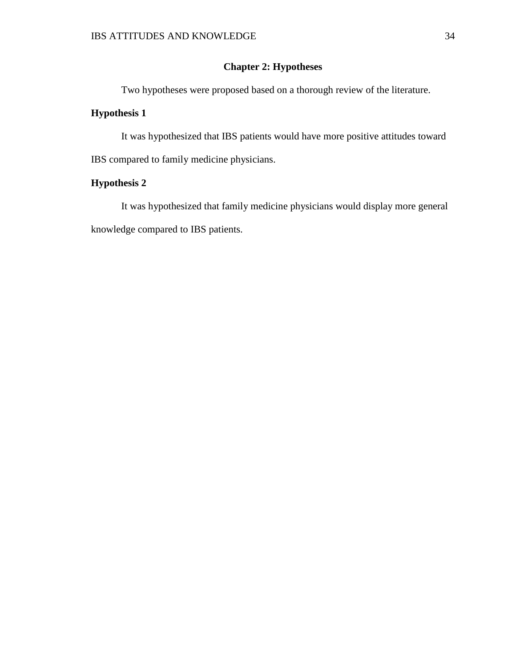# **Chapter 2: Hypotheses**

Two hypotheses were proposed based on a thorough review of the literature.

# **Hypothesis 1**

It was hypothesized that IBS patients would have more positive attitudes toward IBS compared to family medicine physicians.

# **Hypothesis 2**

It was hypothesized that family medicine physicians would display more general knowledge compared to IBS patients.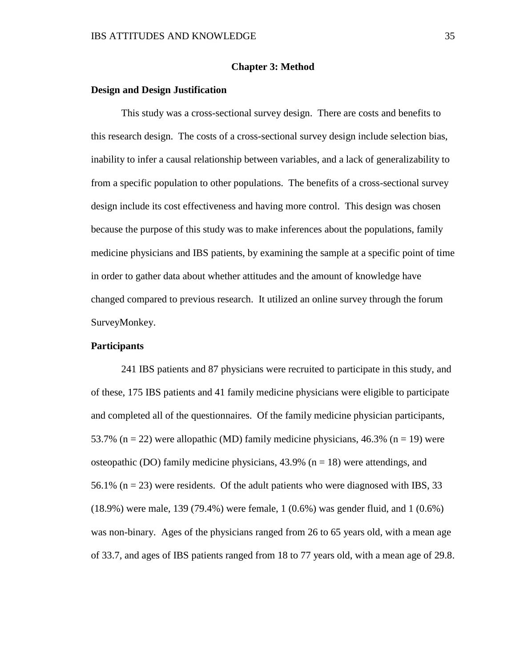#### **Chapter 3: Method**

## **Design and Design Justification**

This study was a cross-sectional survey design. There are costs and benefits to this research design. The costs of a cross-sectional survey design include selection bias, inability to infer a causal relationship between variables, and a lack of generalizability to from a specific population to other populations. The benefits of a cross-sectional survey design include its cost effectiveness and having more control. This design was chosen because the purpose of this study was to make inferences about the populations, family medicine physicians and IBS patients, by examining the sample at a specific point of time in order to gather data about whether attitudes and the amount of knowledge have changed compared to previous research. It utilized an online survey through the forum SurveyMonkey.

## **Participants**

241 IBS patients and 87 physicians were recruited to participate in this study, and of these, 175 IBS patients and 41 family medicine physicians were eligible to participate and completed all of the questionnaires. Of the family medicine physician participants, 53.7% (n = 22) were allopathic (MD) family medicine physicians, 46.3% (n = 19) were osteopathic (DO) family medicine physicians,  $43.9\%$  (n = 18) were attendings, and 56.1% ( $n = 23$ ) were residents. Of the adult patients who were diagnosed with IBS, 33 (18.9%) were male, 139 (79.4%) were female, 1 (0.6%) was gender fluid, and 1 (0.6%) was non-binary. Ages of the physicians ranged from 26 to 65 years old, with a mean age of 33.7, and ages of IBS patients ranged from 18 to 77 years old, with a mean age of 29.8.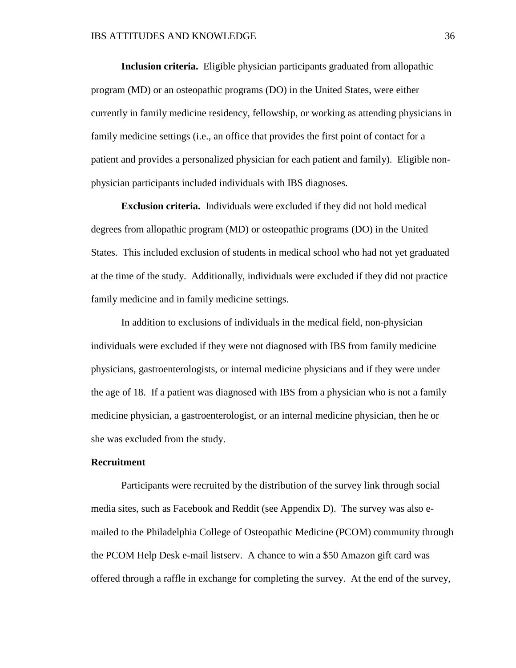**Inclusion criteria.** Eligible physician participants graduated from allopathic program (MD) or an osteopathic programs (DO) in the United States, were either currently in family medicine residency, fellowship, or working as attending physicians in family medicine settings (i.e., an office that provides the first point of contact for a patient and provides a personalized physician for each patient and family). Eligible nonphysician participants included individuals with IBS diagnoses.

**Exclusion criteria.** Individuals were excluded if they did not hold medical degrees from allopathic program (MD) or osteopathic programs (DO) in the United States. This included exclusion of students in medical school who had not yet graduated at the time of the study. Additionally, individuals were excluded if they did not practice family medicine and in family medicine settings.

In addition to exclusions of individuals in the medical field, non-physician individuals were excluded if they were not diagnosed with IBS from family medicine physicians, gastroenterologists, or internal medicine physicians and if they were under the age of 18. If a patient was diagnosed with IBS from a physician who is not a family medicine physician, a gastroenterologist, or an internal medicine physician, then he or she was excluded from the study.

## **Recruitment**

Participants were recruited by the distribution of the survey link through social media sites, such as Facebook and Reddit (see Appendix D). The survey was also emailed to the Philadelphia College of Osteopathic Medicine (PCOM) community through the PCOM Help Desk e-mail listserv. A chance to win a \$50 Amazon gift card was offered through a raffle in exchange for completing the survey. At the end of the survey,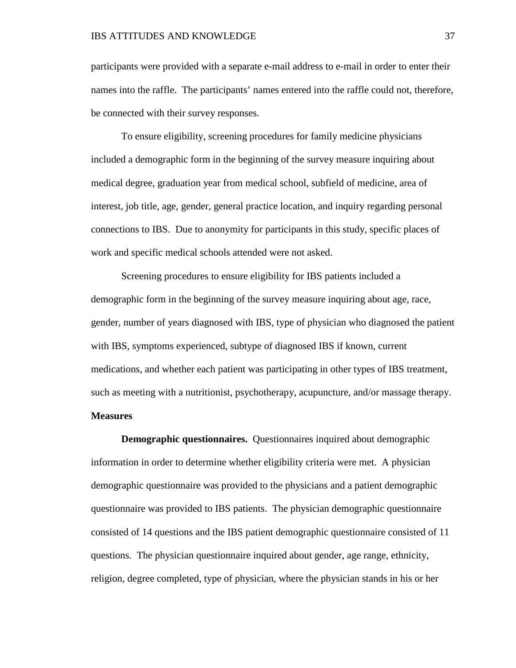participants were provided with a separate e-mail address to e-mail in order to enter their names into the raffle. The participants' names entered into the raffle could not, therefore, be connected with their survey responses.

To ensure eligibility, screening procedures for family medicine physicians included a demographic form in the beginning of the survey measure inquiring about medical degree, graduation year from medical school, subfield of medicine, area of interest, job title, age, gender, general practice location, and inquiry regarding personal connections to IBS. Due to anonymity for participants in this study, specific places of work and specific medical schools attended were not asked.

Screening procedures to ensure eligibility for IBS patients included a demographic form in the beginning of the survey measure inquiring about age, race, gender, number of years diagnosed with IBS, type of physician who diagnosed the patient with IBS, symptoms experienced, subtype of diagnosed IBS if known, current medications, and whether each patient was participating in other types of IBS treatment, such as meeting with a nutritionist, psychotherapy, acupuncture, and/or massage therapy.

#### **Measures**

**Demographic questionnaires.** Questionnaires inquired about demographic information in order to determine whether eligibility criteria were met. A physician demographic questionnaire was provided to the physicians and a patient demographic questionnaire was provided to IBS patients. The physician demographic questionnaire consisted of 14 questions and the IBS patient demographic questionnaire consisted of 11 questions. The physician questionnaire inquired about gender, age range, ethnicity, religion, degree completed, type of physician, where the physician stands in his or her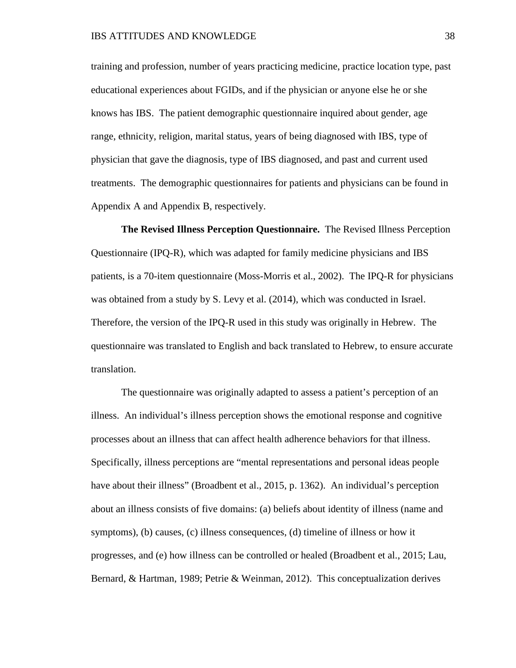training and profession, number of years practicing medicine, practice location type, past educational experiences about FGIDs, and if the physician or anyone else he or she knows has IBS. The patient demographic questionnaire inquired about gender, age range, ethnicity, religion, marital status, years of being diagnosed with IBS, type of physician that gave the diagnosis, type of IBS diagnosed, and past and current used treatments. The demographic questionnaires for patients and physicians can be found in Appendix A and Appendix B, respectively.

**The Revised Illness Perception Questionnaire.** The Revised Illness Perception Questionnaire (IPQ-R), which was adapted for family medicine physicians and IBS patients, is a 70-item questionnaire (Moss-Morris et al., 2002). The IPQ-R for physicians was obtained from a study by S. Levy et al. (2014), which was conducted in Israel. Therefore, the version of the IPQ-R used in this study was originally in Hebrew. The questionnaire was translated to English and back translated to Hebrew, to ensure accurate translation.

The questionnaire was originally adapted to assess a patient's perception of an illness. An individual's illness perception shows the emotional response and cognitive processes about an illness that can affect health adherence behaviors for that illness. Specifically, illness perceptions are "mental representations and personal ideas people have about their illness" (Broadbent et al., 2015, p. 1362). An individual's perception about an illness consists of five domains: (a) beliefs about identity of illness (name and symptoms), (b) causes, (c) illness consequences, (d) timeline of illness or how it progresses, and (e) how illness can be controlled or healed (Broadbent et al., 2015; Lau, Bernard, & Hartman, 1989; Petrie & Weinman, 2012). This conceptualization derives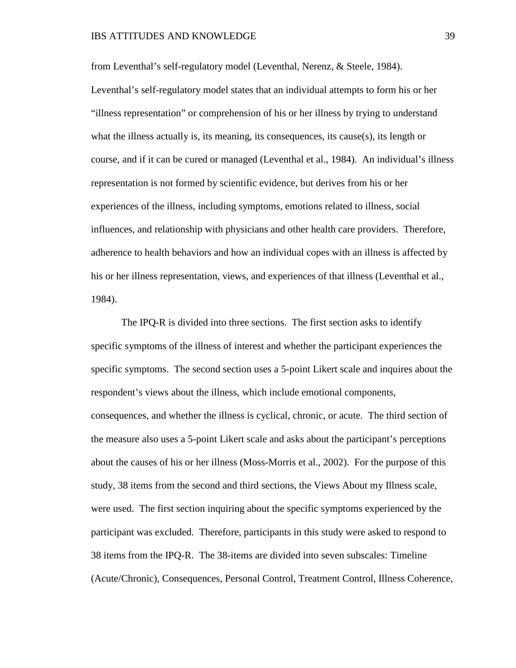from Leventhal's self-regulatory model (Leventhal, Nerenz, & Steele, 1984). Leventhal's self-regulatory model states that an individual attempts to form his or her "illness representation" or comprehension of his or her illness by trying to understand what the illness actually is, its meaning, its consequences, its cause(s), its length or course, and if it can be cured or managed (Leventhal et al., 1984). An individual's illness representation is not formed by scientific evidence, but derives from his or her experiences of the illness, including symptoms, emotions related to illness, social influences, and relationship with physicians and other health care providers. Therefore, adherence to health behaviors and how an individual copes with an illness is affected by his or her illness representation, views, and experiences of that illness (Leventhal et al., 1984).

The IPQ-R is divided into three sections. The first section asks to identify specific symptoms of the illness of interest and whether the participant experiences the specific symptoms. The second section uses a 5-point Likert scale and inquires about the respondent's views about the illness, which include emotional components, consequences, and whether the illness is cyclical, chronic, or acute. The third section of the measure also uses a 5-point Likert scale and asks about the participant's perceptions about the causes of his or her illness (Moss-Morris et al., 2002). For the purpose of this study, 38 items from the second and third sections, the Views About my Illness scale, were used. The first section inquiring about the specific symptoms experienced by the participant was excluded. Therefore, participants in this study were asked to respond to 38 items from the IPQ-R. The 38-items are divided into seven subscales: Timeline (Acute/Chronic), Consequences, Personal Control, Treatment Control, Illness Coherence,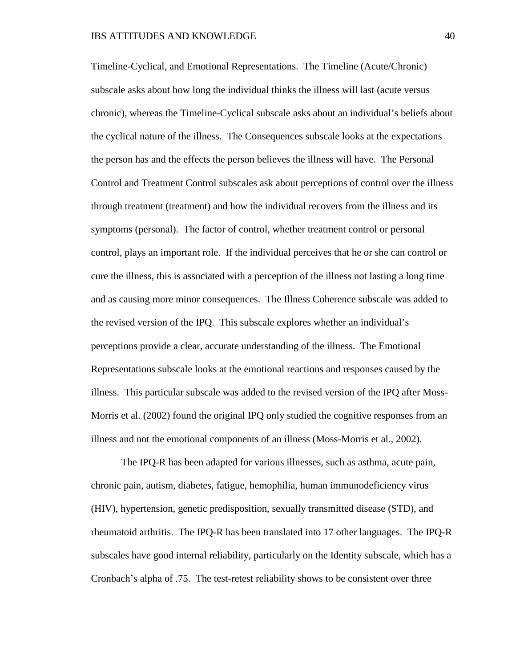Timeline-Cyclical, and Emotional Representations. The Timeline (Acute/Chronic) subscale asks about how long the individual thinks the illness will last (acute versus chronic), whereas the Timeline-Cyclical subscale asks about an individual's beliefs about the cyclical nature of the illness. The Consequences subscale looks at the expectations the person has and the effects the person believes the illness will have. The Personal Control and Treatment Control subscales ask about perceptions of control over the illness through treatment (treatment) and how the individual recovers from the illness and its symptoms (personal). The factor of control, whether treatment control or personal control, plays an important role. If the individual perceives that he or she can control or cure the illness, this is associated with a perception of the illness not lasting a long time and as causing more minor consequences. The Illness Coherence subscale was added to the revised version of the IPQ. This subscale explores whether an individual's perceptions provide a clear, accurate understanding of the illness. The Emotional Representations subscale looks at the emotional reactions and responses caused by the illness. This particular subscale was added to the revised version of the IPQ after Moss-Morris et al. (2002) found the original IPQ only studied the cognitive responses from an illness and not the emotional components of an illness (Moss-Morris et al., 2002).

The IPQ-R has been adapted for various illnesses, such as asthma, acute pain, chronic pain, autism, diabetes, fatigue, hemophilia, human immunodeficiency virus (HIV), hypertension, genetic predisposition, sexually transmitted disease (STD), and rheumatoid arthritis. The IPQ-R has been translated into 17 other languages. The IPQ-R subscales have good internal reliability, particularly on the Identity subscale, which has a Cronbach's alpha of .75. The test-retest reliability shows to be consistent over three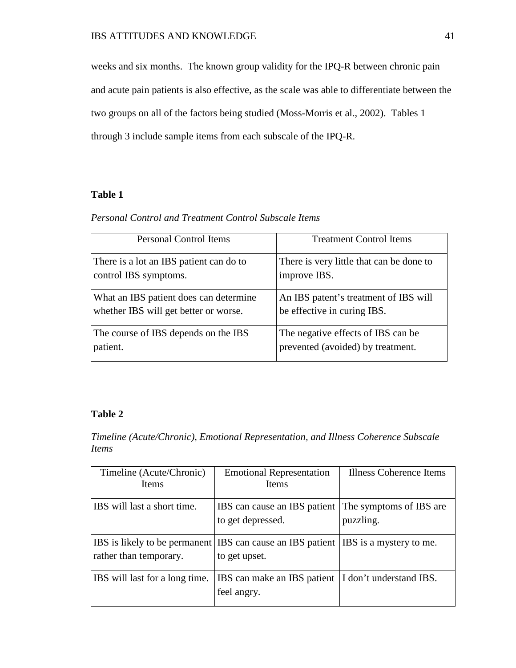weeks and six months. The known group validity for the IPQ-R between chronic pain and acute pain patients is also effective, as the scale was able to differentiate between the two groups on all of the factors being studied (Moss-Morris et al., 2002). Tables 1 through 3 include sample items from each subscale of the IPQ-R.

# **Table 1**

## *Personal Control and Treatment Control Subscale Items*

| <b>Personal Control Items</b>           | <b>Treatment Control Items</b>           |
|-----------------------------------------|------------------------------------------|
| There is a lot an IBS patient can do to | There is very little that can be done to |
| control IBS symptoms.                   | improve IBS.                             |
| What an IBS patient does can determine  | An IBS patent's treatment of IBS will    |
| whether IBS will get better or worse.   | be effective in curing IBS.              |
| The course of IBS depends on the IBS    | The negative effects of IBS can be       |
| patient.                                | prevented (avoided) by treatment.        |

## **Table 2**

# *Timeline (Acute/Chronic), Emotional Representation, and Illness Coherence Subscale Items*

| Timeline (Acute/Chronic)       | <b>Emotional Representation</b>                                                                     | Illness Coherence Items |
|--------------------------------|-----------------------------------------------------------------------------------------------------|-------------------------|
| <b>Items</b>                   | <b>Items</b>                                                                                        |                         |
| IBS will last a short time.    | IBS can cause an IBS patient The symptoms of IBS are<br>to get depressed.                           | puzzling.               |
| rather than temporary.         | IBS is likely to be permanent IBS can cause an IBS patient IBS is a mystery to me.<br>to get upset. |                         |
| IBS will last for a long time. | IBS can make an IBS patient  I don't understand IBS.<br>feel angry.                                 |                         |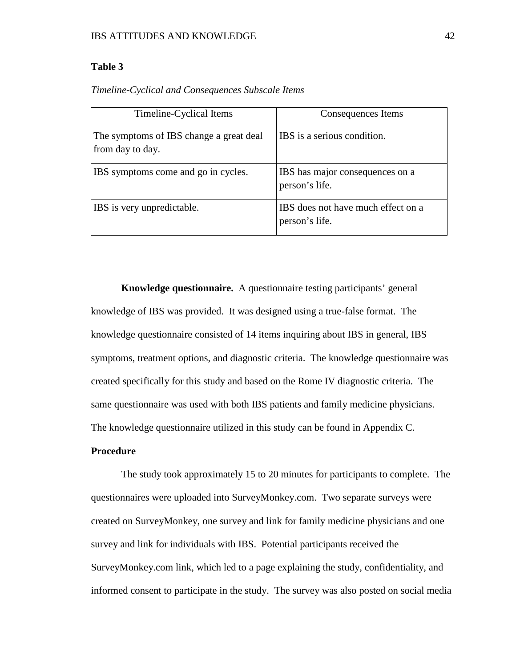## **Table 3**

| Timeline-Cyclical Items                                     | Consequences Items                                   |
|-------------------------------------------------------------|------------------------------------------------------|
| The symptoms of IBS change a great deal<br>from day to day. | IBS is a serious condition.                          |
| IBS symptoms come and go in cycles.                         | IBS has major consequences on a<br>person's life.    |
| IBS is very unpredictable.                                  | IBS does not have much effect on a<br>person's life. |

*Timeline-Cyclical and Consequences Subscale Items* 

**Knowledge questionnaire.** A questionnaire testing participants' general knowledge of IBS was provided. It was designed using a true-false format. The knowledge questionnaire consisted of 14 items inquiring about IBS in general, IBS symptoms, treatment options, and diagnostic criteria. The knowledge questionnaire was created specifically for this study and based on the Rome IV diagnostic criteria. The same questionnaire was used with both IBS patients and family medicine physicians. The knowledge questionnaire utilized in this study can be found in Appendix C.

## **Procedure**

The study took approximately 15 to 20 minutes for participants to complete. The questionnaires were uploaded into SurveyMonkey.com. Two separate surveys were created on SurveyMonkey, one survey and link for family medicine physicians and one survey and link for individuals with IBS. Potential participants received the SurveyMonkey.com link, which led to a page explaining the study, confidentiality, and informed consent to participate in the study. The survey was also posted on social media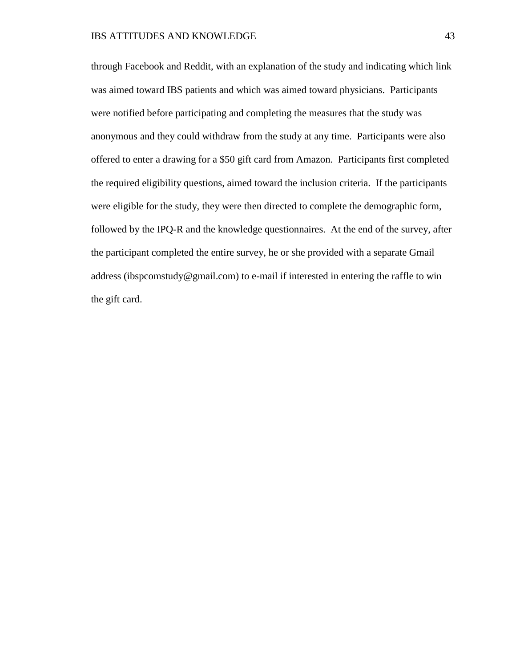through Facebook and Reddit, with an explanation of the study and indicating which link was aimed toward IBS patients and which was aimed toward physicians. Participants were notified before participating and completing the measures that the study was anonymous and they could withdraw from the study at any time. Participants were also offered to enter a drawing for a \$50 gift card from Amazon. Participants first completed the required eligibility questions, aimed toward the inclusion criteria. If the participants were eligible for the study, they were then directed to complete the demographic form, followed by the IPQ-R and the knowledge questionnaires. At the end of the survey, after the participant completed the entire survey, he or she provided with a separate Gmail address (ibspcomstudy@gmail.com) to e-mail if interested in entering the raffle to win the gift card.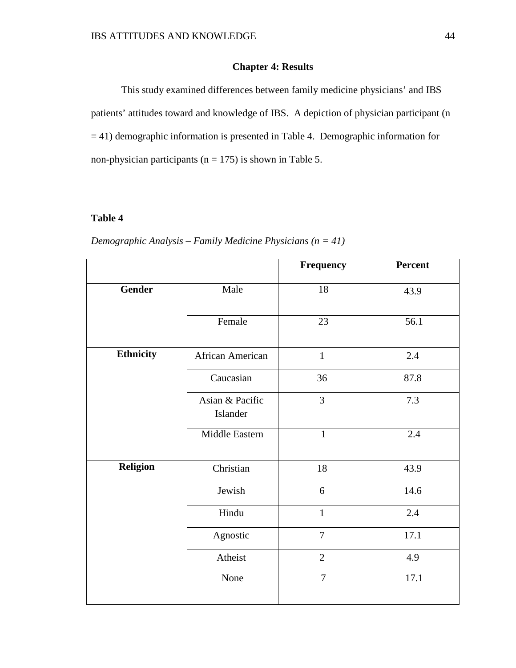# **Chapter 4: Results**

This study examined differences between family medicine physicians' and IBS patients' attitudes toward and knowledge of IBS. A depiction of physician participant (n = 41) demographic information is presented in Table 4. Demographic information for non-physician participants ( $n = 175$ ) is shown in Table 5.

## **Table 4**

*Demographic Analysis – Family Medicine Physicians (n = 41)* 

|               |                             | <b>Frequency</b> | Percent |
|---------------|-----------------------------|------------------|---------|
| <b>Gender</b> | Male                        | $18\,$           | 43.9    |
|               | Female                      | 23               | 56.1    |
| Ethnicity     | African American            | $\mathbf{1}$     | 2.4     |
|               | Caucasian                   | 36               | 87.8    |
|               | Asian & Pacific<br>Islander | $\overline{3}$   | 7.3     |
|               | Middle Eastern              | $\mathbf{1}$     | 2.4     |
| Religion      | Christian                   | 18               | 43.9    |
|               | Jewish                      | 6                | 14.6    |
|               | Hindu                       | $\mathbf{1}$     | 2.4     |
|               | Agnostic                    | $\overline{7}$   | 17.1    |
|               | Atheist                     | $\overline{2}$   | 4.9     |
|               | None                        | $\overline{7}$   | 17.1    |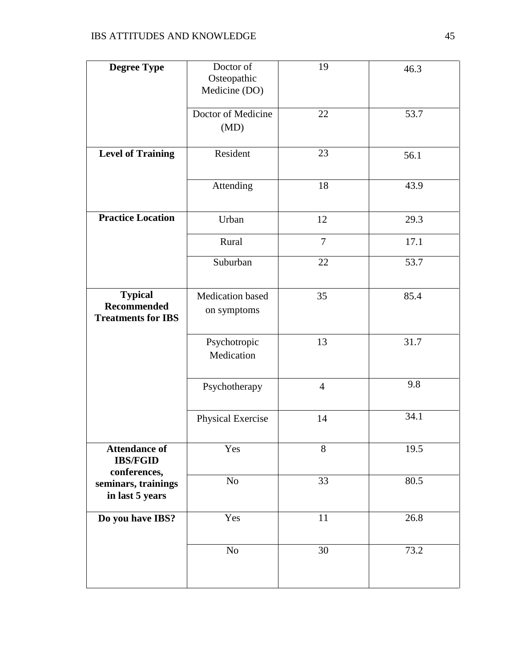| <b>Degree Type</b>        | Doctor of               | 19             | 46.3 |
|---------------------------|-------------------------|----------------|------|
|                           | Osteopathic             |                |      |
|                           | Medicine (DO)           |                |      |
|                           |                         |                |      |
|                           | Doctor of Medicine      | 22             | 53.7 |
|                           | (MD)                    |                |      |
|                           |                         |                |      |
|                           |                         |                |      |
| <b>Level of Training</b>  | Resident                | 23             | 56.1 |
|                           |                         |                |      |
|                           | Attending               | 18             | 43.9 |
|                           |                         |                |      |
|                           |                         |                |      |
| <b>Practice Location</b>  | Urban                   | 12             | 29.3 |
|                           |                         |                |      |
|                           | Rural                   | $\overline{7}$ | 17.1 |
|                           |                         |                |      |
|                           | Suburban                | 22             | 53.7 |
|                           |                         |                |      |
|                           |                         |                |      |
| <b>Typical</b>            | <b>Medication</b> based | 35             | 85.4 |
| <b>Recommended</b>        | on symptoms             |                |      |
| <b>Treatments for IBS</b> |                         |                |      |
|                           |                         |                |      |
|                           | Psychotropic            | 13             | 31.7 |
|                           | Medication              |                |      |
|                           |                         |                |      |
|                           |                         | $\overline{4}$ | 9.8  |
|                           | Psychotherapy           |                |      |
|                           |                         |                |      |
|                           | Physical Exercise       | 14             | 34.1 |
|                           |                         |                |      |
|                           |                         |                |      |
| <b>Attendance of</b>      | Yes                     | 8              | 19.5 |
| <b>IBS/FGID</b>           |                         |                |      |
| conferences,              | No                      | 33             | 80.5 |
| seminars, trainings       |                         |                |      |
| in last 5 years           |                         |                |      |
|                           |                         |                |      |
| Do you have IBS?          | Yes                     | 11             | 26.8 |
|                           |                         |                |      |
|                           | No                      | 30             | 73.2 |
|                           |                         |                |      |
|                           |                         |                |      |
|                           |                         |                |      |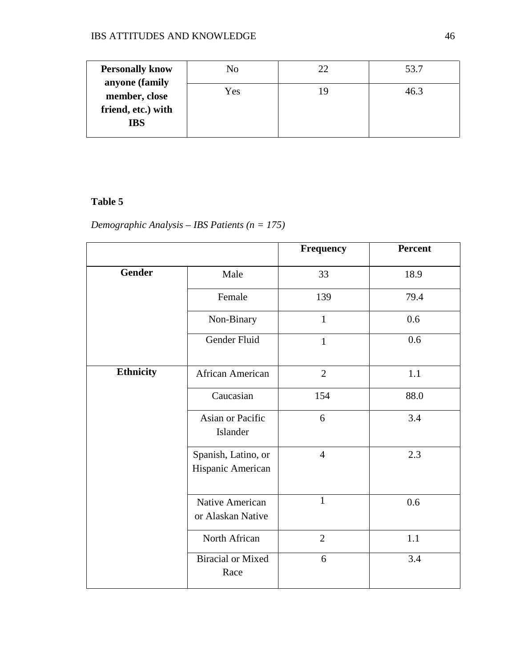| <b>Personally know</b>                                              | No  | 53.7 |
|---------------------------------------------------------------------|-----|------|
| anyone (family<br>member, close<br>friend, etc.) with<br><b>IBS</b> | Yes | 46 P |

# **Table 5**

*Demographic Analysis – IBS Patients (n = 175)*

|                  |                                          | <b>Frequency</b> | Percent |
|------------------|------------------------------------------|------------------|---------|
| <b>Gender</b>    | Male                                     | 33               | 18.9    |
|                  | Female                                   | 139              | 79.4    |
|                  | Non-Binary                               | $\mathbf{1}$     | 0.6     |
|                  | Gender Fluid                             | $\mathbf{1}$     | 0.6     |
| <b>Ethnicity</b> | African American                         | $\overline{2}$   | 1.1     |
|                  | Caucasian                                | 154              | 88.0    |
|                  | Asian or Pacific<br>Islander             | 6                | 3.4     |
|                  | Spanish, Latino, or<br>Hispanic American | $\overline{4}$   | 2.3     |
|                  | Native American<br>or Alaskan Native     | $\mathbf{1}$     | 0.6     |
|                  | North African                            | $\overline{2}$   | 1.1     |
|                  | <b>Biracial or Mixed</b><br>Race         | 6                | 3.4     |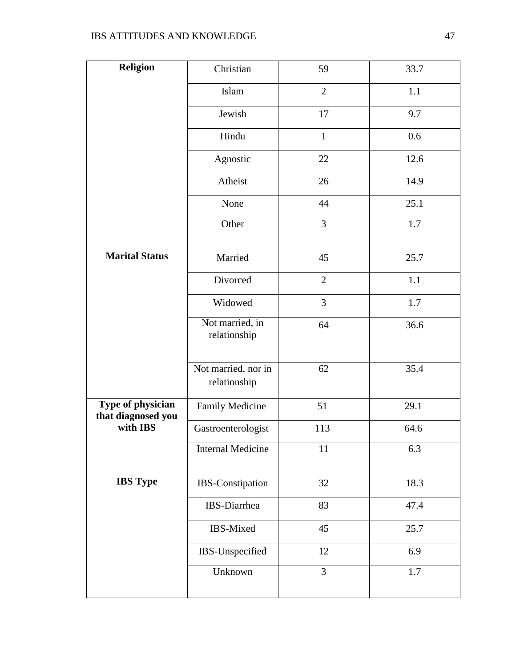| <b>Religion</b>                         | Christian                           | 59             | 33.7    |
|-----------------------------------------|-------------------------------------|----------------|---------|
|                                         | Islam                               | $\overline{2}$ | 1.1     |
|                                         | Jewish                              | 17             | 9.7     |
|                                         | Hindu                               | $\mathbf{1}$   | 0.6     |
|                                         | Agnostic                            | 22             | 12.6    |
|                                         | Atheist                             | 26             | 14.9    |
|                                         | None                                | 44             | 25.1    |
|                                         | Other                               | 3              | 1.7     |
| Marital Status                          | Married                             | 45             | 25.7    |
|                                         | Divorced                            | $\overline{2}$ | 1.1     |
|                                         | Widowed                             | 3              | 1.7     |
|                                         | Not married, in<br>relationship     | 64             | 36.6    |
|                                         | Not married, nor in<br>relationship | 62             | 35.4    |
| Type of physician<br>that diagnosed you | Family Medicine                     | 51             | 29.1    |
| with IBS                                | Gastroenterologist                  | 113            | 64.6    |
|                                         | <b>Internal Medicine</b>            | 11             | 6.3     |
| <b>IBS</b> Type                         | IBS-Constipation                    | 32             | 18.3    |
|                                         | IBS-Diarrhea                        | 83             | 47.4    |
|                                         | IBS-Mixed                           | 45             | 25.7    |
|                                         | IBS-Unspecified                     | 12             | 6.9     |
|                                         | Unknown                             | 3              | $1.7\,$ |
|                                         |                                     |                |         |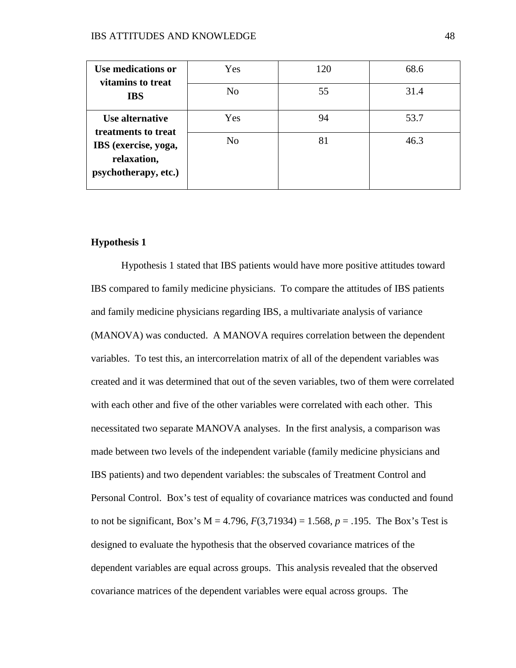| Use medications or<br>vitamins to treat                     | Yes            | 120 | 68.6 |
|-------------------------------------------------------------|----------------|-----|------|
| <b>IBS</b>                                                  | N <sub>o</sub> | 55  | 31.4 |
| Use alternative<br>treatments to treat                      | Yes            | 94  | 53.7 |
| IBS (exercise, yoga,<br>relaxation,<br>psychotherapy, etc.) | N <sub>0</sub> | 81  | 46.3 |

## **Hypothesis 1**

Hypothesis 1 stated that IBS patients would have more positive attitudes toward IBS compared to family medicine physicians. To compare the attitudes of IBS patients and family medicine physicians regarding IBS, a multivariate analysis of variance (MANOVA) was conducted. A MANOVA requires correlation between the dependent variables. To test this, an intercorrelation matrix of all of the dependent variables was created and it was determined that out of the seven variables, two of them were correlated with each other and five of the other variables were correlated with each other. This necessitated two separate MANOVA analyses. In the first analysis, a comparison was made between two levels of the independent variable (family medicine physicians and IBS patients) and two dependent variables: the subscales of Treatment Control and Personal Control. Box's test of equality of covariance matrices was conducted and found to not be significant, Box's  $M = 4.796$ ,  $F(3,71934) = 1.568$ ,  $p = .195$ . The Box's Test is designed to evaluate the hypothesis that the observed covariance matrices of the dependent variables are equal across groups. This analysis revealed that the observed covariance matrices of the dependent variables were equal across groups. The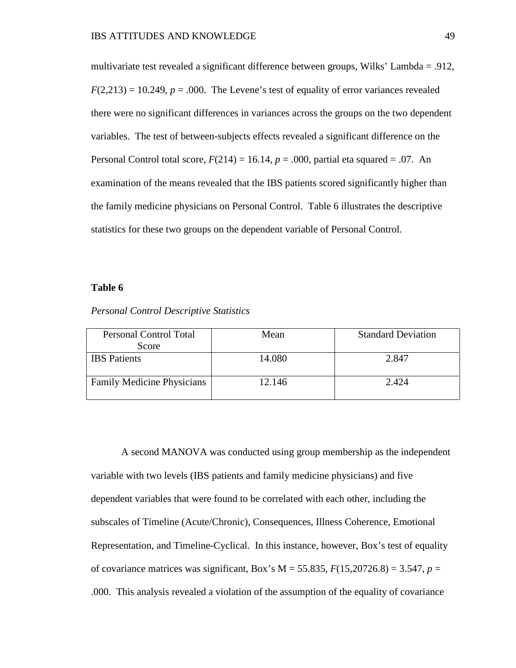multivariate test revealed a significant difference between groups, Wilks' Lambda = .912,  $F(2,213) = 10.249$ ,  $p = .000$ . The Levene's test of equality of error variances revealed there were no significant differences in variances across the groups on the two dependent variables. The test of between-subjects effects revealed a significant difference on the Personal Control total score,  $F(214) = 16.14$ ,  $p = .000$ , partial eta squared = .07. An examination of the means revealed that the IBS patients scored significantly higher than the family medicine physicians on Personal Control. Table 6 illustrates the descriptive statistics for these two groups on the dependent variable of Personal Control.

## **Table 6**

| <b>Personal Control Total</b>     | Mean   | <b>Standard Deviation</b> |
|-----------------------------------|--------|---------------------------|
| Score                             |        |                           |
| <b>IBS</b> Patients               | 14.080 | 2.847                     |
|                                   |        |                           |
| <b>Family Medicine Physicians</b> | 12.146 | 2.424                     |
|                                   |        |                           |

*Personal Control Descriptive Statistics*

A second MANOVA was conducted using group membership as the independent variable with two levels (IBS patients and family medicine physicians) and five dependent variables that were found to be correlated with each other, including the subscales of Timeline (Acute/Chronic), Consequences, Illness Coherence, Emotional Representation, and Timeline-Cyclical. In this instance, however, Box's test of equality of covariance matrices was significant, Box's M = 55.835, *F*(15,20726.8) = 3.547, *p* = .000. This analysis revealed a violation of the assumption of the equality of covariance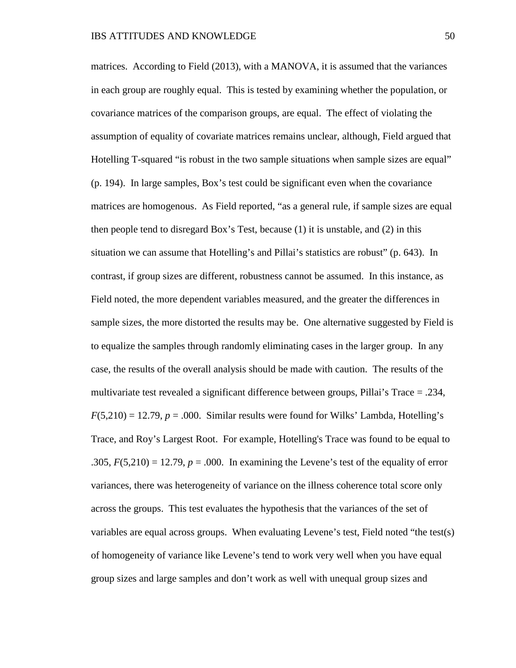matrices. According to Field (2013), with a MANOVA, it is assumed that the variances in each group are roughly equal. This is tested by examining whether the population, or covariance matrices of the comparison groups, are equal. The effect of violating the assumption of equality of covariate matrices remains unclear, although, Field argued that Hotelling T-squared "is robust in the two sample situations when sample sizes are equal" (p. 194). In large samples, Box's test could be significant even when the covariance matrices are homogenous. As Field reported, "as a general rule, if sample sizes are equal then people tend to disregard Box's Test, because (1) it is unstable, and (2) in this situation we can assume that Hotelling's and Pillai's statistics are robust" (p. 643). In contrast, if group sizes are different, robustness cannot be assumed. In this instance, as Field noted, the more dependent variables measured, and the greater the differences in sample sizes, the more distorted the results may be. One alternative suggested by Field is to equalize the samples through randomly eliminating cases in the larger group. In any case, the results of the overall analysis should be made with caution. The results of the multivariate test revealed a significant difference between groups, Pillai's Trace = .234,  $F(5,210) = 12.79, p = .000$ . Similar results were found for Wilks' Lambda, Hotelling's Trace, and Roy's Largest Root. For example, Hotelling's Trace was found to be equal to .305,  $F(5,210) = 12.79$ ,  $p = .000$ . In examining the Levene's test of the equality of error variances, there was heterogeneity of variance on the illness coherence total score only across the groups. This test evaluates the hypothesis that the variances of the set of variables are equal across groups. When evaluating Levene's test, Field noted "the test(s) of homogeneity of variance like Levene's tend to work very well when you have equal group sizes and large samples and don't work as well with unequal group sizes and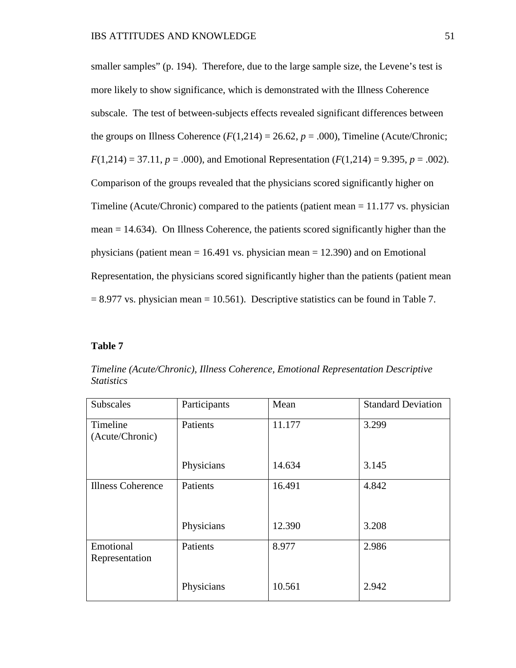smaller samples" (p. 194). Therefore, due to the large sample size, the Levene's test is more likely to show significance, which is demonstrated with the Illness Coherence subscale. The test of between-subjects effects revealed significant differences between the groups on Illness Coherence  $(F(1,214) = 26.62, p = .000)$ , Timeline (Acute/Chronic;  $F(1,214) = 37.11, p = .000$ , and Emotional Representation  $(F(1,214) = 9.395, p = .002)$ . Comparison of the groups revealed that the physicians scored significantly higher on Timeline (Acute/Chronic) compared to the patients (patient mean  $= 11.177$  vs. physician mean = 14.634). On Illness Coherence, the patients scored significantly higher than the physicians (patient mean  $= 16.491$  vs. physician mean  $= 12.390$ ) and on Emotional Representation, the physicians scored significantly higher than the patients (patient mean  $= 8.977$  vs. physician mean  $= 10.561$ ). Descriptive statistics can be found in Table 7.

### **Table 7**

| Subscales                   | Participants | Mean   | <b>Standard Deviation</b> |
|-----------------------------|--------------|--------|---------------------------|
| Timeline<br>(Acute/Chronic) | Patients     | 11.177 | 3.299                     |
|                             | Physicians   | 14.634 | 3.145                     |
| <b>Illness Coherence</b>    | Patients     | 16.491 | 4.842                     |
|                             | Physicians   | 12.390 | 3.208                     |
| Emotional<br>Representation | Patients     | 8.977  | 2.986                     |
|                             | Physicians   | 10.561 | 2.942                     |

*Timeline (Acute/Chronic), Illness Coherence, Emotional Representation Descriptive Statistics*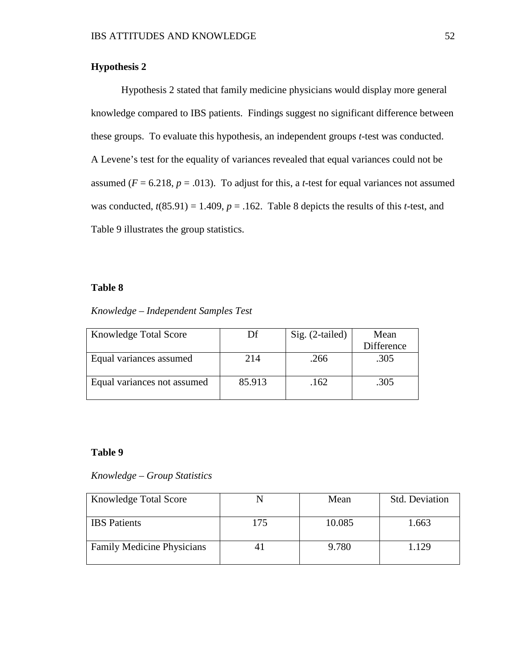# **Hypothesis 2**

Hypothesis 2 stated that family medicine physicians would display more general knowledge compared to IBS patients. Findings suggest no significant difference between these groups. To evaluate this hypothesis, an independent groups *t*-test was conducted. A Levene's test for the equality of variances revealed that equal variances could not be assumed ( $F = 6.218$ ,  $p = .013$ ). To adjust for this, a *t*-test for equal variances not assumed was conducted,  $t(85.91) = 1.409$ ,  $p = .162$ . Table 8 depicts the results of this *t*-test, and Table 9 illustrates the group statistics.

## **Table 8**

|  | Knowledge - Independent Samples Test |  |  |
|--|--------------------------------------|--|--|
|--|--------------------------------------|--|--|

| <b>Knowledge Total Score</b> | Df     | Sig. (2-tailed) | Mean       |
|------------------------------|--------|-----------------|------------|
|                              |        |                 | Difference |
| Equal variances assumed      | 214    | .266            | .305       |
| Equal variances not assumed  | 85.913 | .162            | .305       |

## **Table 9**

*Knowledge – Group Statistics* 

| <b>Knowledge Total Score</b>      |     | Mean   | <b>Std. Deviation</b> |
|-----------------------------------|-----|--------|-----------------------|
| <b>IBS</b> Patients               | 175 | 10.085 | 1.663                 |
| <b>Family Medicine Physicians</b> | 4.  | 9.780  | 1.129                 |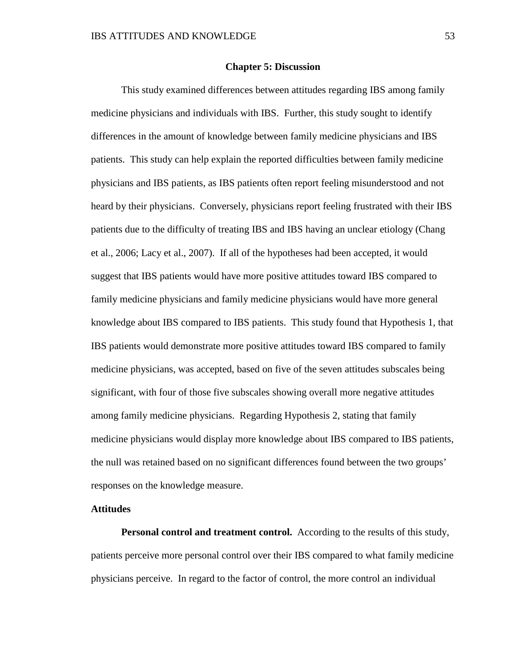## **Chapter 5: Discussion**

This study examined differences between attitudes regarding IBS among family medicine physicians and individuals with IBS. Further, this study sought to identify differences in the amount of knowledge between family medicine physicians and IBS patients. This study can help explain the reported difficulties between family medicine physicians and IBS patients, as IBS patients often report feeling misunderstood and not heard by their physicians. Conversely, physicians report feeling frustrated with their IBS patients due to the difficulty of treating IBS and IBS having an unclear etiology (Chang et al., 2006; Lacy et al., 2007). If all of the hypotheses had been accepted, it would suggest that IBS patients would have more positive attitudes toward IBS compared to family medicine physicians and family medicine physicians would have more general knowledge about IBS compared to IBS patients. This study found that Hypothesis 1, that IBS patients would demonstrate more positive attitudes toward IBS compared to family medicine physicians, was accepted, based on five of the seven attitudes subscales being significant, with four of those five subscales showing overall more negative attitudes among family medicine physicians. Regarding Hypothesis 2, stating that family medicine physicians would display more knowledge about IBS compared to IBS patients, the null was retained based on no significant differences found between the two groups' responses on the knowledge measure.

## **Attitudes**

**Personal control and treatment control.** According to the results of this study, patients perceive more personal control over their IBS compared to what family medicine physicians perceive. In regard to the factor of control, the more control an individual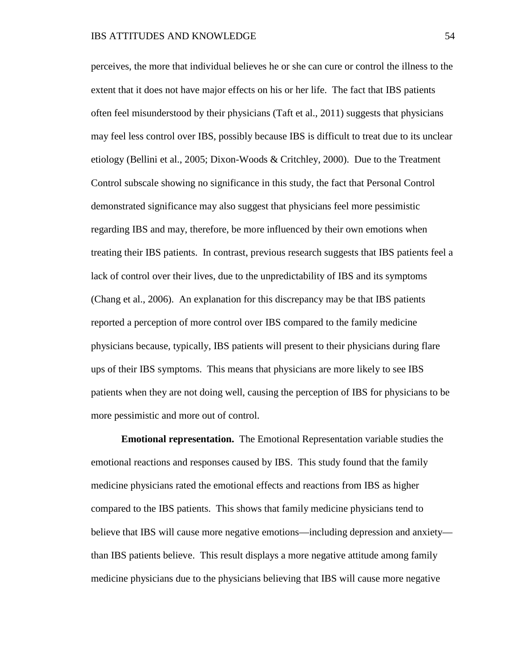perceives, the more that individual believes he or she can cure or control the illness to the extent that it does not have major effects on his or her life. The fact that IBS patients often feel misunderstood by their physicians (Taft et al., 2011) suggests that physicians may feel less control over IBS, possibly because IBS is difficult to treat due to its unclear etiology (Bellini et al., 2005; Dixon-Woods & Critchley, 2000). Due to the Treatment Control subscale showing no significance in this study, the fact that Personal Control demonstrated significance may also suggest that physicians feel more pessimistic regarding IBS and may, therefore, be more influenced by their own emotions when treating their IBS patients. In contrast, previous research suggests that IBS patients feel a lack of control over their lives, due to the unpredictability of IBS and its symptoms (Chang et al., 2006). An explanation for this discrepancy may be that IBS patients reported a perception of more control over IBS compared to the family medicine physicians because, typically, IBS patients will present to their physicians during flare ups of their IBS symptoms. This means that physicians are more likely to see IBS patients when they are not doing well, causing the perception of IBS for physicians to be more pessimistic and more out of control.

**Emotional representation.** The Emotional Representation variable studies the emotional reactions and responses caused by IBS. This study found that the family medicine physicians rated the emotional effects and reactions from IBS as higher compared to the IBS patients. This shows that family medicine physicians tend to believe that IBS will cause more negative emotions—including depression and anxiety than IBS patients believe. This result displays a more negative attitude among family medicine physicians due to the physicians believing that IBS will cause more negative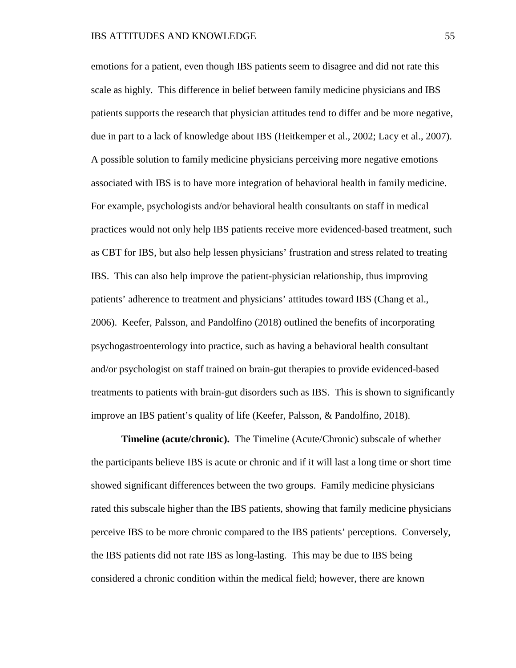emotions for a patient, even though IBS patients seem to disagree and did not rate this scale as highly. This difference in belief between family medicine physicians and IBS patients supports the research that physician attitudes tend to differ and be more negative, due in part to a lack of knowledge about IBS (Heitkemper et al., 2002; Lacy et al., 2007). A possible solution to family medicine physicians perceiving more negative emotions associated with IBS is to have more integration of behavioral health in family medicine. For example, psychologists and/or behavioral health consultants on staff in medical practices would not only help IBS patients receive more evidenced-based treatment, such as CBT for IBS, but also help lessen physicians' frustration and stress related to treating IBS. This can also help improve the patient-physician relationship, thus improving patients' adherence to treatment and physicians' attitudes toward IBS (Chang et al., 2006). Keefer, Palsson, and Pandolfino (2018) outlined the benefits of incorporating psychogastroenterology into practice, such as having a behavioral health consultant and/or psychologist on staff trained on brain-gut therapies to provide evidenced-based treatments to patients with brain-gut disorders such as IBS. This is shown to significantly improve an IBS patient's quality of life (Keefer, Palsson, & Pandolfino, 2018).

**Timeline (acute/chronic).** The Timeline (Acute/Chronic) subscale of whether the participants believe IBS is acute or chronic and if it will last a long time or short time showed significant differences between the two groups. Family medicine physicians rated this subscale higher than the IBS patients, showing that family medicine physicians perceive IBS to be more chronic compared to the IBS patients' perceptions. Conversely, the IBS patients did not rate IBS as long-lasting. This may be due to IBS being considered a chronic condition within the medical field; however, there are known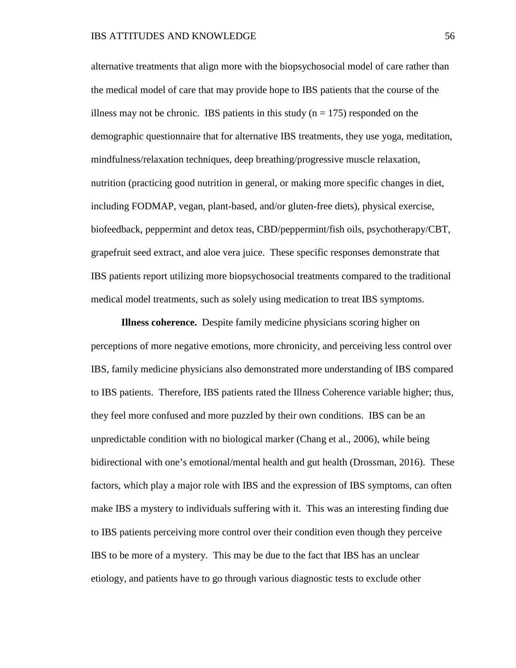alternative treatments that align more with the biopsychosocial model of care rather than the medical model of care that may provide hope to IBS patients that the course of the illness may not be chronic. IBS patients in this study  $(n = 175)$  responded on the demographic questionnaire that for alternative IBS treatments, they use yoga, meditation, mindfulness/relaxation techniques, deep breathing/progressive muscle relaxation, nutrition (practicing good nutrition in general, or making more specific changes in diet, including FODMAP, vegan, plant-based, and/or gluten-free diets), physical exercise, biofeedback, peppermint and detox teas, CBD/peppermint/fish oils, psychotherapy/CBT, grapefruit seed extract, and aloe vera juice. These specific responses demonstrate that IBS patients report utilizing more biopsychosocial treatments compared to the traditional medical model treatments, such as solely using medication to treat IBS symptoms.

**Illness coherence.** Despite family medicine physicians scoring higher on perceptions of more negative emotions, more chronicity, and perceiving less control over IBS, family medicine physicians also demonstrated more understanding of IBS compared to IBS patients. Therefore, IBS patients rated the Illness Coherence variable higher; thus, they feel more confused and more puzzled by their own conditions. IBS can be an unpredictable condition with no biological marker (Chang et al., 2006), while being bidirectional with one's emotional/mental health and gut health (Drossman, 2016). These factors, which play a major role with IBS and the expression of IBS symptoms, can often make IBS a mystery to individuals suffering with it. This was an interesting finding due to IBS patients perceiving more control over their condition even though they perceive IBS to be more of a mystery. This may be due to the fact that IBS has an unclear etiology, and patients have to go through various diagnostic tests to exclude other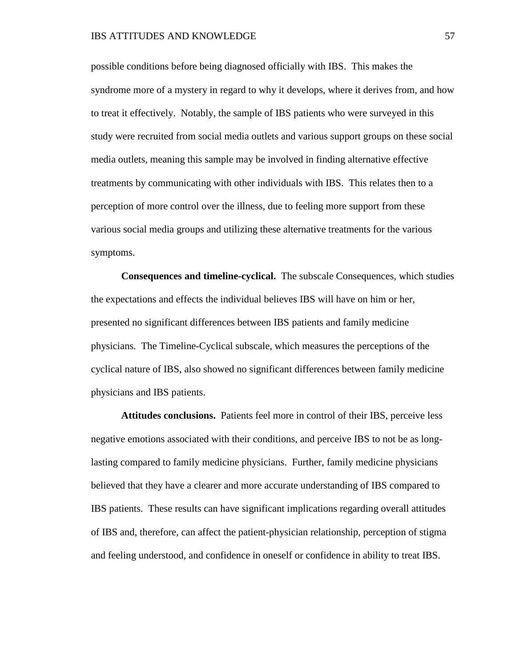possible conditions before being diagnosed officially with IBS. This makes the syndrome more of a mystery in regard to why it develops, where it derives from, and how to treat it effectively. Notably, the sample of IBS patients who were surveyed in this study were recruited from social media outlets and various support groups on these social media outlets, meaning this sample may be involved in finding alternative effective treatments by communicating with other individuals with IBS. This relates then to a perception of more control over the illness, due to feeling more support from these various social media groups and utilizing these alternative treatments for the various symptoms.

**Consequences and timeline-cyclical.** The subscale Consequences, which studies the expectations and effects the individual believes IBS will have on him or her, presented no significant differences between IBS patients and family medicine physicians. The Timeline-Cyclical subscale, which measures the perceptions of the cyclical nature of IBS, also showed no significant differences between family medicine physicians and IBS patients.

**Attitudes conclusions.** Patients feel more in control of their IBS, perceive less negative emotions associated with their conditions, and perceive IBS to not be as longlasting compared to family medicine physicians. Further, family medicine physicians believed that they have a clearer and more accurate understanding of IBS compared to IBS patients. These results can have significant implications regarding overall attitudes of IBS and, therefore, can affect the patient-physician relationship, perception of stigma and feeling understood, and confidence in oneself or confidence in ability to treat IBS.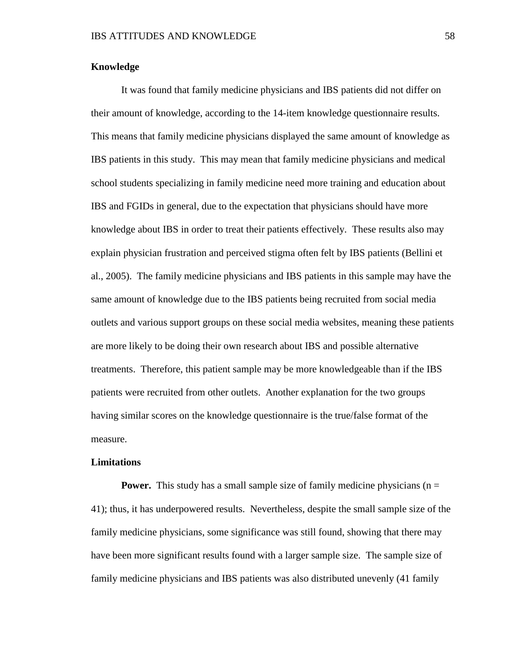## **Knowledge**

It was found that family medicine physicians and IBS patients did not differ on their amount of knowledge, according to the 14-item knowledge questionnaire results. This means that family medicine physicians displayed the same amount of knowledge as IBS patients in this study. This may mean that family medicine physicians and medical school students specializing in family medicine need more training and education about IBS and FGIDs in general, due to the expectation that physicians should have more knowledge about IBS in order to treat their patients effectively. These results also may explain physician frustration and perceived stigma often felt by IBS patients (Bellini et al., 2005). The family medicine physicians and IBS patients in this sample may have the same amount of knowledge due to the IBS patients being recruited from social media outlets and various support groups on these social media websites, meaning these patients are more likely to be doing their own research about IBS and possible alternative treatments. Therefore, this patient sample may be more knowledgeable than if the IBS patients were recruited from other outlets. Another explanation for the two groups having similar scores on the knowledge questionnaire is the true/false format of the measure.

## **Limitations**

**Power.** This study has a small sample size of family medicine physicians (n = 41); thus, it has underpowered results. Nevertheless, despite the small sample size of the family medicine physicians, some significance was still found, showing that there may have been more significant results found with a larger sample size. The sample size of family medicine physicians and IBS patients was also distributed unevenly (41 family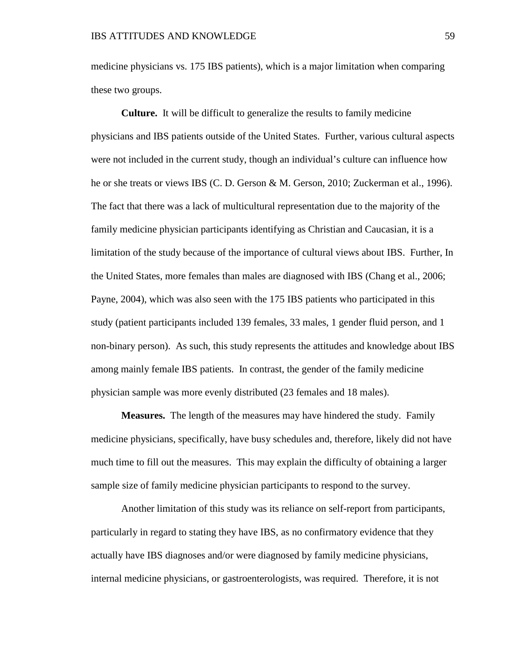medicine physicians vs. 175 IBS patients), which is a major limitation when comparing these two groups.

**Culture.** It will be difficult to generalize the results to family medicine physicians and IBS patients outside of the United States. Further, various cultural aspects were not included in the current study, though an individual's culture can influence how he or she treats or views IBS (C. D. Gerson & M. Gerson, 2010; Zuckerman et al., 1996). The fact that there was a lack of multicultural representation due to the majority of the family medicine physician participants identifying as Christian and Caucasian, it is a limitation of the study because of the importance of cultural views about IBS. Further, In the United States, more females than males are diagnosed with IBS (Chang et al., 2006; Payne, 2004), which was also seen with the 175 IBS patients who participated in this study (patient participants included 139 females, 33 males, 1 gender fluid person, and 1 non-binary person). As such, this study represents the attitudes and knowledge about IBS among mainly female IBS patients. In contrast, the gender of the family medicine physician sample was more evenly distributed (23 females and 18 males).

**Measures.** The length of the measures may have hindered the study. Family medicine physicians, specifically, have busy schedules and, therefore, likely did not have much time to fill out the measures. This may explain the difficulty of obtaining a larger sample size of family medicine physician participants to respond to the survey.

Another limitation of this study was its reliance on self-report from participants, particularly in regard to stating they have IBS, as no confirmatory evidence that they actually have IBS diagnoses and/or were diagnosed by family medicine physicians, internal medicine physicians, or gastroenterologists, was required. Therefore, it is not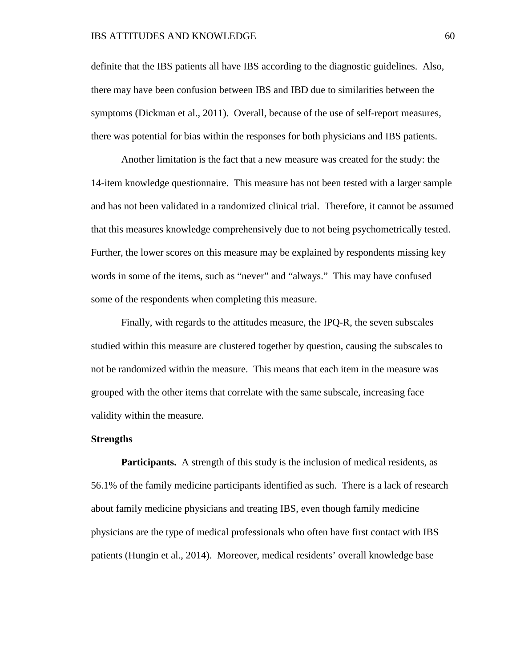definite that the IBS patients all have IBS according to the diagnostic guidelines. Also, there may have been confusion between IBS and IBD due to similarities between the symptoms (Dickman et al., 2011). Overall, because of the use of self-report measures, there was potential for bias within the responses for both physicians and IBS patients.

Another limitation is the fact that a new measure was created for the study: the 14-item knowledge questionnaire. This measure has not been tested with a larger sample and has not been validated in a randomized clinical trial. Therefore, it cannot be assumed that this measures knowledge comprehensively due to not being psychometrically tested. Further, the lower scores on this measure may be explained by respondents missing key words in some of the items, such as "never" and "always." This may have confused some of the respondents when completing this measure.

Finally, with regards to the attitudes measure, the IPQ-R, the seven subscales studied within this measure are clustered together by question, causing the subscales to not be randomized within the measure. This means that each item in the measure was grouped with the other items that correlate with the same subscale, increasing face validity within the measure.

### **Strengths**

**Participants.** A strength of this study is the inclusion of medical residents, as 56.1% of the family medicine participants identified as such. There is a lack of research about family medicine physicians and treating IBS, even though family medicine physicians are the type of medical professionals who often have first contact with IBS patients (Hungin et al., 2014). Moreover, medical residents' overall knowledge base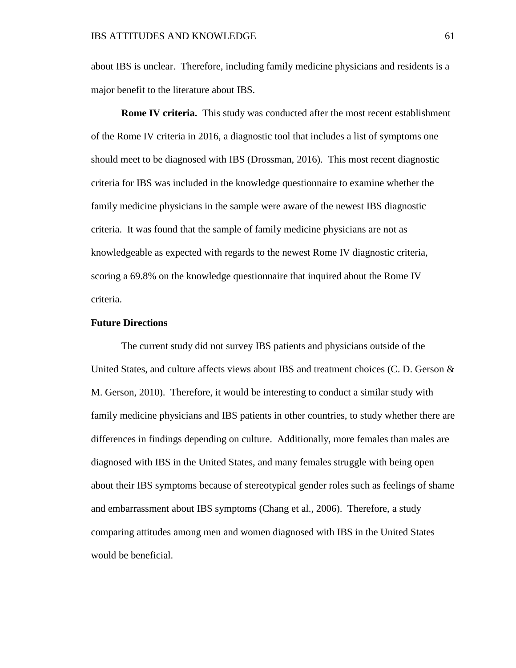about IBS is unclear. Therefore, including family medicine physicians and residents is a major benefit to the literature about IBS.

**Rome IV criteria.** This study was conducted after the most recent establishment of the Rome IV criteria in 2016, a diagnostic tool that includes a list of symptoms one should meet to be diagnosed with IBS (Drossman, 2016). This most recent diagnostic criteria for IBS was included in the knowledge questionnaire to examine whether the family medicine physicians in the sample were aware of the newest IBS diagnostic criteria. It was found that the sample of family medicine physicians are not as knowledgeable as expected with regards to the newest Rome IV diagnostic criteria, scoring a 69.8% on the knowledge questionnaire that inquired about the Rome IV criteria.

## **Future Directions**

The current study did not survey IBS patients and physicians outside of the United States, and culture affects views about IBS and treatment choices (C. D. Gerson  $\&$ M. Gerson, 2010). Therefore, it would be interesting to conduct a similar study with family medicine physicians and IBS patients in other countries, to study whether there are differences in findings depending on culture. Additionally, more females than males are diagnosed with IBS in the United States, and many females struggle with being open about their IBS symptoms because of stereotypical gender roles such as feelings of shame and embarrassment about IBS symptoms (Chang et al., 2006). Therefore, a study comparing attitudes among men and women diagnosed with IBS in the United States would be beneficial.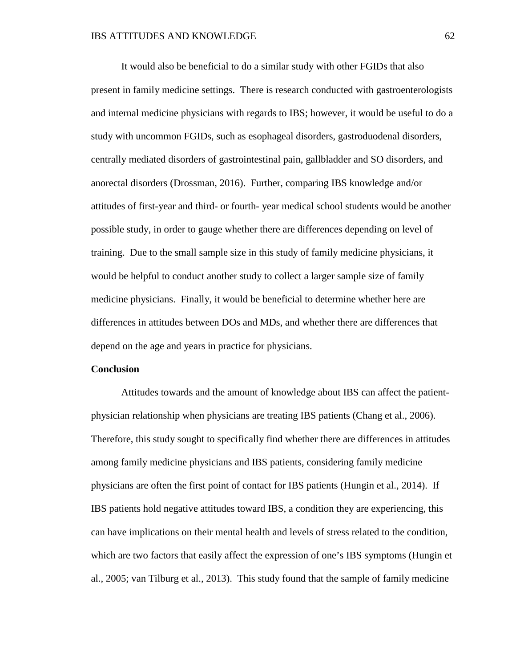It would also be beneficial to do a similar study with other FGIDs that also present in family medicine settings. There is research conducted with gastroenterologists and internal medicine physicians with regards to IBS; however, it would be useful to do a study with uncommon FGIDs, such as esophageal disorders, gastroduodenal disorders, centrally mediated disorders of gastrointestinal pain, gallbladder and SO disorders, and anorectal disorders (Drossman, 2016). Further, comparing IBS knowledge and/or attitudes of first-year and third- or fourth- year medical school students would be another possible study, in order to gauge whether there are differences depending on level of training. Due to the small sample size in this study of family medicine physicians, it would be helpful to conduct another study to collect a larger sample size of family medicine physicians. Finally, it would be beneficial to determine whether here are differences in attitudes between DOs and MDs, and whether there are differences that depend on the age and years in practice for physicians.

#### **Conclusion**

Attitudes towards and the amount of knowledge about IBS can affect the patientphysician relationship when physicians are treating IBS patients (Chang et al., 2006). Therefore, this study sought to specifically find whether there are differences in attitudes among family medicine physicians and IBS patients, considering family medicine physicians are often the first point of contact for IBS patients (Hungin et al., 2014). If IBS patients hold negative attitudes toward IBS, a condition they are experiencing, this can have implications on their mental health and levels of stress related to the condition, which are two factors that easily affect the expression of one's IBS symptoms (Hungin et al., 2005; van Tilburg et al., 2013). This study found that the sample of family medicine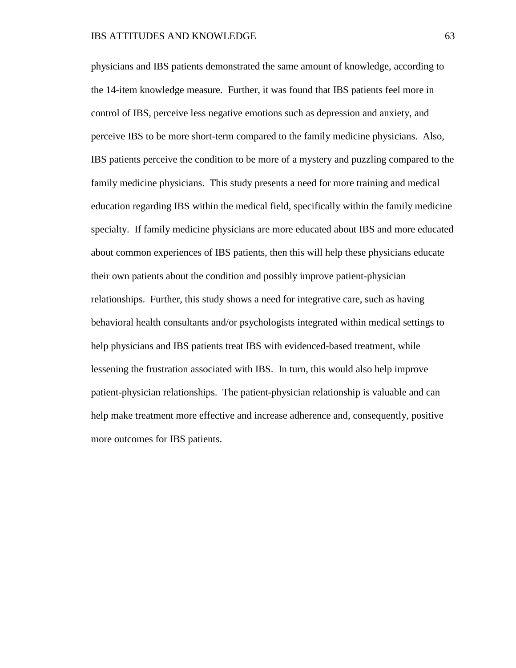physicians and IBS patients demonstrated the same amount of knowledge, according to the 14-item knowledge measure. Further, it was found that IBS patients feel more in control of IBS, perceive less negative emotions such as depression and anxiety, and perceive IBS to be more short-term compared to the family medicine physicians. Also, IBS patients perceive the condition to be more of a mystery and puzzling compared to the family medicine physicians. This study presents a need for more training and medical education regarding IBS within the medical field, specifically within the family medicine specialty. If family medicine physicians are more educated about IBS and more educated about common experiences of IBS patients, then this will help these physicians educate their own patients about the condition and possibly improve patient-physician relationships. Further, this study shows a need for integrative care, such as having behavioral health consultants and/or psychologists integrated within medical settings to help physicians and IBS patients treat IBS with evidenced-based treatment, while lessening the frustration associated with IBS. In turn, this would also help improve patient-physician relationships. The patient-physician relationship is valuable and can help make treatment more effective and increase adherence and, consequently, positive more outcomes for IBS patients.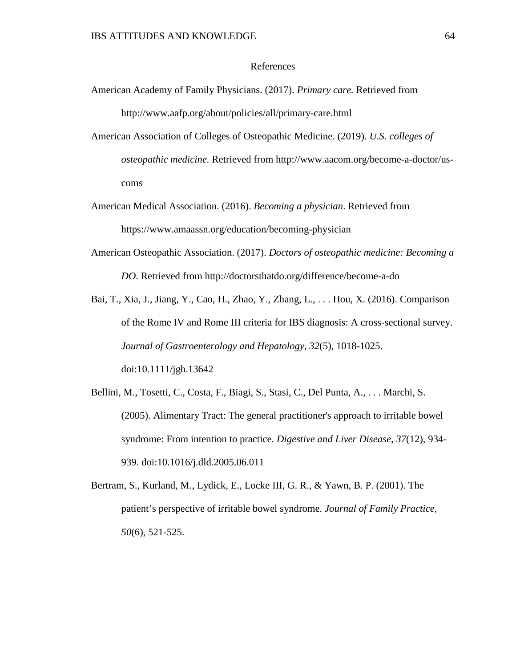### References

- American Academy of Family Physicians. (2017). *Primary care.* Retrieved from http://www.aafp.org/about/policies/all/primary-care.html
- American Association of Colleges of Osteopathic Medicine. (2019). *U.S. colleges of osteopathic medicine.* Retrieved from http://www.aacom.org/become-a-doctor/uscoms
- American Medical Association. (2016). *Becoming a physician*. Retrieved from https://www.amaassn.org/education/becoming-physician
- American Osteopathic Association. (2017). *Doctors of osteopathic medicine: Becoming a DO*. Retrieved from http://doctorsthatdo.org/difference/become-a-do
- Bai, T., Xia, J., Jiang, Y., Cao, H., Zhao, Y., Zhang, L., . . . Hou, X. (2016). Comparison of the Rome IV and Rome III criteria for IBS diagnosis: A cross-sectional survey. *Journal of Gastroenterology and Hepatology, 32*(5), 1018-1025. doi:10.1111/jgh.13642
- Bellini, M., Tosetti, C., Costa, F., Biagi, S., Stasi, C., Del Punta, A., . . . Marchi, S. (2005). Alimentary Tract: The general practitioner's approach to irritable bowel syndrome: From intention to practice. *Digestive and Liver Disease, 37*(12), 934- 939. doi:10.1016/j.dld.2005.06.011
- Bertram, S., Kurland, M., Lydick, E., Locke III, G. R., & Yawn, B. P. (2001). The patient's perspective of irritable bowel syndrome. *Journal of Family Practice*, *50*(6), 521-525.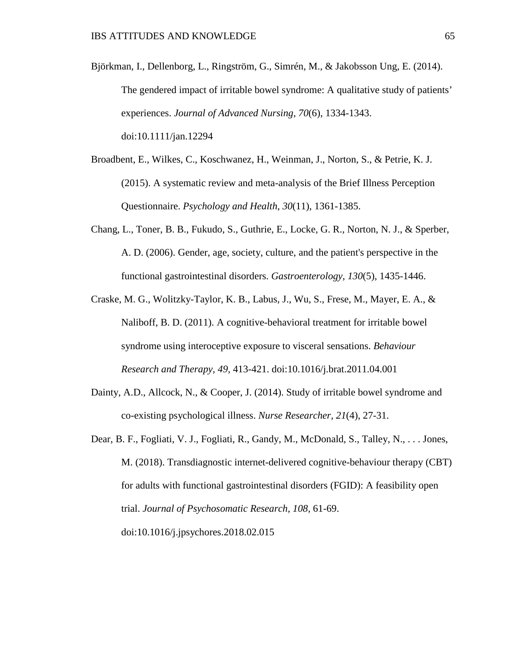- Björkman, I., Dellenborg, L., Ringström, G., Simrén, M., & Jakobsson Ung, E. (2014). The gendered impact of irritable bowel syndrome: A qualitative study of patients' experiences. *Journal of Advanced Nursing*, *70*(6), 1334-1343. doi:10.1111/jan.12294
- Broadbent, E., Wilkes, C., Koschwanez, H., Weinman, J., Norton, S., & Petrie, K. J. (2015). A systematic review and meta-analysis of the Brief Illness Perception Questionnaire. *Psychology and Health*, *30*(11), 1361-1385.
- Chang, L., Toner, B. B., Fukudo, S., Guthrie, E., Locke, G. R., Norton, N. J., & Sperber, A. D. (2006). Gender, age, society, culture, and the patient's perspective in the functional gastrointestinal disorders. *Gastroenterology*, *130*(5), 1435-1446.
- Craske, M. G., Wolitzky-Taylor, K. B., Labus, J., Wu, S., Frese, M., Mayer, E. A., & Naliboff, B. D. (2011). A cognitive-behavioral treatment for irritable bowel syndrome using interoceptive exposure to visceral sensations. *Behaviour Research and Therapy*, *49,* 413-421. doi:10.1016/j.brat.2011.04.001
- Dainty, A.D., Allcock, N., & Cooper, J. (2014). Study of irritable bowel syndrome and co-existing psychological illness. *Nurse Researcher*, *21*(4), 27-31.
- Dear, B. F., Fogliati, V. J., Fogliati, R., Gandy, M., McDonald, S., Talley, N., . . . Jones, M. (2018). Transdiagnostic internet-delivered cognitive-behaviour therapy (CBT) for adults with functional gastrointestinal disorders (FGID): A feasibility open trial. *Journal of Psychosomatic Research, 108,* 61-69. doi:10.1016/j.jpsychores.2018.02.015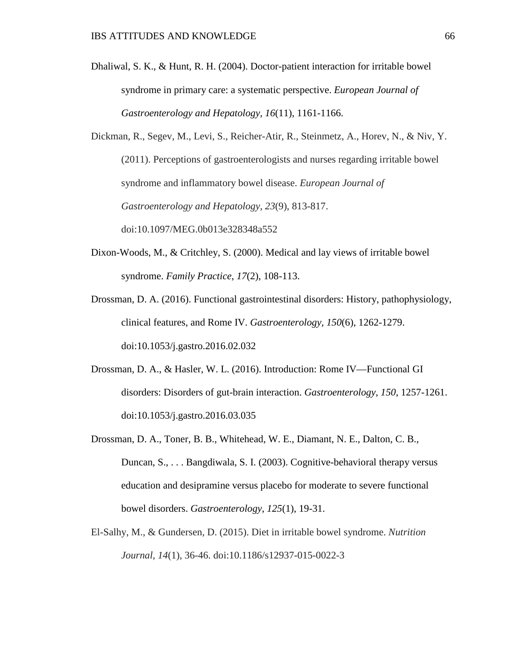- Dhaliwal, S. K., & Hunt, R. H. (2004). Doctor-patient interaction for irritable bowel syndrome in primary care: a systematic perspective. *European Journal of Gastroenterology and Hepatology*, *16*(11), 1161-1166.
- Dickman, R., Segev, M., Levi, S., Reicher-Atir, R., Steinmetz, A., Horev, N., & Niv, Y. (2011). Perceptions of gastroenterologists and nurses regarding irritable bowel syndrome and inflammatory bowel disease. *European Journal of Gastroenterology and Hepatology*, *23*(9), 813-817. doi:10.1097/MEG.0b013e328348a552
- Dixon-Woods, M., & Critchley, S. (2000). Medical and lay views of irritable bowel syndrome. *Family Practice*, *17*(2), 108-113.
- Drossman, D. A. (2016). Functional gastrointestinal disorders: History, pathophysiology, clinical features, and Rome IV. *Gastroenterology, 150*(6), 1262-1279. doi:10.1053/j.gastro.2016.02.032
- Drossman, D. A., & Hasler, W. L. (2016). Introduction: Rome IV—Functional GI disorders: Disorders of gut-brain interaction. *Gastroenterology*, *150*, 1257-1261. doi:10.1053/j.gastro.2016.03.035
- Drossman, D. A., Toner, B. B., Whitehead, W. E., Diamant, N. E., Dalton, C. B., Duncan, S., . . . Bangdiwala, S. I. (2003). Cognitive-behavioral therapy versus education and desipramine versus placebo for moderate to severe functional bowel disorders. *Gastroenterology*, *125*(1), 19-31.
- El-Salhy, M., & Gundersen, D. (2015). Diet in irritable bowel syndrome. *Nutrition Journal*, *14*(1), 36-46. doi:10.1186/s12937-015-0022-3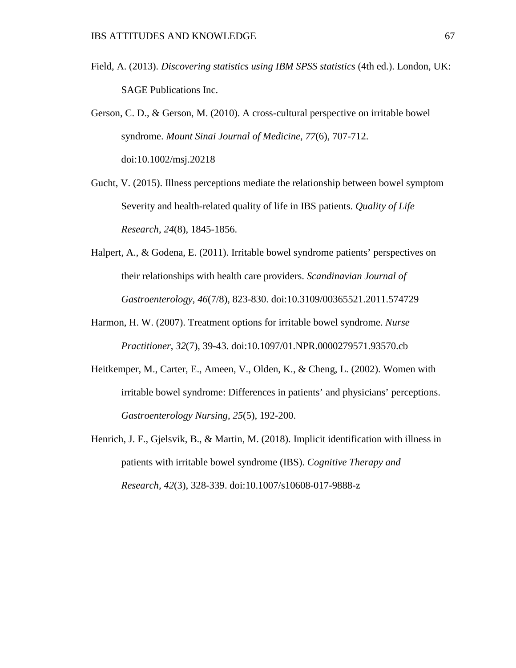- Field, A. (2013). *Discovering statistics using IBM SPSS statistics* (4th ed.). London, UK: SAGE Publications Inc.
- Gerson, C. D., & Gerson, M. (2010). A cross-cultural perspective on irritable bowel syndrome. *Mount Sinai Journal of Medicine*, *77*(6), 707-712. doi:10.1002/msj.20218
- Gucht, V. (2015). Illness perceptions mediate the relationship between bowel symptom Severity and health-related quality of life in IBS patients. *Quality of Life Research*, *24*(8), 1845-1856.
- Halpert, A., & Godena, E. (2011). Irritable bowel syndrome patients' perspectives on their relationships with health care providers. *Scandinavian Journal of Gastroenterology*, *46*(7/8), 823-830. doi:10.3109/00365521.2011.574729
- Harmon, H. W. (2007). Treatment options for irritable bowel syndrome. *Nurse Practitioner*, *32*(7), 39-43. doi:10.1097/01.NPR.0000279571.93570.cb
- Heitkemper, M., Carter, E., Ameen, V., Olden, K., & Cheng, L. (2002). Women with irritable bowel syndrome: Differences in patients' and physicians' perceptions. *Gastroenterology Nursing*, *25*(5), 192-200.
- Henrich, J. F., Gjelsvik, B., & Martin, M. (2018). Implicit identification with illness in patients with irritable bowel syndrome (IBS). *Cognitive Therapy and Research, 42*(3), 328-339. doi:10.1007/s10608-017-9888-z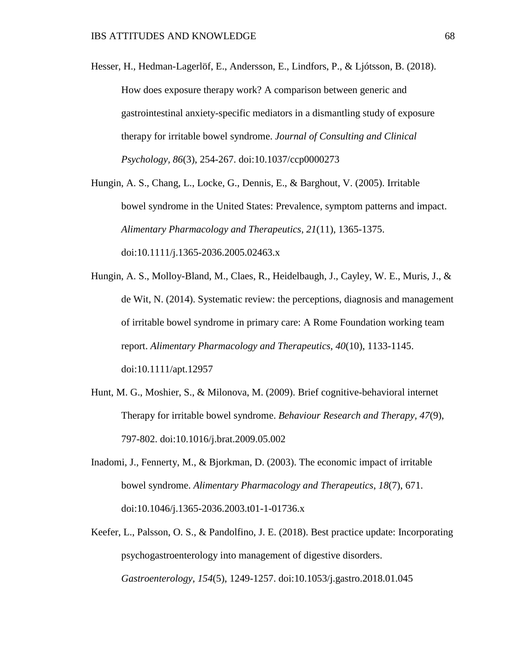Hesser, H., Hedman-Lagerlöf, E., Andersson, E., Lindfors, P., & Ljótsson, B. (2018). How does exposure therapy work? A comparison between generic and gastrointestinal anxiety-specific mediators in a dismantling study of exposure therapy for irritable bowel syndrome. *Journal of Consulting and Clinical Psychology, 86*(3), 254-267. doi:10.1037/ccp0000273

Hungin, A. S., Chang, L., Locke, G., Dennis, E., & Barghout, V. (2005). Irritable bowel syndrome in the United States: Prevalence, symptom patterns and impact. *Alimentary Pharmacology and Therapeutics*, *21*(11), 1365-1375. doi:10.1111/j.1365-2036.2005.02463.x

- Hungin, A. S., Molloy-Bland, M., Claes, R., Heidelbaugh, J., Cayley, W. E., Muris, J., & de Wit, N. (2014). Systematic review: the perceptions, diagnosis and management of irritable bowel syndrome in primary care: A Rome Foundation working team report. *Alimentary Pharmacology and Therapeutics*, *40*(10), 1133-1145. doi:10.1111/apt.12957
- Hunt, M. G., Moshier, S., & Milonova, M. (2009). Brief cognitive-behavioral internet Therapy for irritable bowel syndrome. *Behaviour Research and Therapy, 47*(9), 797-802. doi:10.1016/j.brat.2009.05.002
- Inadomi, J., Fennerty, M., & Bjorkman, D. (2003). The economic impact of irritable bowel syndrome. *Alimentary Pharmacology and Therapeutics*, *18*(7), 671. doi:10.1046/j.1365-2036.2003.t01-1-01736.x
- Keefer, L., Palsson, O. S., & Pandolfino, J. E. (2018). Best practice update: Incorporating psychogastroenterology into management of digestive disorders. *Gastroenterology, 154*(5), 1249-1257. doi:10.1053/j.gastro.2018.01.045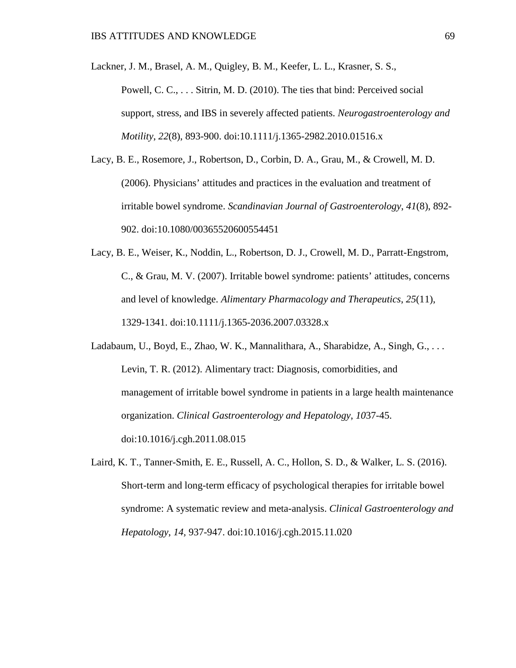Lackner, J. M., Brasel, A. M., Quigley, B. M., Keefer, L. L., Krasner, S. S.,

Powell, C. C., . . . Sitrin, M. D. (2010). The ties that bind: Perceived social support, stress, and IBS in severely affected patients. *Neurogastroenterology and Motility*, *22*(8), 893-900. doi:10.1111/j.1365-2982.2010.01516.x

- Lacy, B. E., Rosemore, J., Robertson, D., Corbin, D. A., Grau, M., & Crowell, M. D. (2006). Physicians' attitudes and practices in the evaluation and treatment of irritable bowel syndrome. *Scandinavian Journal of Gastroenterology*, *41*(8), 892- 902. doi:10.1080/00365520600554451
- Lacy, B. E., Weiser, K., Noddin, L., Robertson, D. J., Crowell, M. D., Parratt-Engstrom, C., & Grau, M. V. (2007). Irritable bowel syndrome: patients' attitudes, concerns and level of knowledge. *Alimentary Pharmacology and Therapeutics*, *25*(11), 1329-1341. doi:10.1111/j.1365-2036.2007.03328.x
- Ladabaum, U., Boyd, E., Zhao, W. K., Mannalithara, A., Sharabidze, A., Singh, G., . . . Levin, T. R. (2012). Alimentary tract: Diagnosis, comorbidities, and management of irritable bowel syndrome in patients in a large health maintenance organization. *Clinical Gastroenterology and Hepatology*, *10*37-45. doi:10.1016/j.cgh.2011.08.015
- Laird, K. T., Tanner-Smith, E. E., Russell, A. C., Hollon, S. D., & Walker, L. S. (2016). Short-term and long-term efficacy of psychological therapies for irritable bowel syndrome: A systematic review and meta-analysis. *Clinical Gastroenterology and Hepatology*, *14,* 937-947. doi:10.1016/j.cgh.2015.11.020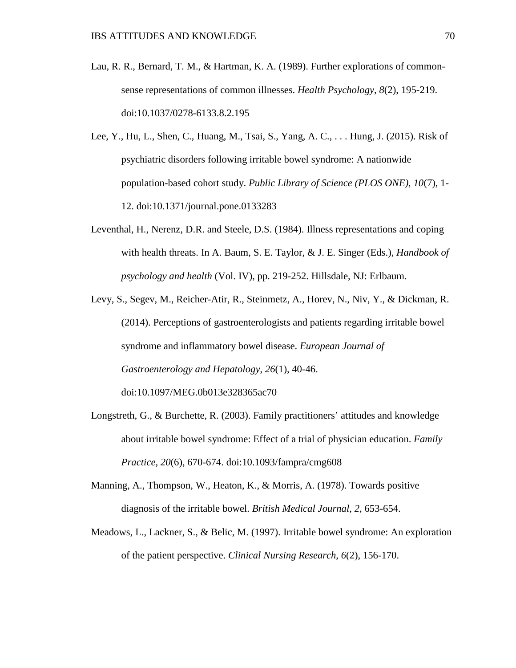- Lau, R. R., Bernard, T. M., & Hartman, K. A. (1989). Further explorations of commonsense representations of common illnesses. *Health Psychology*, *8*(2), 195-219. doi:10.1037/0278-6133.8.2.195
- Lee, Y., Hu, L., Shen, C., Huang, M., Tsai, S., Yang, A. C., . . . Hung, J. (2015). Risk of psychiatric disorders following irritable bowel syndrome: A nationwide population-based cohort study. *Public Library of Science (PLOS ONE)*, *10*(7), 1- 12. doi:10.1371/journal.pone.0133283
- Leventhal, H., Nerenz, D.R. and Steele, D.S. (1984). Illness representations and coping with health threats. In A. Baum, S. E. Taylor, & J. E. Singer (Eds.), *Handbook of psychology and health* (Vol. IV), pp. 219-252. Hillsdale, NJ: Erlbaum.
- Levy, S., Segev, M., Reicher-Atir, R., Steinmetz, A., Horev, N., Niv, Y., & Dickman, R. (2014). Perceptions of gastroenterologists and patients regarding irritable bowel syndrome and inflammatory bowel disease. *European Journal of Gastroenterology and Hepatology*, *26*(1), 40-46. doi:10.1097/MEG.0b013e328365ac70
- Longstreth, G., & Burchette, R. (2003). Family practitioners' attitudes and knowledge about irritable bowel syndrome: Effect of a trial of physician education. *Family Practice*, *20*(6), 670-674. doi:10.1093/fampra/cmg608
- Manning, A., Thompson, W., Heaton, K., & Morris, A. (1978). Towards positive diagnosis of the irritable bowel. *British Medical Journal, 2,* 653-654.
- Meadows, L., Lackner, S., & Belic, M. (1997). Irritable bowel syndrome: An exploration of the patient perspective. *Clinical Nursing Research*, *6*(2), 156-170.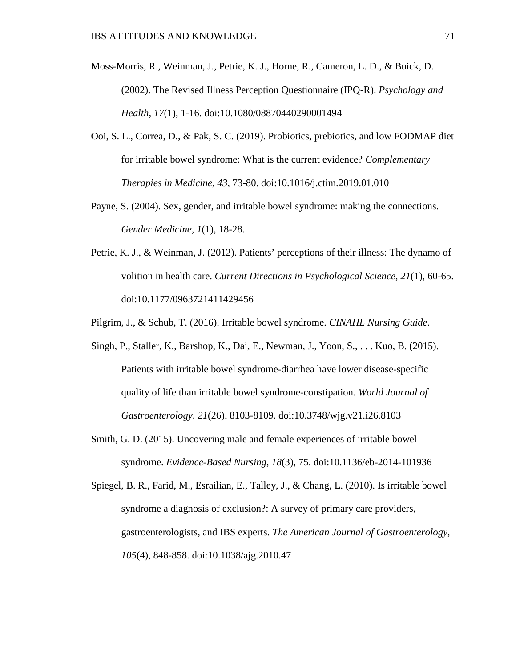- Moss-Morris, R., Weinman, J., Petrie, K. J., Horne, R., Cameron, L. D., & Buick, D. (2002). The Revised Illness Perception Questionnaire (IPQ-R). *Psychology and Health*, *17*(1), 1-16. doi:10.1080/08870440290001494
- Ooi, S. L., Correa, D., & Pak, S. C. (2019). Probiotics, prebiotics, and low FODMAP diet for irritable bowel syndrome: What is the current evidence? *Complementary Therapies in Medicine, 43,* 73-80. doi:10.1016/j.ctim.2019.01.010
- Payne, S. (2004). Sex, gender, and irritable bowel syndrome: making the connections. *Gender Medicine*, *1*(1), 18-28.
- Petrie, K. J., & Weinman, J. (2012). Patients' perceptions of their illness: The dynamo of volition in health care. *Current Directions in Psychological Science*, *21*(1), 60-65. doi:10.1177/0963721411429456
- Pilgrim, J., & Schub, T. (2016). Irritable bowel syndrome. *CINAHL Nursing Guide*.
- Singh, P., Staller, K., Barshop, K., Dai, E., Newman, J., Yoon, S., . . . Kuo, B. (2015). Patients with irritable bowel syndrome-diarrhea have lower disease-specific quality of life than irritable bowel syndrome-constipation. *World Journal of Gastroenterology*, *21*(26), 8103-8109. doi:10.3748/wjg.v21.i26.8103
- Smith, G. D. (2015). Uncovering male and female experiences of irritable bowel syndrome. *Evidence-Based Nursing*, *18*(3), 75. doi:10.1136/eb-2014-101936

Spiegel, B. R., Farid, M., Esrailian, E., Talley, J., & Chang, L. (2010). Is irritable bowel syndrome a diagnosis of exclusion?: A survey of primary care providers, gastroenterologists, and IBS experts. *The American Journal of Gastroenterology*, *105*(4), 848-858. doi:10.1038/ajg.2010.47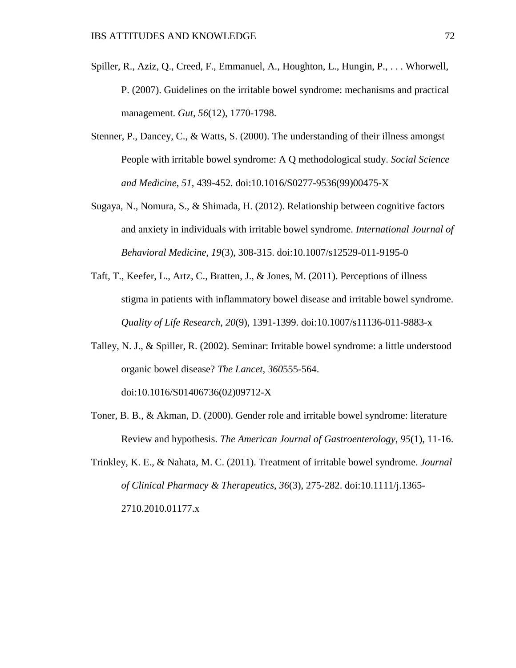- Spiller, R., Aziz, Q., Creed, F., Emmanuel, A., Houghton, L., Hungin, P., . . . Whorwell, P. (2007). Guidelines on the irritable bowel syndrome: mechanisms and practical management. *Gut*, *56*(12), 1770-1798.
- Stenner, P., Dancey, C., & Watts, S. (2000). The understanding of their illness amongst People with irritable bowel syndrome: A Q methodological study. *Social Science and Medicine*, *51,* 439-452. doi:10.1016/S0277-9536(99)00475-X
- Sugaya, N., Nomura, S., & Shimada, H. (2012). Relationship between cognitive factors and anxiety in individuals with irritable bowel syndrome. *International Journal of Behavioral Medicine*, *19*(3), 308-315. doi:10.1007/s12529-011-9195-0
- Taft, T., Keefer, L., Artz, C., Bratten, J., & Jones, M. (2011). Perceptions of illness stigma in patients with inflammatory bowel disease and irritable bowel syndrome. *Quality of Life Research*, *20*(9), 1391-1399. doi:10.1007/s11136-011-9883-x
- Talley, N. J., & Spiller, R. (2002). Seminar: Irritable bowel syndrome: a little understood organic bowel disease? *The Lancet*, *360*555-564. doi:10.1016/S01406736(02)09712-X
- Toner, B. B., & Akman, D. (2000). Gender role and irritable bowel syndrome: literature Review and hypothesis. *The American Journal of Gastroenterology*, *95*(1), 11-16.
- Trinkley, K. E., & Nahata, M. C. (2011). Treatment of irritable bowel syndrome. *Journal of Clinical Pharmacy & Therapeutics*, *36*(3), 275-282. doi:10.1111/j.1365- 2710.2010.01177.x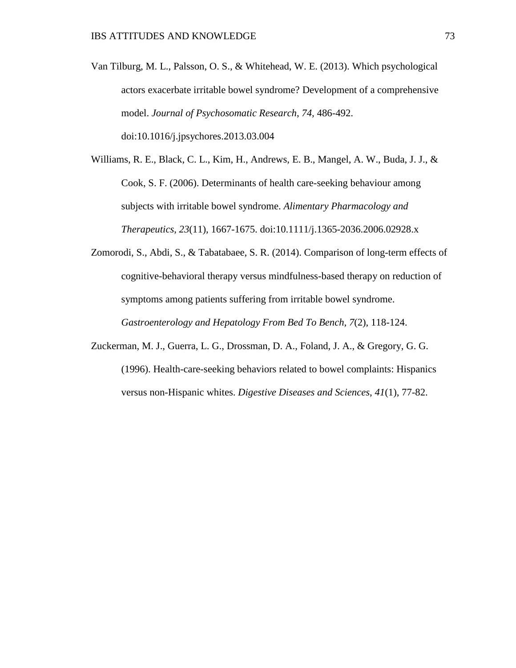Van Tilburg, M. L., Palsson, O. S., & Whitehead, W. E. (2013). Which psychological actors exacerbate irritable bowel syndrome? Development of a comprehensive model. *Journal of Psychosomatic Research*, *74,* 486-492. doi:10.1016/j.jpsychores.2013.03.004

Williams, R. E., Black, C. L., Kim, H., Andrews, E. B., Mangel, A. W., Buda, J. J., &

Cook, S. F. (2006). Determinants of health care-seeking behaviour among subjects with irritable bowel syndrome. *Alimentary Pharmacology and Therapeutics*, *23*(11), 1667-1675. doi:10.1111/j.1365-2036.2006.02928.x

- Zomorodi, S., Abdi, S., & Tabatabaee, S. R. (2014). Comparison of long-term effects of cognitive-behavioral therapy versus mindfulness-based therapy on reduction of symptoms among patients suffering from irritable bowel syndrome. *Gastroenterology and Hepatology From Bed To Bench*, *7*(2), 118-124.
- Zuckerman, M. J., Guerra, L. G., Drossman, D. A., Foland, J. A., & Gregory, G. G. (1996). Health-care-seeking behaviors related to bowel complaints: Hispanics versus non-Hispanic whites. *Digestive Diseases and Sciences*, *41*(1), 77-82.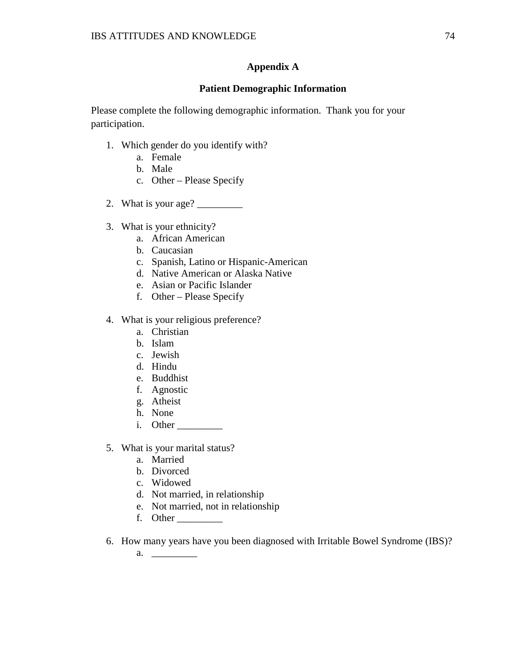# **Appendix A**

### **Patient Demographic Information**

Please complete the following demographic information. Thank you for your participation.

- 1. Which gender do you identify with?
	- a. Female
	- b. Male
	- c. Other Please Specify
- 2. What is your age? \_\_\_\_\_\_\_\_\_
- 3. What is your ethnicity?
	- a. African American
	- b. Caucasian
	- c. Spanish, Latino or Hispanic-American
	- d. Native American or Alaska Native
	- e. Asian or Pacific Islander
	- f. Other Please Specify
- 4. What is your religious preference?
	- a. Christian
	- b. Islam
	- c. Jewish
	- d. Hindu
	- e. Buddhist
	- f. Agnostic
	- g. Atheist
	- h. None
	- i. Other \_\_\_\_\_\_\_\_\_
- 5. What is your marital status?
	- a. Married
	- b. Divorced
	- c. Widowed
	- d. Not married, in relationship
	- e. Not married, not in relationship
	- f. Other \_\_\_\_\_\_\_\_\_
- 6. How many years have you been diagnosed with Irritable Bowel Syndrome (IBS)?
	- a. \_\_\_\_\_\_\_\_\_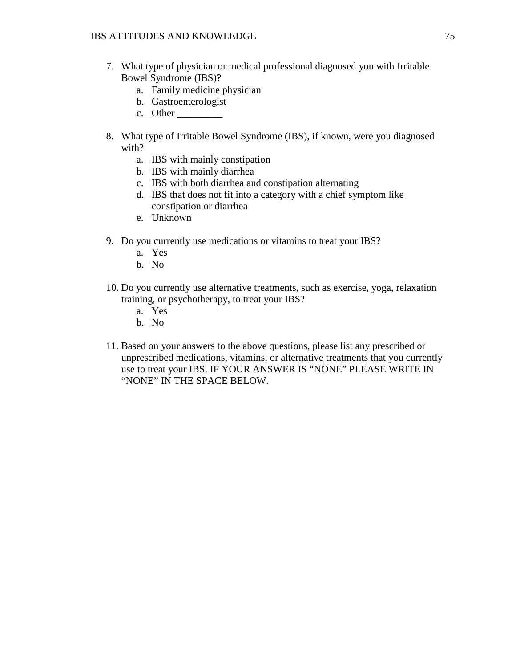- 7. What type of physician or medical professional diagnosed you with Irritable Bowel Syndrome (IBS)?
	- a. Family medicine physician
	- b. Gastroenterologist
	- c. Other
- 8. What type of Irritable Bowel Syndrome (IBS), if known, were you diagnosed with?
	- a. IBS with mainly constipation
	- b. IBS with mainly diarrhea
	- c. IBS with both diarrhea and constipation alternating
	- d. IBS that does not fit into a category with a chief symptom like constipation or diarrhea
	- e. Unknown
- 9. Do you currently use medications or vitamins to treat your IBS?
	- a. Yes
	- b. No
- 10. Do you currently use alternative treatments, such as exercise, yoga, relaxation training, or psychotherapy, to treat your IBS?
	- a. Yes
	- b. No
- 11. Based on your answers to the above questions, please list any prescribed or unprescribed medications, vitamins, or alternative treatments that you currently use to treat your IBS. IF YOUR ANSWER IS "NONE" PLEASE WRITE IN "NONE" IN THE SPACE BELOW.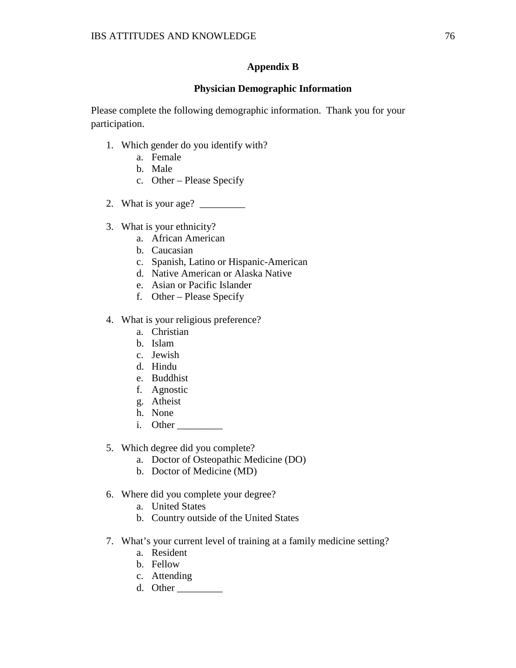## **Appendix B**

### **Physician Demographic Information**

Please complete the following demographic information. Thank you for your participation.

- 1. Which gender do you identify with?
	- a. Female
	- b. Male
	- c. Other Please Specify
- 2. What is your age? \_\_\_\_\_\_\_\_\_
- 3. What is your ethnicity?
	- a. African American
	- b. Caucasian
	- c. Spanish, Latino or Hispanic-American
	- d. Native American or Alaska Native
	- e. Asian or Pacific Islander
	- f. Other Please Specify
- 4. What is your religious preference?
	- a. Christian
	- b. Islam
	- c. Jewish
	- d. Hindu
	- e. Buddhist
	- f. Agnostic
	- g. Atheist
	- h. None
	- i. Other \_\_\_\_\_\_\_\_\_
- 5. Which degree did you complete?
	- a. Doctor of Osteopathic Medicine (DO)
	- b. Doctor of Medicine (MD)
- 6. Where did you complete your degree?
	- a. United States
	- b. Country outside of the United States
- 7. What's your current level of training at a family medicine setting?
	- a. Resident
	- b. Fellow
	- c. Attending
	- d. Other \_\_\_\_\_\_\_\_\_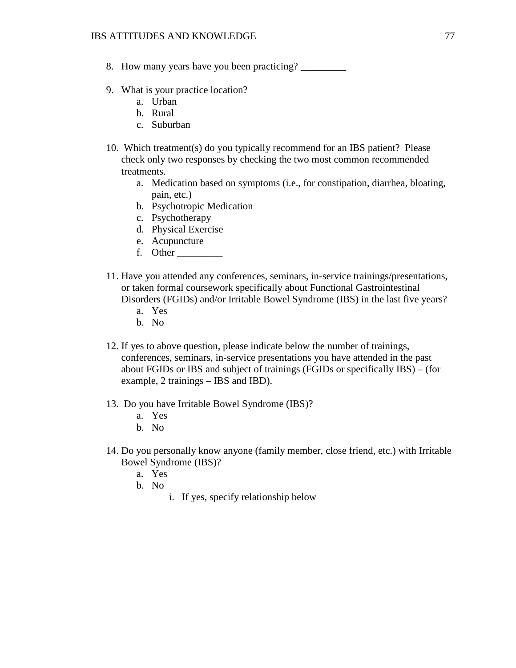- 8. How many years have you been practicing?
- 9. What is your practice location?
	- a. Urban
	- b. Rural
	- c. Suburban
- 10. Which treatment(s) do you typically recommend for an IBS patient? Please check only two responses by checking the two most common recommended treatments.
	- a. Medication based on symptoms (i.e., for constipation, diarrhea, bloating, pain, etc.)
	- b. Psychotropic Medication
	- c. Psychotherapy
	- d. Physical Exercise
	- e. Acupuncture
	- f. Other \_\_\_\_\_\_\_\_\_
- 11. Have you attended any conferences, seminars, in-service trainings/presentations, or taken formal coursework specifically about Functional Gastrointestinal Disorders (FGIDs) and/or Irritable Bowel Syndrome (IBS) in the last five years?
	- a. Yes
	- b. No
- 12. If yes to above question, please indicate below the number of trainings, conferences, seminars, in-service presentations you have attended in the past about FGIDs or IBS and subject of trainings (FGIDs or specifically IBS) – (for example, 2 trainings – IBS and IBD).
- 13. Do you have Irritable Bowel Syndrome (IBS)?
	- a. Yes
	- b. No
- 14. Do you personally know anyone (family member, close friend, etc.) with Irritable Bowel Syndrome (IBS)?
	- a. Yes
	- b. No
- i. If yes, specify relationship below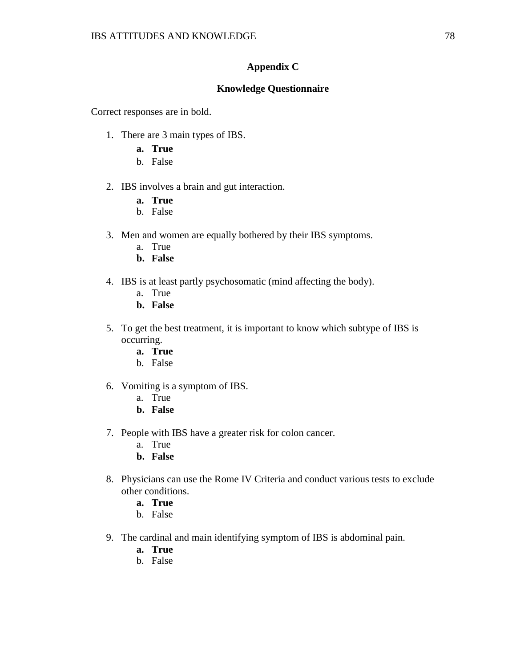## **Appendix C**

## **Knowledge Questionnaire**

Correct responses are in bold.

- 1. There are 3 main types of IBS.
	- **a. True**
	- b. False
- 2. IBS involves a brain and gut interaction.
	- **a. True**
	- b. False
- 3. Men and women are equally bothered by their IBS symptoms.
	- a. True
	- **b. False**
- 4. IBS is at least partly psychosomatic (mind affecting the body).
	- a. True
	- **b. False**
- 5. To get the best treatment, it is important to know which subtype of IBS is occurring.
	- **a. True**
	- b. False
- 6. Vomiting is a symptom of IBS.
	- a. True
	- **b. False**
- 7. People with IBS have a greater risk for colon cancer.
	- a. True
	- **b. False**
- 8. Physicians can use the Rome IV Criteria and conduct various tests to exclude other conditions.
	- **a. True**
	- b. False
- 9. The cardinal and main identifying symptom of IBS is abdominal pain.
	- **a. True**
	- b. False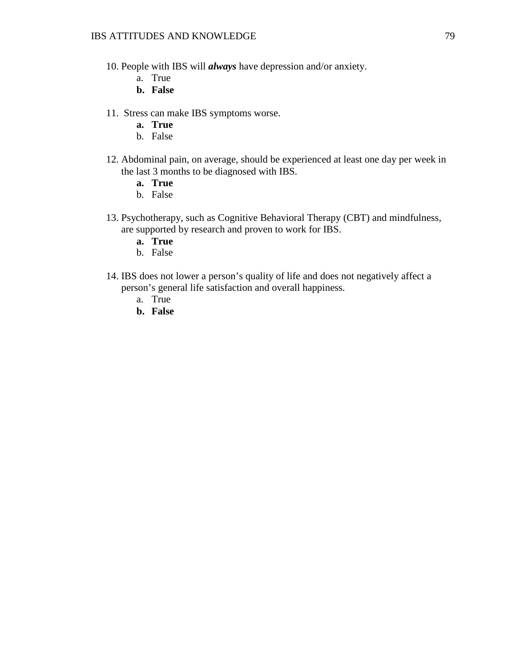- 10. People with IBS will *always* have depression and/or anxiety.
	- a. True
	- **b. False**
- 11. Stress can make IBS symptoms worse.
	- **a. True**
	- b. False
- 12. Abdominal pain, on average, should be experienced at least one day per week in the last 3 months to be diagnosed with IBS.
	- **a. True**
	- b. False
- 13. Psychotherapy, such as Cognitive Behavioral Therapy (CBT) and mindfulness, are supported by research and proven to work for IBS.
	- **a. True**
	- b. False
- 14. IBS does not lower a person's quality of life and does not negatively affect a person's general life satisfaction and overall happiness.
	- a. True
	- **b. False**